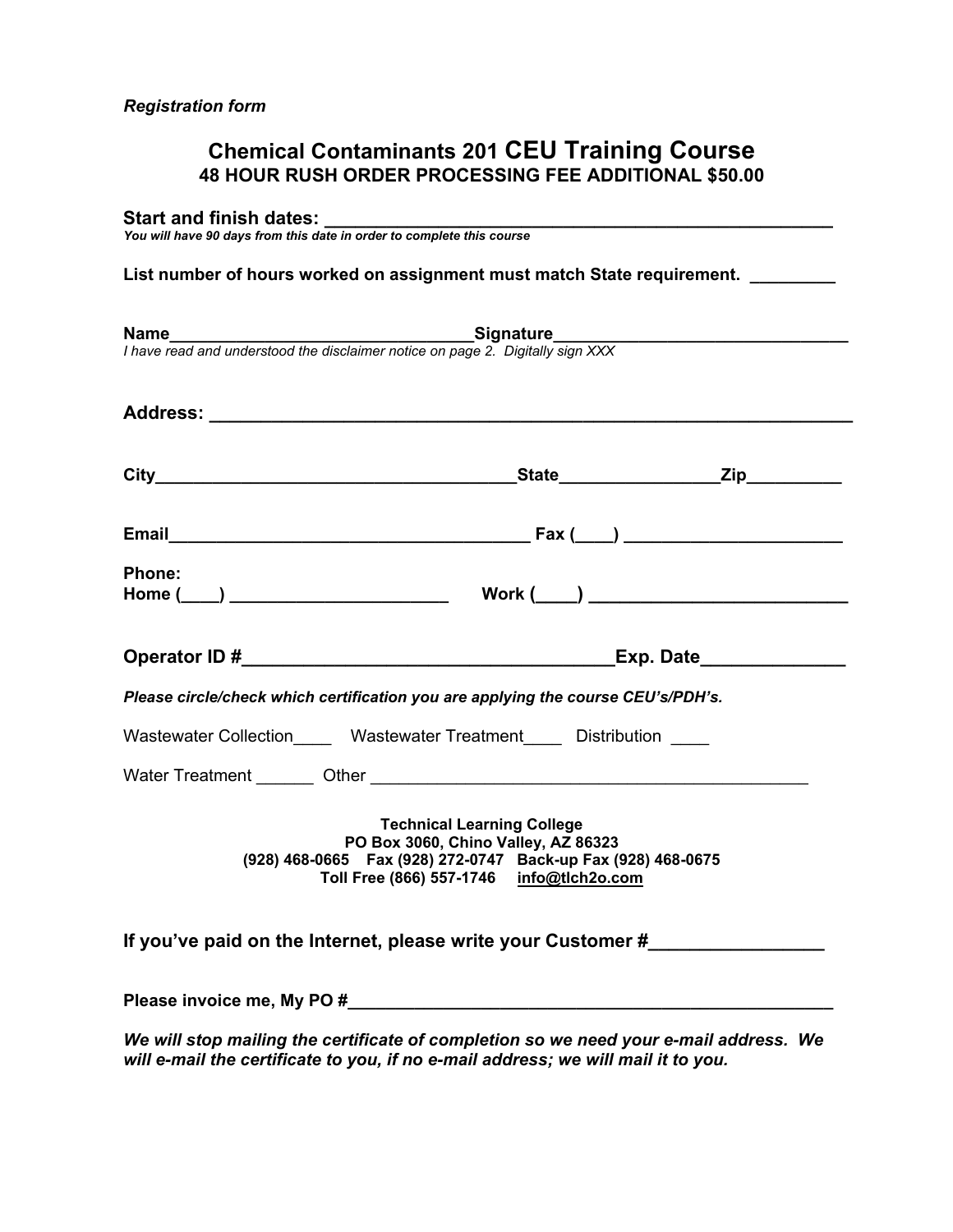# **Chemical Contaminants 201 CEU Training Course 48 HOUR RUSH ORDER PROCESSING FEE ADDITIONAL \$50.00**

#### **Start and finish dates:**

*You will have 90 days from this date in order to complete this course*

List number of hours worked on assignment must match State requirement.

|                                                                                                                                                                                        | <b>Name</b><br>I have read and understood the disclaimer notice on page 2. Digitally sign XXX                                                                                                                                  |  |  |  |  |
|----------------------------------------------------------------------------------------------------------------------------------------------------------------------------------------|--------------------------------------------------------------------------------------------------------------------------------------------------------------------------------------------------------------------------------|--|--|--|--|
|                                                                                                                                                                                        |                                                                                                                                                                                                                                |  |  |  |  |
|                                                                                                                                                                                        |                                                                                                                                                                                                                                |  |  |  |  |
|                                                                                                                                                                                        |                                                                                                                                                                                                                                |  |  |  |  |
| <b>Phone:</b>                                                                                                                                                                          |                                                                                                                                                                                                                                |  |  |  |  |
|                                                                                                                                                                                        |                                                                                                                                                                                                                                |  |  |  |  |
|                                                                                                                                                                                        | Operator ID # Exp. Date                                                                                                                                                                                                        |  |  |  |  |
|                                                                                                                                                                                        | Please circle/check which certification you are applying the course CEU's/PDH's.                                                                                                                                               |  |  |  |  |
|                                                                                                                                                                                        | Wastewater Collection Mastewater Treatment Distribution                                                                                                                                                                        |  |  |  |  |
|                                                                                                                                                                                        | Water Treatment Other Character Charles Character Charles Charles Charles Charles Charles Charles Charles Charles Charles Charles Charles Charles Charles Charles Charles Charles Charles Charles Charles Charles Charles Char |  |  |  |  |
| <b>Technical Learning College</b><br>PO Box 3060, Chino Valley, AZ 86323<br>(928) 468-0665  Fax (928) 272-0747  Back-up Fax (928) 468-0675<br>Toll Free (866) 557-1746 info@tlch2o.com |                                                                                                                                                                                                                                |  |  |  |  |
|                                                                                                                                                                                        | If you've paid on the Internet, please write your Customer #                                                                                                                                                                   |  |  |  |  |
|                                                                                                                                                                                        |                                                                                                                                                                                                                                |  |  |  |  |
|                                                                                                                                                                                        | We will stop mailing the certificate of completion so we need your e-mail address. We<br>will e-mail the certificate to you, if no e-mail address; we will mail it to you.                                                     |  |  |  |  |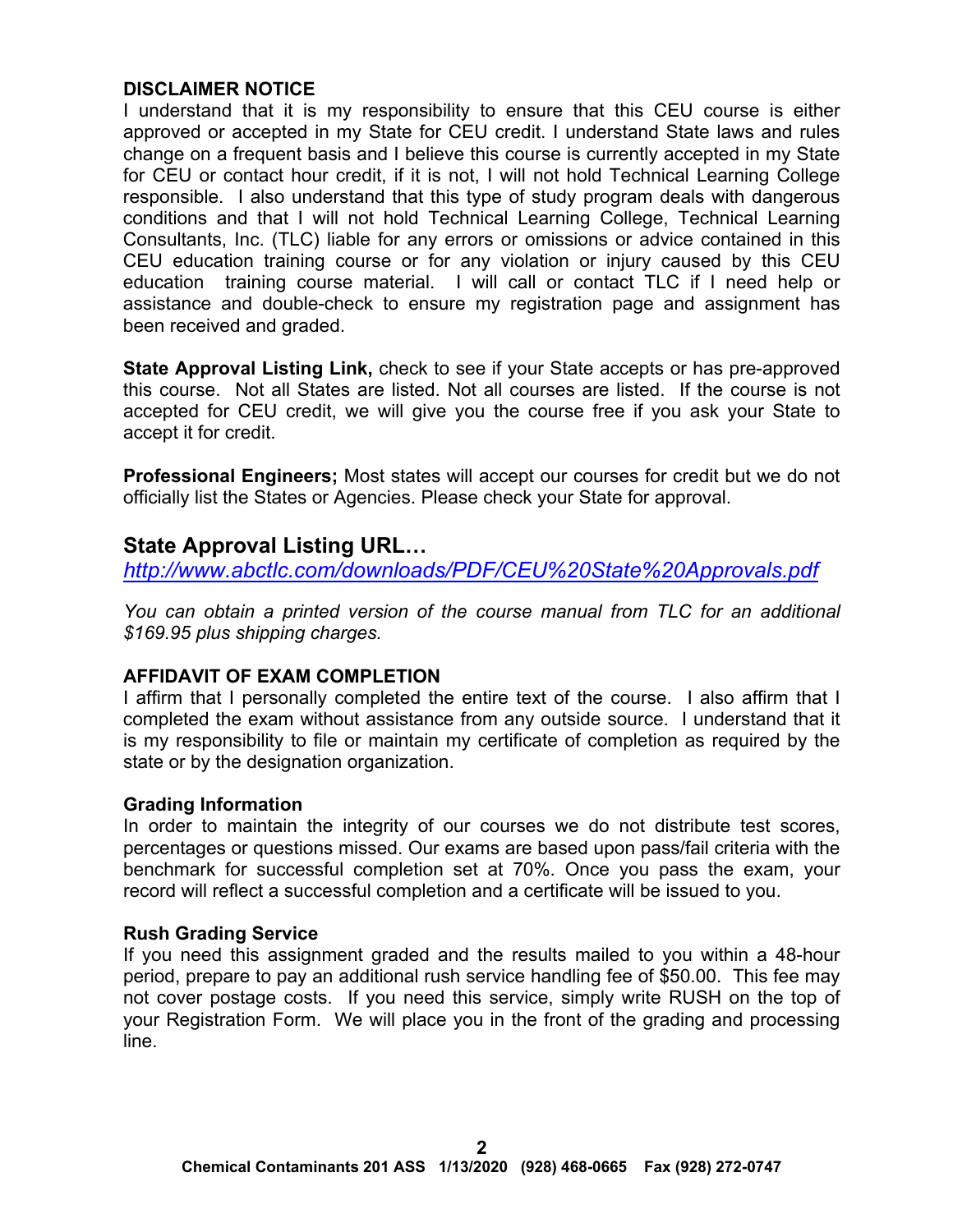# **DISCLAIMER NOTICE**

I understand that it is my responsibility to ensure that this CEU course is either approved or accepted in my State for CEU credit. I understand State laws and rules change on a frequent basis and I believe this course is currently accepted in my State for CEU or contact hour credit, if it is not, I will not hold Technical Learning College responsible. I also understand that this type of study program deals with dangerous conditions and that I will not hold Technical Learning College, Technical Learning Consultants, Inc. (TLC) liable for any errors or omissions or advice contained in this CEU education training course or for any violation or injury caused by this CEU education training course material. I will call or contact TLC if I need help or assistance and double-check to ensure my registration page and assignment has been received and graded.

**State Approval Listing Link,** check to see if your State accepts or has pre-approved this course. Not all States are listed. Not all courses are listed. If the course is not accepted for CEU credit, we will give you the course free if you ask your State to accept it for credit.

**Professional Engineers;** Most states will accept our courses for credit but we do not officially list the States or Agencies. Please check your State for approval.

# **State Approval Listing URL…**

*<http://www.abctlc.com/downloads/PDF/CEU%20State%20Approvals.pdf>*

*You can obtain a printed version of the course manual from TLC for an additional \$169.95 plus shipping charges.* 

# **AFFIDAVIT OF EXAM COMPLETION**

I affirm that I personally completed the entire text of the course. I also affirm that I completed the exam without assistance from any outside source. I understand that it is my responsibility to file or maintain my certificate of completion as required by the state or by the designation organization.

# **Grading Information**

In order to maintain the integrity of our courses we do not distribute test scores, percentages or questions missed. Our exams are based upon pass/fail criteria with the benchmark for successful completion set at 70%. Once you pass the exam, your record will reflect a successful completion and a certificate will be issued to you.

# **Rush Grading Service**

If you need this assignment graded and the results mailed to you within a 48-hour period, prepare to pay an additional rush service handling fee of \$50.00. This fee may not cover postage costs. If you need this service, simply write RUSH on the top of your Registration Form. We will place you in the front of the grading and processing line.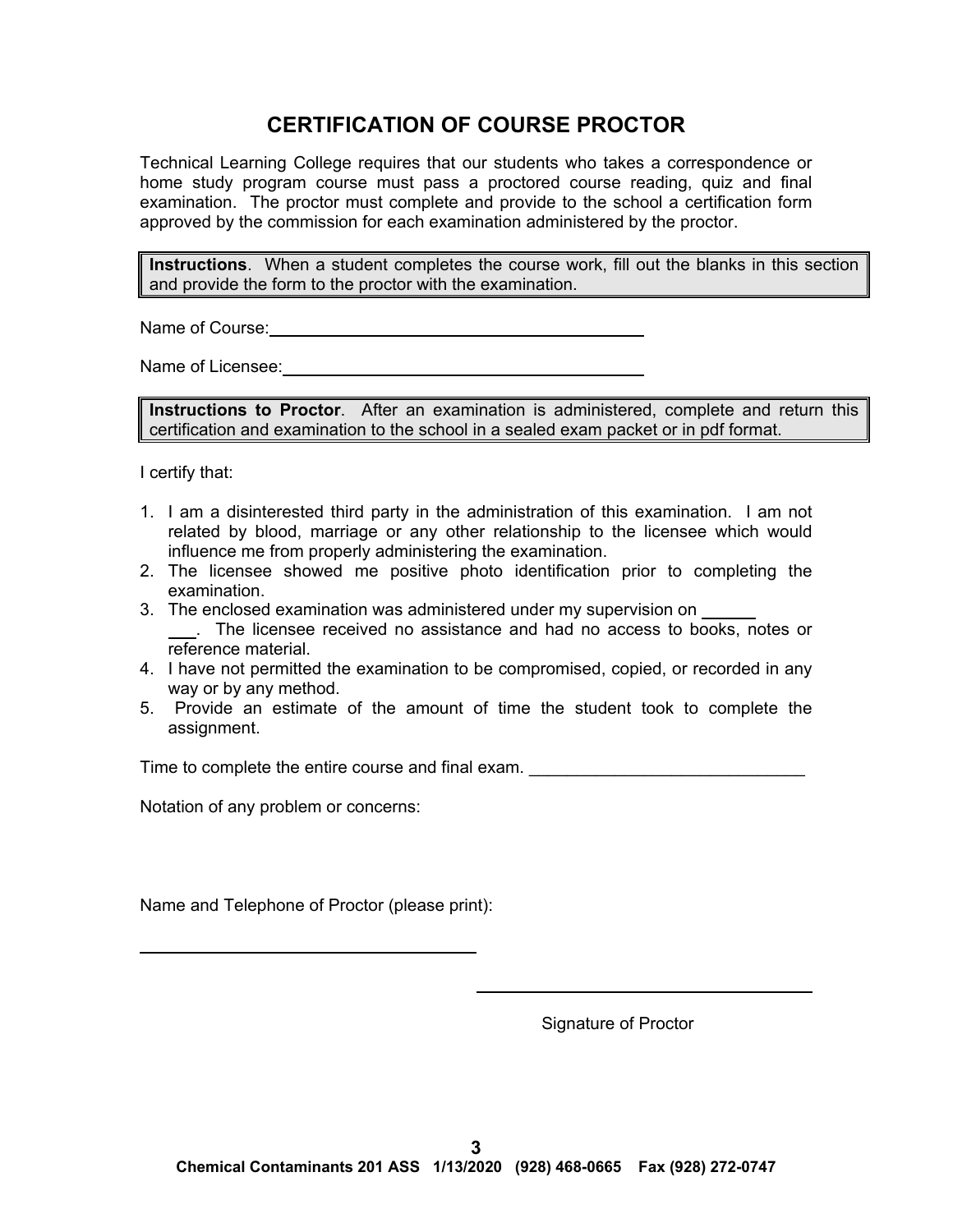# **CERTIFICATION OF COURSE PROCTOR**

Technical Learning College requires that our students who takes a correspondence or home study program course must pass a proctored course reading, quiz and final examination. The proctor must complete and provide to the school a certification form approved by the commission for each examination administered by the proctor.

**Instructions**. When a student completes the course work, fill out the blanks in this section and provide the form to the proctor with the examination.

Name of Course: **Name of Course:** 

Name of Licensee:

**Instructions to Proctor**. After an examination is administered, complete and return this certification and examination to the school in a sealed exam packet or in pdf format.

I certify that:

 $\overline{a}$ 

- 1. I am a disinterested third party in the administration of this examination. I am not related by blood, marriage or any other relationship to the licensee which would influence me from properly administering the examination.
- 2. The licensee showed me positive photo identification prior to completing the examination.
- 3. The enclosed examination was administered under my supervision on . The licensee received no assistance and had no access to books, notes or reference material.
- 4. I have not permitted the examination to be compromised, copied, or recorded in any way or by any method.
- 5. Provide an estimate of the amount of time the student took to complete the assignment.

Time to complete the entire course and final exam.

Notation of any problem or concerns:

Name and Telephone of Proctor (please print):

Signature of Proctor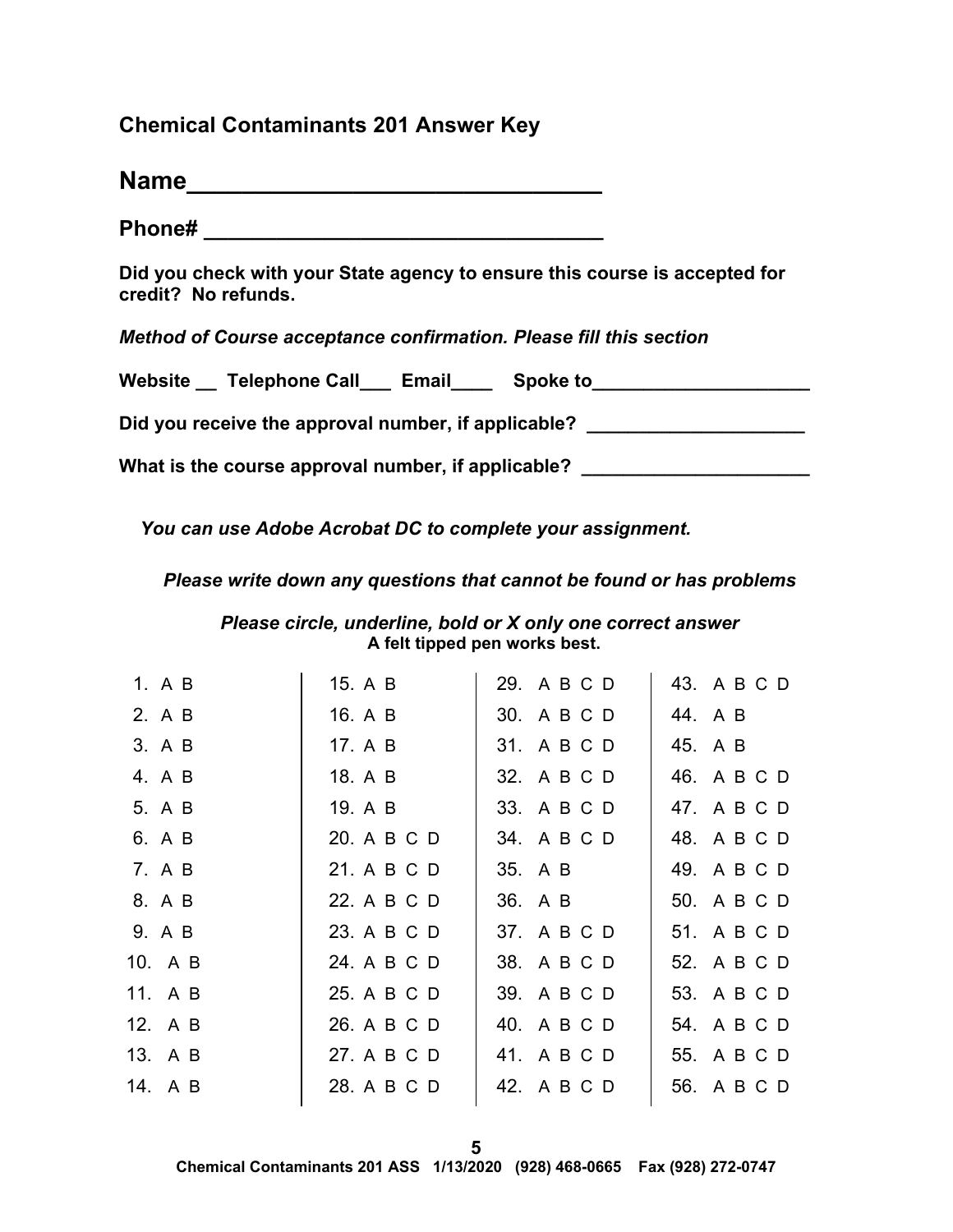# **Chemical Contaminants 201 Answer Key**

| <b>Name</b> |  |  |  |  |  |
|-------------|--|--|--|--|--|
|             |  |  |  |  |  |

**Phone# \_\_\_\_\_\_\_\_\_\_\_\_\_\_\_\_\_\_\_\_\_\_\_\_\_\_\_\_\_\_\_\_\_** 

**Did you check with your State agency to ensure this course is accepted for credit? No refunds.** 

*Method of Course acceptance confirmation. Please fill this section* 

| Website __ Telephone Call___ Email | <b>Spoke to</b> |
|------------------------------------|-----------------|
|                                    |                 |

Did you receive the approval number, if applicable? \_\_\_\_\_\_\_\_\_\_\_\_\_\_\_\_\_\_\_\_\_\_\_\_\_\_\_\_

What is the course approval number, if applicable?

*You can use Adobe Acrobat DC to complete your assignment.* 

*Please write down any questions that cannot be found or has problems* 

*Please circle, underline, bold or X only one correct answer* **A felt tipped pen works best.** 

| 1. A B  | 15. A B     | 29. A B C D | 43. A B C D |
|---------|-------------|-------------|-------------|
| 2. A B  | 16. A B     | 30. A B C D | 44. A B     |
| 3. A B  | 17. A B     | 31. A B C D | 45. A B     |
| 4. A B  | 18. A B     | 32. A B C D | 46. A B C D |
| 5. A B  | 19. A B     | 33. A B C D | 47. A B C D |
| 6. A B  | 20. A B C D | 34. A B C D | 48. A B C D |
| 7. A B  | 21. A B C D | 35. A B     | 49. A B C D |
| 8. A B  | 22. A B C D | 36. A B     | 50. A B C D |
| 9. A B  | 23. A B C D | 37. A B C D | 51. A B C D |
| 10. A B | 24. A B C D | 38. A B C D | 52. A B C D |
| 11. A B | 25. A B C D | 39. A B C D | 53. A B C D |
| 12. A B | 26. A B C D | 40. A B C D | 54. A B C D |
| 13. A B | 27. A B C D | 41. A B C D | 55. A B C D |
| 14. A B | 28. A B C D | 42. A B C D | 56. A B C D |
|         |             |             |             |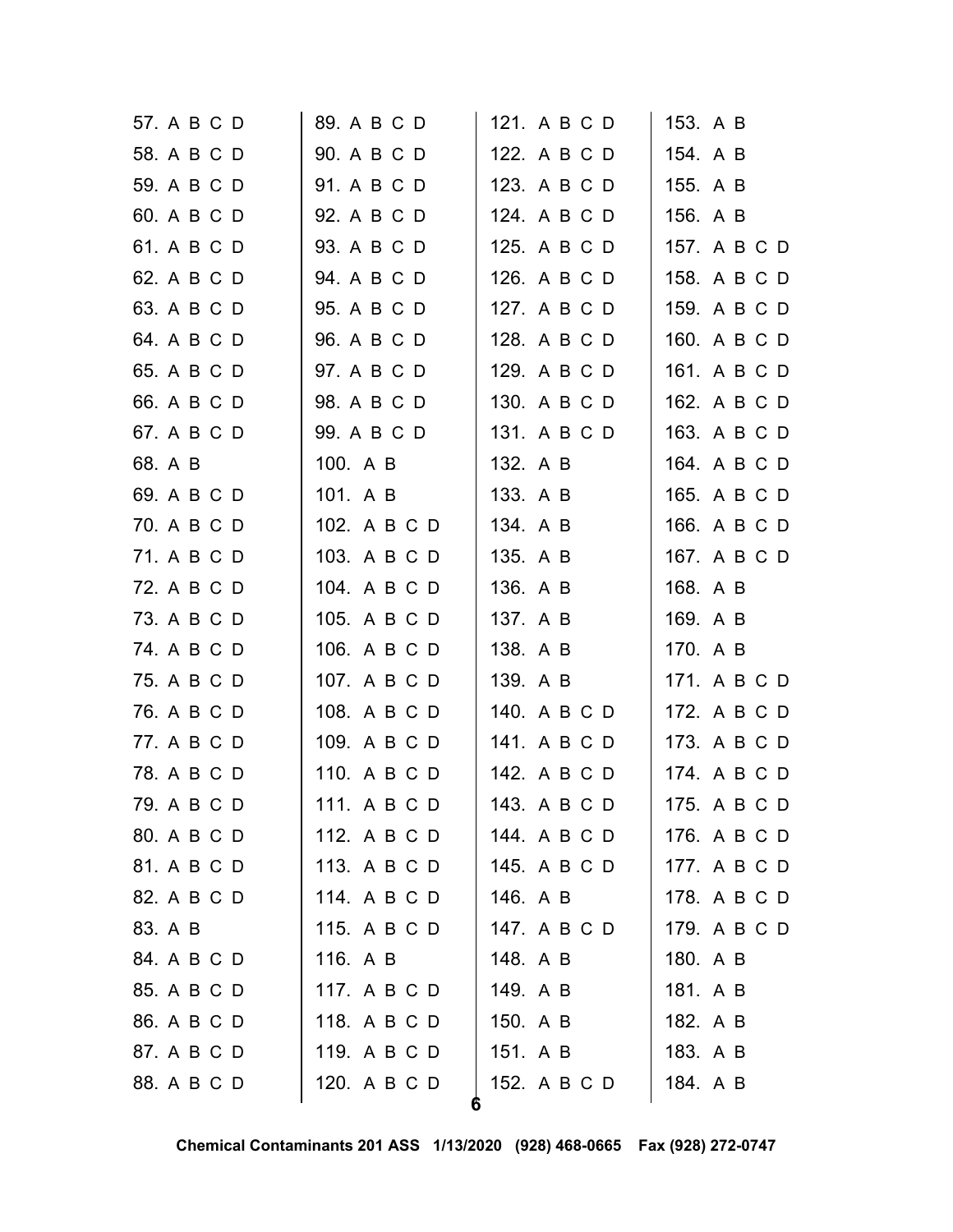| 57. A B C D | 89. A B C D  | 121. A B C D | 153. A B     |
|-------------|--------------|--------------|--------------|
| 58. A B C D | 90. A B C D  | 122. A B C D | 154. A B     |
| 59. A B C D | 91. A B C D  | 123. A B C D | 155. A B     |
| 60. A B C D | 92. A B C D  | 124. A B C D | 156. A B     |
| 61. A B C D | 93. A B C D  | 125. A B C D | 157. A B C D |
| 62. A B C D | 94. A B C D  | 126. A B C D | 158. A B C D |
| 63. A B C D | 95. A B C D  | 127. A B C D | 159. A B C D |
| 64. A B C D | 96. A B C D  | 128. A B C D | 160. A B C D |
| 65. A B C D | 97. A B C D  | 129. A B C D | 161. A B C D |
| 66. A B C D | 98. A B C D  | 130. A B C D | 162. A B C D |
| 67. A B C D | 99. A B C D  | 131. A B C D | 163. A B C D |
| 68. A B     | 100. A B     | 132. A B     | 164. A B C D |
| 69. A B C D | 101. A B     | 133. A B     | 165. A B C D |
| 70. A B C D | 102. A B C D | 134. A B     | 166. A B C D |
| 71. A B C D | 103. A B C D | 135. A B     | 167. A B C D |
| 72. A B C D | 104. A B C D | 136. A B     | 168. A B     |
| 73. A B C D | 105. A B C D | 137. A B     | 169. A B     |
| 74. A B C D | 106. A B C D | 138. A B     | 170. A B     |
| 75. A B C D | 107. A B C D | 139. A B     | 171. A B C D |
| 76. A B C D | 108. A B C D | 140. A B C D | 172. A B C D |
| 77. A B C D | 109. A B C D | 141. A B C D | 173. A B C D |
| 78. A B C D | 110. A B C D | 142. A B C D | 174. A B C D |
| 79. A B C D | 111. A B C D | 143. A B C D | 175. A B C D |
| 80. A B C D | 112. A B C D | 144. A B C D | 176. A B C D |
| 81. A B C D | 113. A B C D | 145. A B C D | 177. A B C D |
| 82. A B C D | 114. A B C D | 146. A B     | 178. A B C D |
| 83. A B     | 115. A B C D | 147. A B C D | 179. A B C D |
| 84. A B C D | 116. A B     | 148. A B     | 180. A B     |
| 85. A B C D | 117. A B C D | 149. A B     | 181. A B     |
| 86. A B C D | 118. A B C D | 150. A B     | 182. A B     |
| 87. A B C D | 119. A B C D | 151. A B     | 183. A B     |
| 88. A B C D | 120. A B C D | 152. A B C D | 184. A B     |
|             |              | 6            |              |

**Chemical Contaminants 201 ASS 1/13/2020 (928) 468-0665 Fax (928) 272-0747**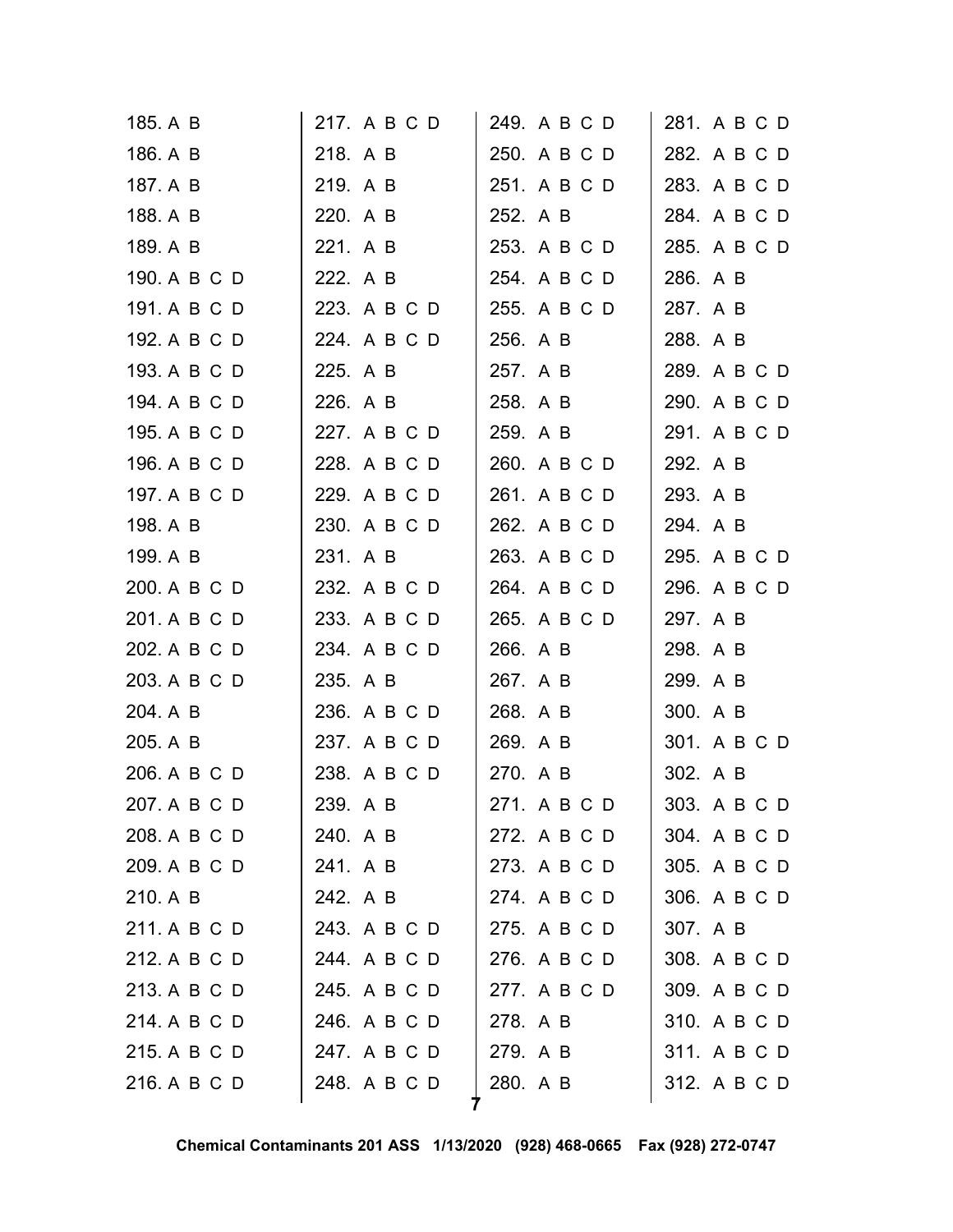| 185. A B     | 217. A B C D | 249. A B C D | 281. A B C D |
|--------------|--------------|--------------|--------------|
| 186. A B     | 218. A B     | 250. A B C D | 282. A B C D |
| 187. A B     | 219. A B     | 251. A B C D | 283. A B C D |
| 188. A B     | 220. A B     | 252. A B     | 284. A B C D |
| 189. A B     | 221. A B     | 253. A B C D | 285. A B C D |
| 190. A B C D | 222. A B     | 254. A B C D | 286. A B     |
| 191. A B C D | 223. A B C D | 255. A B C D | 287. A B     |
| 192. A B C D | 224. A B C D | 256. A B     | 288. A B     |
| 193. A B C D | 225. A B     | 257. A B     | 289. A B C D |
| 194. A B C D | 226. A B     | 258. A B     | 290. A B C D |
| 195. A B C D | 227. A B C D | 259. A B     | 291. A B C D |
| 196. A B C D | 228. A B C D | 260. A B C D | 292. A B     |
| 197. A B C D | 229. A B C D | 261. A B C D | 293. A B     |
| 198. A B     | 230. A B C D | 262. A B C D | 294. A B     |
| 199. A B     | 231. A B     | 263. A B C D | 295. A B C D |
| 200. A B C D | 232. A B C D | 264. A B C D | 296. A B C D |
| 201. A B C D | 233. A B C D | 265. A B C D | 297. A B     |
| 202. A B C D | 234. A B C D | 266. A B     | 298. A B     |
| 203. A B C D | 235. A B     | 267. A B     | 299. A B     |
| 204. A B     | 236. A B C D | 268. A B     | 300. A B     |
| 205. A B     | 237. A B C D | 269. A B     | 301. A B C D |
| 206. A B C D | 238. A B C D | 270. A B     | 302. A B     |
| 207. A B C D | 239. A B     | 271. A B C D | 303. A B C D |
| 208. A B C D | 240. A B     | 272. A B C D | 304. A B C D |
| 209. A B C D | 241. A B     | 273. A B C D | 305. A B C D |
| 210. A B     | 242. A B     | 274. A B C D | 306. A B C D |
| 211. A B C D | 243. A B C D | 275. A B C D | 307. A B     |
| 212. A B C D | 244. A B C D | 276. A B C D | 308. A B C D |
| 213. A B C D | 245. A B C D | 277. A B C D | 309. A B C D |
| 214. A B C D | 246. A B C D | 278. A B     | 310. A B C D |
| 215. A B C D | 247. A B C D | 279. A B     | 311. A B C D |
| 216. A B C D | 248. A B C D | 280. A B     | 312. A B C D |
|              |              |              |              |

**Chemical Contaminants 201 ASS 1/13/2020 (928) 468-0665 Fax (928) 272-0747**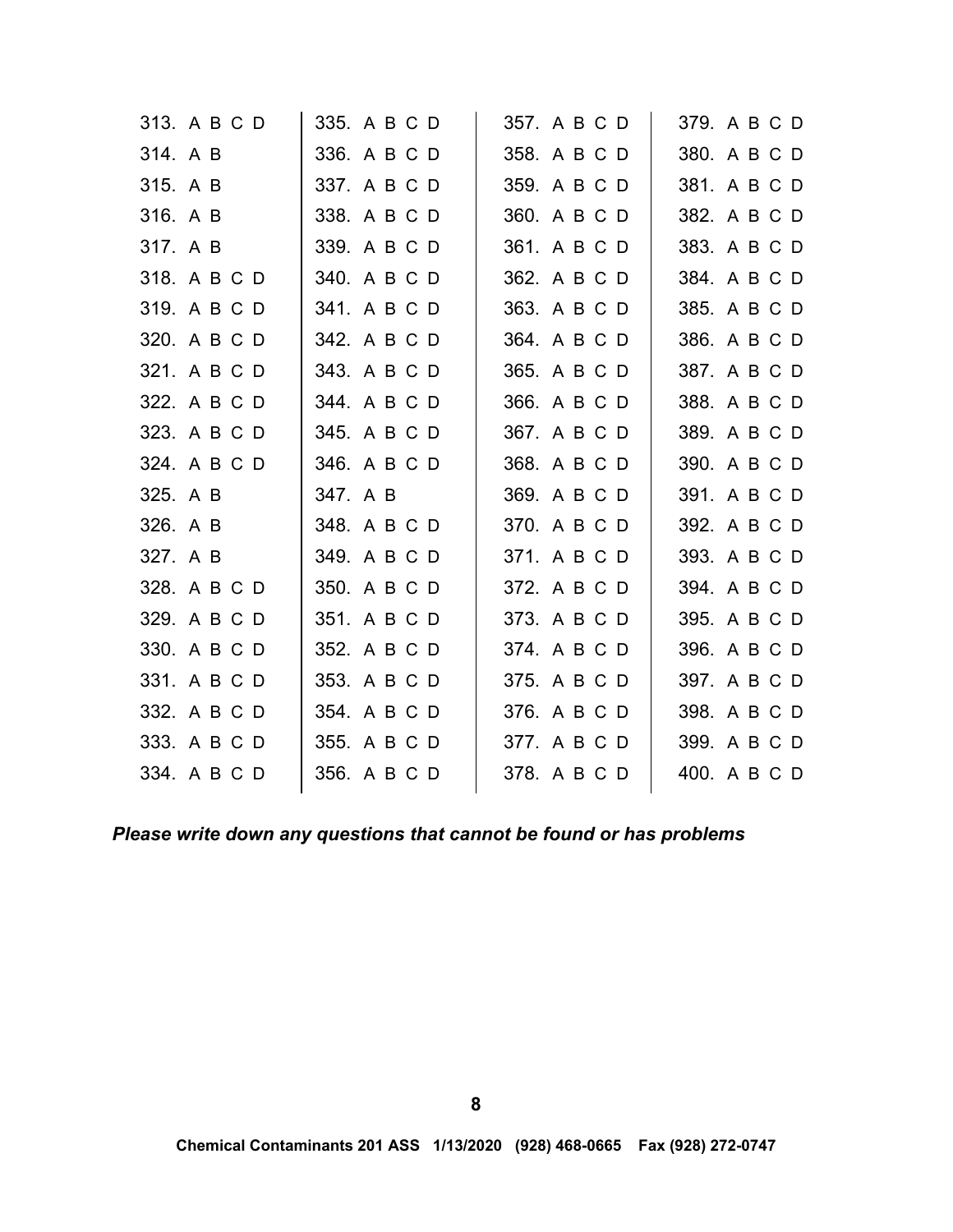| 313. A B C D | 335. A B C D | 357. A B C D | 379. A B C D |
|--------------|--------------|--------------|--------------|
| 314. A B     | 336. A B C D | 358. A B C D | 380. A B C D |
| 315. A B     | 337. A B C D | 359. A B C D | 381. A B C D |
| 316. A B     | 338. A B C D | 360. A B C D | 382. A B C D |
| 317. A B     | 339. A B C D | 361. A B C D | 383. A B C D |
| 318. A B C D | 340. A B C D | 362. A B C D | 384. A B C D |
| 319. A B C D | 341. A B C D | 363. A B C D | 385. A B C D |
| 320. A B C D | 342. A B C D | 364. A B C D | 386. A B C D |
| 321. A B C D | 343. A B C D | 365. A B C D | 387. A B C D |
| 322. A B C D | 344. A B C D | 366. A B C D | 388. A B C D |
| 323. A B C D | 345. A B C D | 367. A B C D | 389. A B C D |
| 324. A B C D | 346. A B C D | 368. A B C D | 390. A B C D |
| 325. A B     | 347. A B     | 369. A B C D | 391. A B C D |
| 326. A B     | 348. A B C D | 370. A B C D | 392. A B C D |
| 327. A B     | 349. A B C D | 371. A B C D | 393. A B C D |
| 328. A B C D | 350. A B C D | 372. A B C D | 394. A B C D |
| 329. A B C D | 351. A B C D | 373. A B C D | 395. A B C D |
| 330. A B C D | 352. A B C D | 374. A B C D | 396. A B C D |
| 331. A B C D | 353. A B C D | 375. A B C D | 397. A B C D |
| 332. A B C D | 354. A B C D | 376. A B C D | 398. A B C D |
| 333. A B C D | 355. A B C D | 377. A B C D | 399. A B C D |
| 334. A B C D | 356. A B C D | 378. A B C D | 400. A B C D |
|              |              |              |              |

*Please write down any questions that cannot be found or has problems*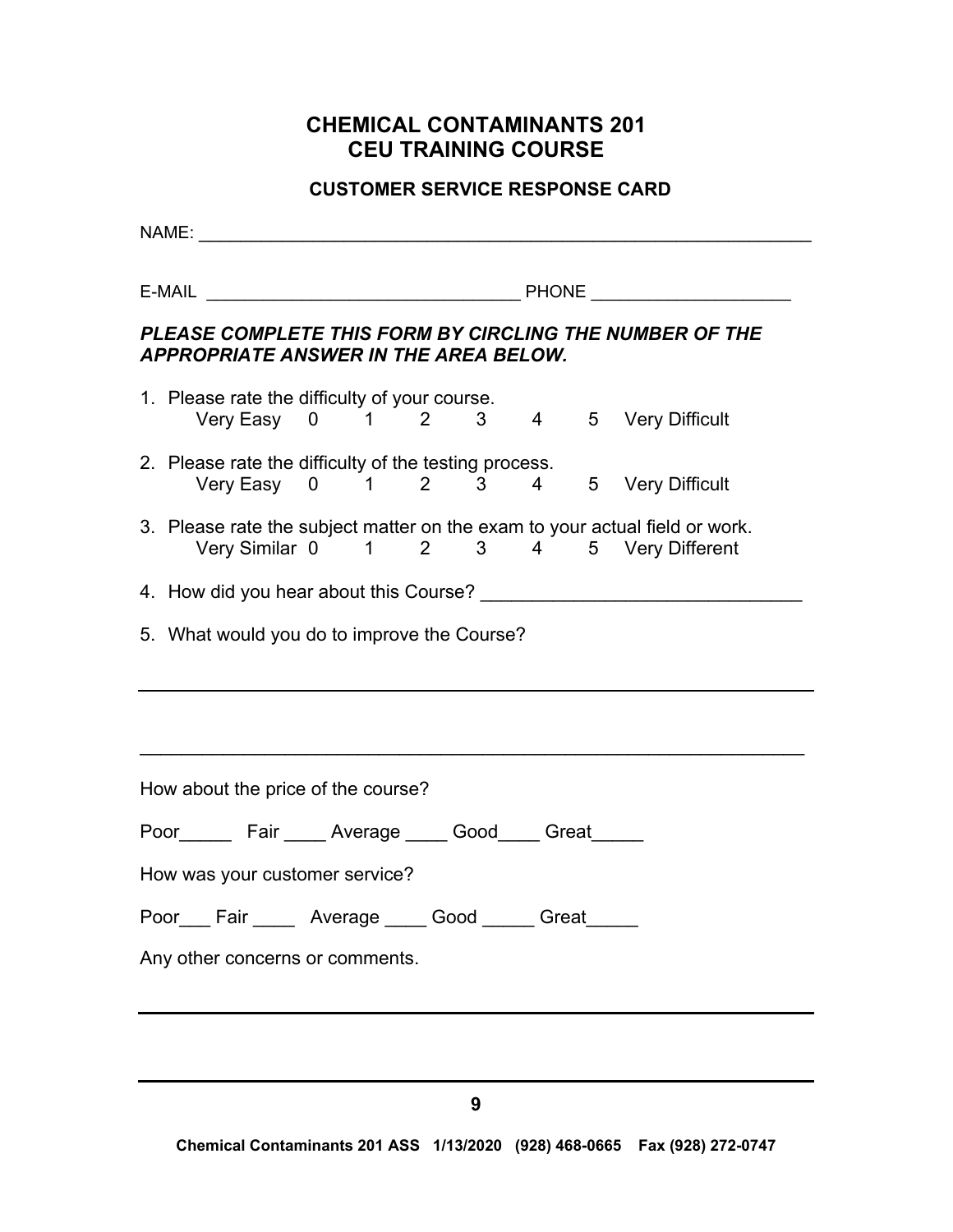# **CHEMICAL CONTAMINANTS 201 CEU TRAINING COURSE**

# **CUSTOMER SERVICE RESPONSE CARD**

| PLEASE COMPLETE THIS FORM BY CIRCLING THE NUMBER OF THE<br><b>APPROPRIATE ANSWER IN THE AREA BELOW.</b>                |  |  |
|------------------------------------------------------------------------------------------------------------------------|--|--|
| 1. Please rate the difficulty of your course.<br>Very Easy 0 1 2 3 4 5 Very Difficult                                  |  |  |
| 2. Please rate the difficulty of the testing process.<br>Very Easy 0 1 2 3 4 5 Very Difficult                          |  |  |
| 3. Please rate the subject matter on the exam to your actual field or work.<br>Very Similar 0 1 2 3 4 5 Very Different |  |  |
|                                                                                                                        |  |  |
| 5. What would you do to improve the Course?                                                                            |  |  |
| How about the price of the course?                                                                                     |  |  |
| Poor_________ Fair ______ Average ______ Good______ Great______                                                        |  |  |
| How was your customer service?                                                                                         |  |  |
| Poor___ Fair _____ Average ____ Good _____ Great ____                                                                  |  |  |
| Any other concerns or comments.                                                                                        |  |  |
|                                                                                                                        |  |  |
|                                                                                                                        |  |  |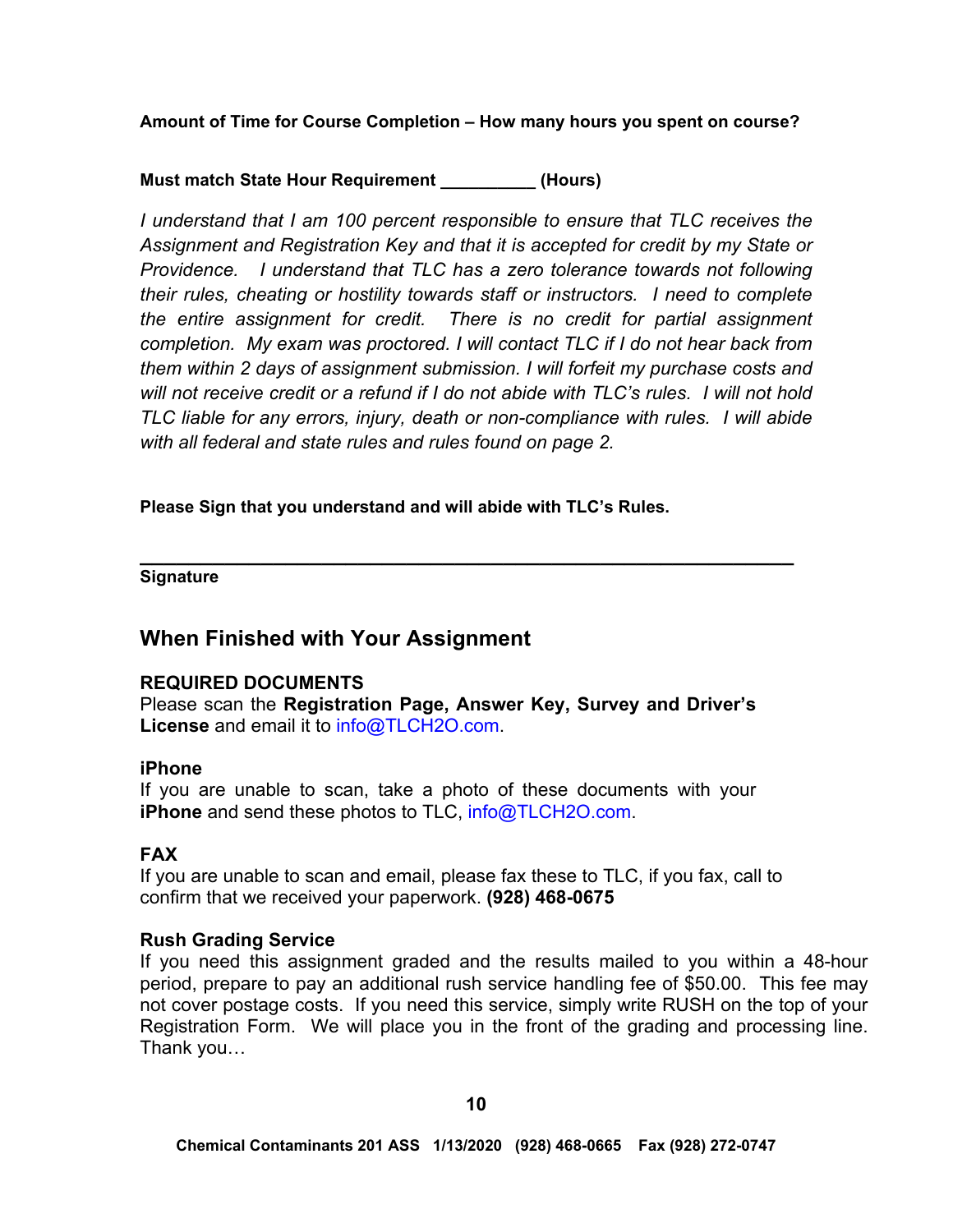**Amount of Time for Course Completion – How many hours you spent on course?** 

# **Must match State Hour Requirement \_\_\_\_\_\_\_\_\_\_ (Hours)**

*I* understand that *I* am 100 percent responsible to ensure that TLC receives the *Assignment and Registration Key and that it is accepted for credit by my State or Providence. I understand that TLC has a zero tolerance towards not following their rules, cheating or hostility towards staff or instructors. I need to complete the entire assignment for credit. There is no credit for partial assignment completion. My exam was proctored. I will contact TLC if I do not hear back from them within 2 days of assignment submission. I will forfeit my purchase costs and will not receive credit or a refund if I do not abide with TLC's rules. I will not hold TLC liable for any errors, injury, death or non-compliance with rules. I will abide with all federal and state rules and rules found on page 2.* 

**Please Sign that you understand and will abide with TLC's Rules.** 

**\_\_\_\_\_\_\_\_\_\_\_\_\_\_\_\_\_\_\_\_\_\_\_\_\_\_\_\_\_\_\_\_\_\_\_\_\_\_\_\_\_\_\_\_\_\_\_\_\_\_\_\_\_\_ Signature** 

# **When Finished with Your Assignment**

# **REQUIRED DOCUMENTS**

Please scan the **Registration Page, Answer Key, Survey and Driver's License** and email it to [info@TLCH2O.com.](mailto:info@TLCH2O.com) 

# **iPhone**

If you are unable to scan, take a photo of these documents with your **iPhone** and send these photos to TLC, [info@TLCH2O.com.](mailto:info@TLCH2O.com) 

# **FAX**

If you are unable to scan and email, please fax these to TLC, if you fax, call to confirm that we received your paperwork. **(928) 468-0675** 

# **Rush Grading Service**

If you need this assignment graded and the results mailed to you within a 48-hour period, prepare to pay an additional rush service handling fee of \$50.00. This fee may not cover postage costs. If you need this service, simply write RUSH on the top of your Registration Form. We will place you in the front of the grading and processing line. Thank you…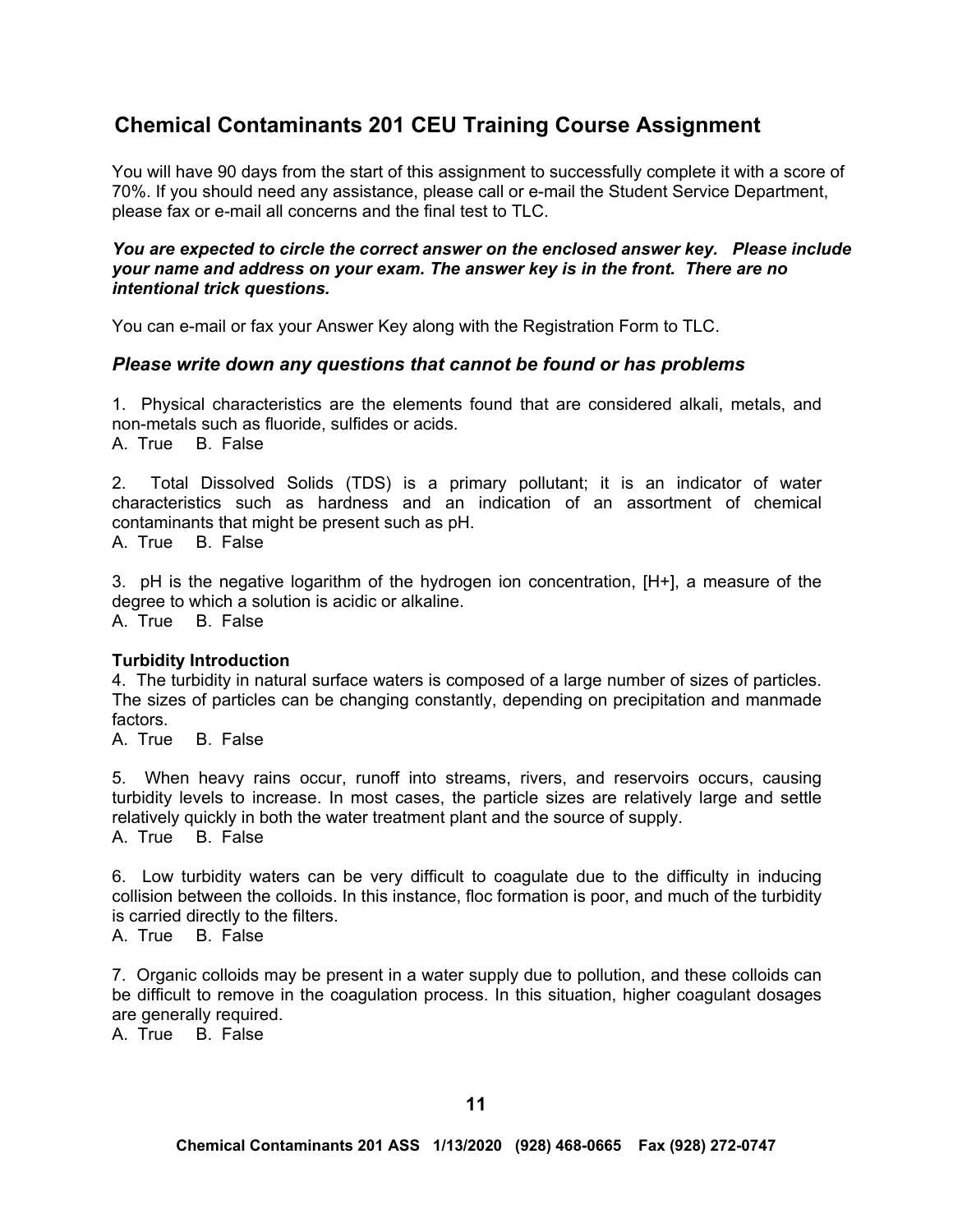# **Chemical Contaminants 201 CEU Training Course Assignment**

You will have 90 days from the start of this assignment to successfully complete it with a score of 70%. If you should need any assistance, please call or e-mail the Student Service Department, please fax or e-mail all concerns and the final test to TLC.

#### *You are expected to circle the correct answer on the enclosed answer key. Please include your name and address on your exam. The answer key is in the front. There are no intentional trick questions.*

You can e-mail or fax your Answer Key along with the Registration Form to TLC.

# *Please write down any questions that cannot be found or has problems*

1. Physical characteristics are the elements found that are considered alkali, metals, and non-metals such as fluoride, sulfides or acids. A. True B. False

2. Total Dissolved Solids (TDS) is a primary pollutant; it is an indicator of water characteristics such as hardness and an indication of an assortment of chemical contaminants that might be present such as pH.

A. True B. False

3. pH is the negative logarithm of the hydrogen ion concentration, [H+], a measure of the degree to which a solution is acidic or alkaline. A. True B. False

# **Turbidity Introduction**

4. The turbidity in natural surface waters is composed of a large number of sizes of particles. The sizes of particles can be changing constantly, depending on precipitation and manmade factors.

A. True B. False

5. When heavy rains occur, runoff into streams, rivers, and reservoirs occurs, causing turbidity levels to increase. In most cases, the particle sizes are relatively large and settle relatively quickly in both the water treatment plant and the source of supply. A. True B. False

6. Low turbidity waters can be very difficult to coagulate due to the difficulty in inducing collision between the colloids. In this instance, floc formation is poor, and much of the turbidity is carried directly to the filters.

A. True B. False

7. Organic colloids may be present in a water supply due to pollution, and these colloids can be difficult to remove in the coagulation process. In this situation, higher coagulant dosages are generally required.

A. True B. False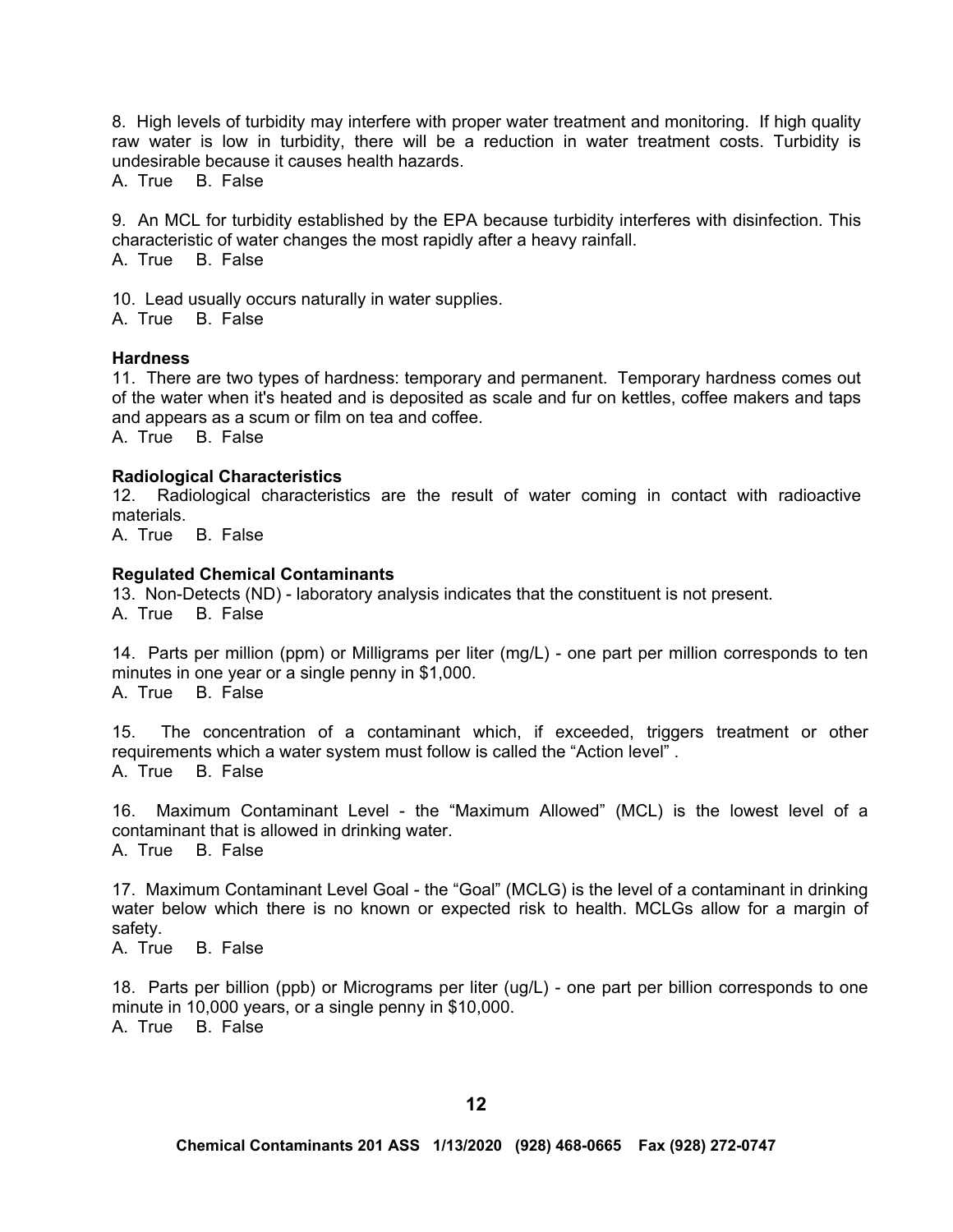8. High levels of turbidity may interfere with proper water treatment and monitoring. If high quality raw water is low in turbidity, there will be a reduction in water treatment costs. Turbidity is undesirable because it causes health hazards.

A. True B. False

9. An MCL for turbidity established by the EPA because turbidity interferes with disinfection. This characteristic of water changes the most rapidly after a heavy rainfall. A. True B. False

10. Lead usually occurs naturally in water supplies.

A. True B. False

#### **Hardness**

11. There are two types of hardness: temporary and permanent. Temporary hardness comes out of the water when it's heated and is deposited as scale and fur on kettles, coffee makers and taps and appears as a scum or film on tea and coffee.

A. True B. False

#### **Radiological Characteristics**

12. Radiological characteristics are the result of water coming in contact with radioactive materials.

A. True B. False

#### **Regulated Chemical Contaminants**

13. Non-Detects (ND) - laboratory analysis indicates that the constituent is not present. A. True B. False

14. Parts per million (ppm) or Milligrams per liter (mg/L) - one part per million corresponds to ten minutes in one year or a single penny in \$1,000. A. True B. False

15. The concentration of a contaminant which, if exceeded, triggers treatment or other requirements which a water system must follow is called the "Action level" . A. True B. False

16. Maximum Contaminant Level - the "Maximum Allowed" (MCL) is the lowest level of a contaminant that is allowed in drinking water. A. True B. False

17. Maximum Contaminant Level Goal - the "Goal" (MCLG) is the level of a contaminant in drinking water below which there is no known or expected risk to health. MCLGs allow for a margin of safety.

A. True B. False

18. Parts per billion (ppb) or Micrograms per liter (ug/L) - one part per billion corresponds to one minute in 10,000 years, or a single penny in \$10,000. A. True B. False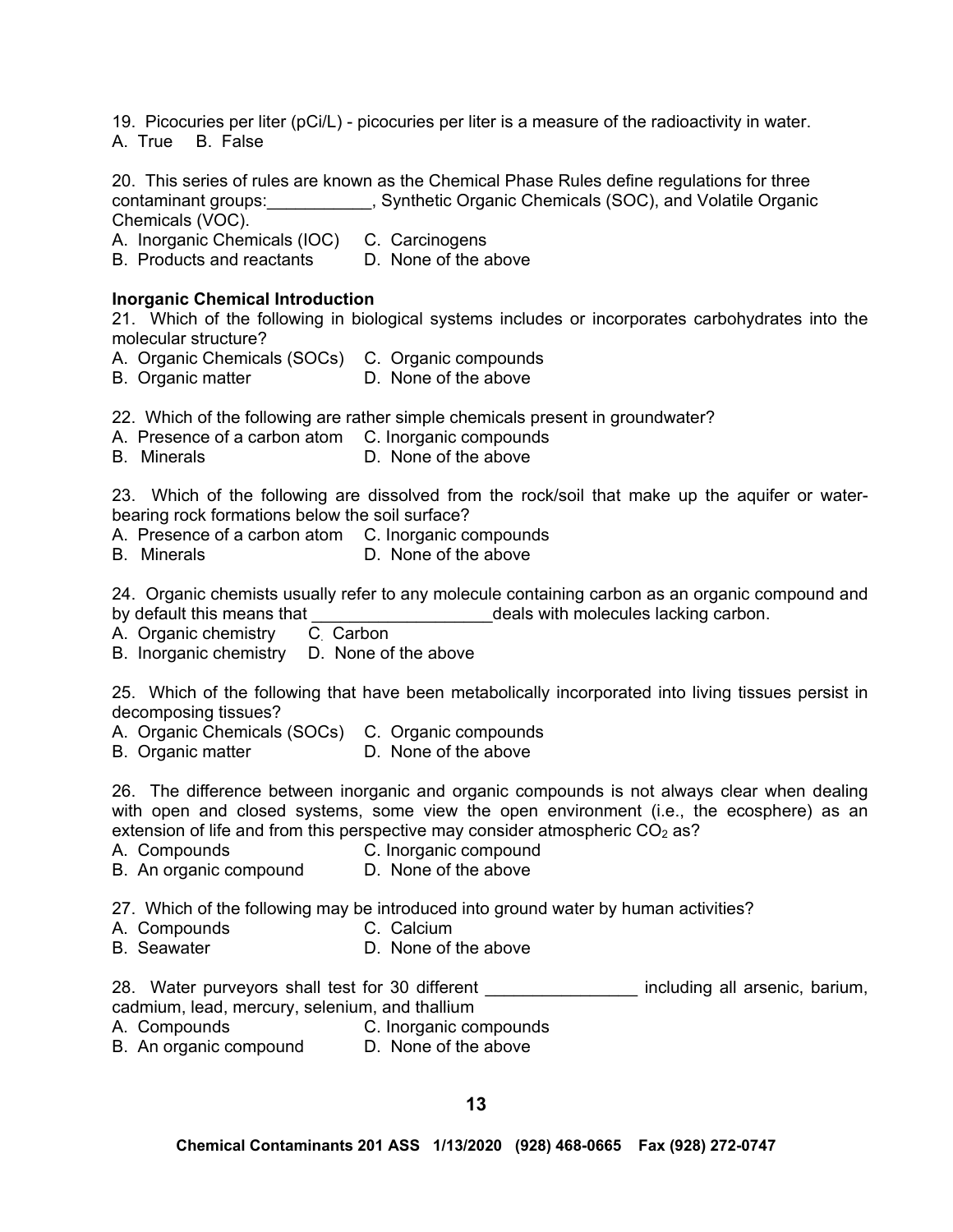19. Picocuries per liter (pCi/L) - picocuries per liter is a measure of the radioactivity in water. A. True B. False

20. This series of rules are known as the Chemical Phase Rules define regulations for three contaminant groups:\_\_\_\_\_\_\_\_\_\_\_, Synthetic Organic Chemicals (SOC), and Volatile Organic Chemicals (VOC).

A. Inorganic Chemicals (IOC) C. Carcinogens

B. Products and reactants D. None of the above

#### **Inorganic Chemical Introduction**

21. Which of the following in biological systems includes or incorporates carbohydrates into the molecular structure?

- A. Organic Chemicals (SOCs) C. Organic compounds
- B. Organic matter **D. None of the above**

22. Which of the following are rather simple chemicals present in groundwater?

- A. Presence of a carbon atom C. Inorganic compounds
- B. Minerals **D. None of the above**

23. Which of the following are dissolved from the rock/soil that make up the aquifer or waterbearing rock formations below the soil surface?

- A. Presence of a carbon atom C. Inorganic compounds
- B. Minerals **D. None of the above**

24. Organic chemists usually refer to any molecule containing carbon as an organic compound and by default this means that \_\_\_\_\_\_\_\_\_\_\_\_\_\_\_\_\_\_\_deals with molecules lacking carbon.

- A. Organic chemistry
- B. Inorganic chemistry D. None of the above

25. Which of the following that have been metabolically incorporated into living tissues persist in decomposing tissues?

- A. Organic Chemicals (SOCs) C. Organic compounds
- B. Organic matter **D.** None of the above

26. The difference between inorganic and organic compounds is not always clear when dealing with open and closed systems, some view the open environment (i.e., the ecosphere) as an extension of life and from this perspective may consider atmospheric CO<sub>2</sub> as?

- A. Compounds C. Inorganic compound
- B. An organic compound D. None of the above

27. Which of the following may be introduced into ground water by human activities?

- A. Compounds C. Calcium
- B. Seawater D. None of the above

28. Water purveyors shall test for 30 different \_\_\_\_\_\_\_\_\_\_\_\_\_\_\_\_\_ including all arsenic, barium, cadmium, lead, mercury, selenium, and thallium

- A. Compounds C. Inorganic compounds
	-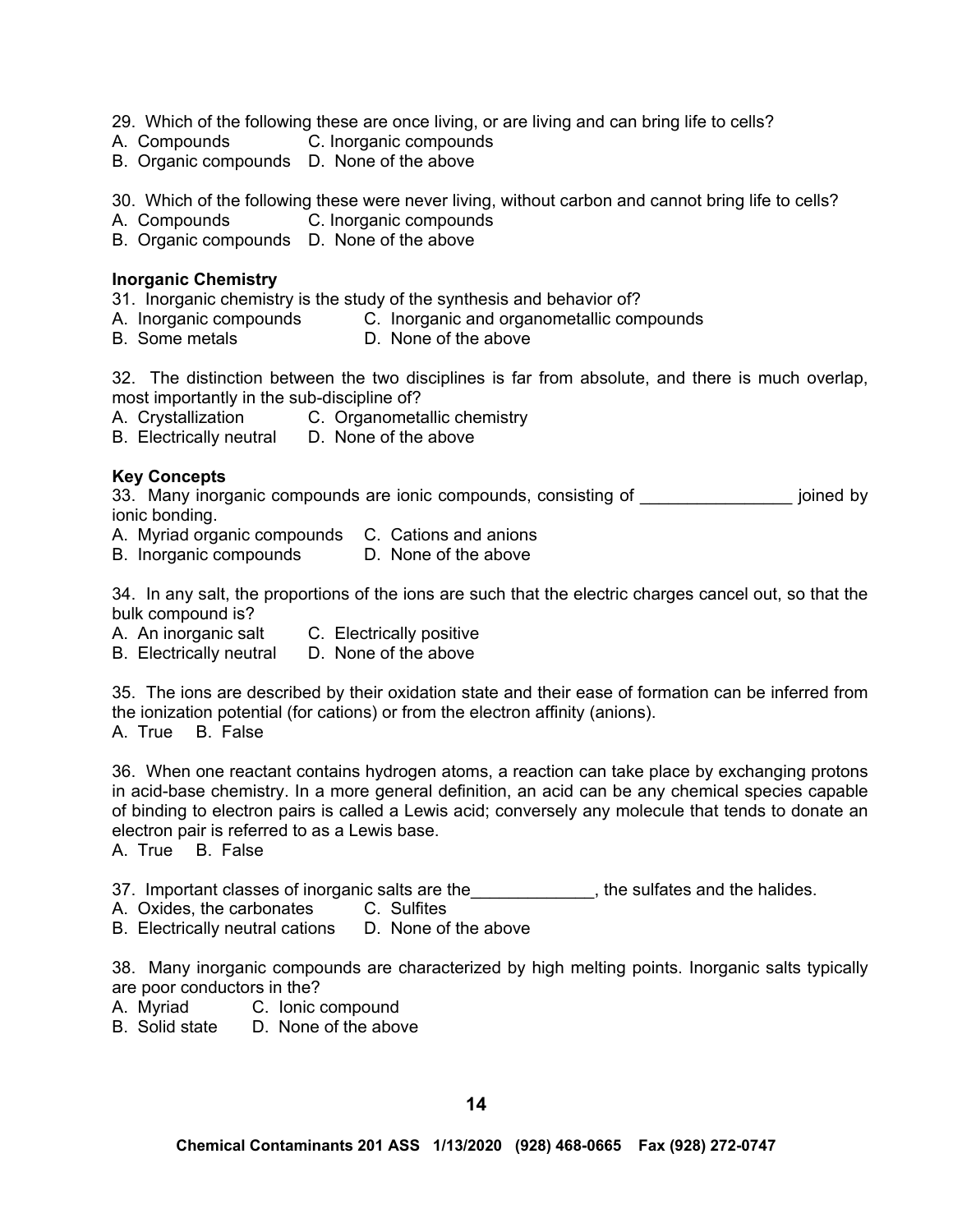- 29. Which of the following these are once living, or are living and can bring life to cells?
- A. Compounds C. Inorganic compounds
- B. Organic compounds D. None of the above
- 30. Which of the following these were never living, without carbon and cannot bring life to cells?
- A. Compounds C. Inorganic compounds
- B. Organic compounds D. None of the above

### **Inorganic Chemistry**

- 31. Inorganic chemistry is the study of the synthesis and behavior of?
- A. Inorganic compounds C. Inorganic and organometallic compounds
- B. Some metals **D.** None of the above

32. The distinction between the two disciplines is far from absolute, and there is much overlap, most importantly in the sub-discipline of?

- A. Crystallization C. Organometallic chemistry
- B. Electrically neutral D. None of the above

# **Key Concepts**

33. Many inorganic compounds are ionic compounds, consisting of **Example 20** joined by ionic bonding.

- A. Myriad organic compounds C. Cations and anions
- B. Inorganic compounds D. None of the above

34. In any salt, the proportions of the ions are such that the electric charges cancel out, so that the bulk compound is?

- A. An inorganic salt C. Electrically positive
- B. Electrically neutral D. None of the above

35. The ions are described by their oxidation state and their ease of formation can be inferred from the ionization potential (for cations) or from the electron affinity (anions).

A. True B. False

36. When one reactant contains hydrogen atoms, a reaction can take place by exchanging protons in acid-base chemistry. In a more general definition, an acid can be any chemical species capable of binding to electron pairs is called a Lewis acid; conversely any molecule that tends to donate an electron pair is referred to as a Lewis base.

A. True B. False

37. Important classes of inorganic salts are the substance the sulfates and the halides.

- A. Oxides, the carbonates C. Sulfites
- B. Electrically neutral cations D. None of the above

38. Many inorganic compounds are characterized by high melting points. Inorganic salts typically are poor conductors in the?

- A. Myriad C. Ionic compound
- B. Solid state D. None of the above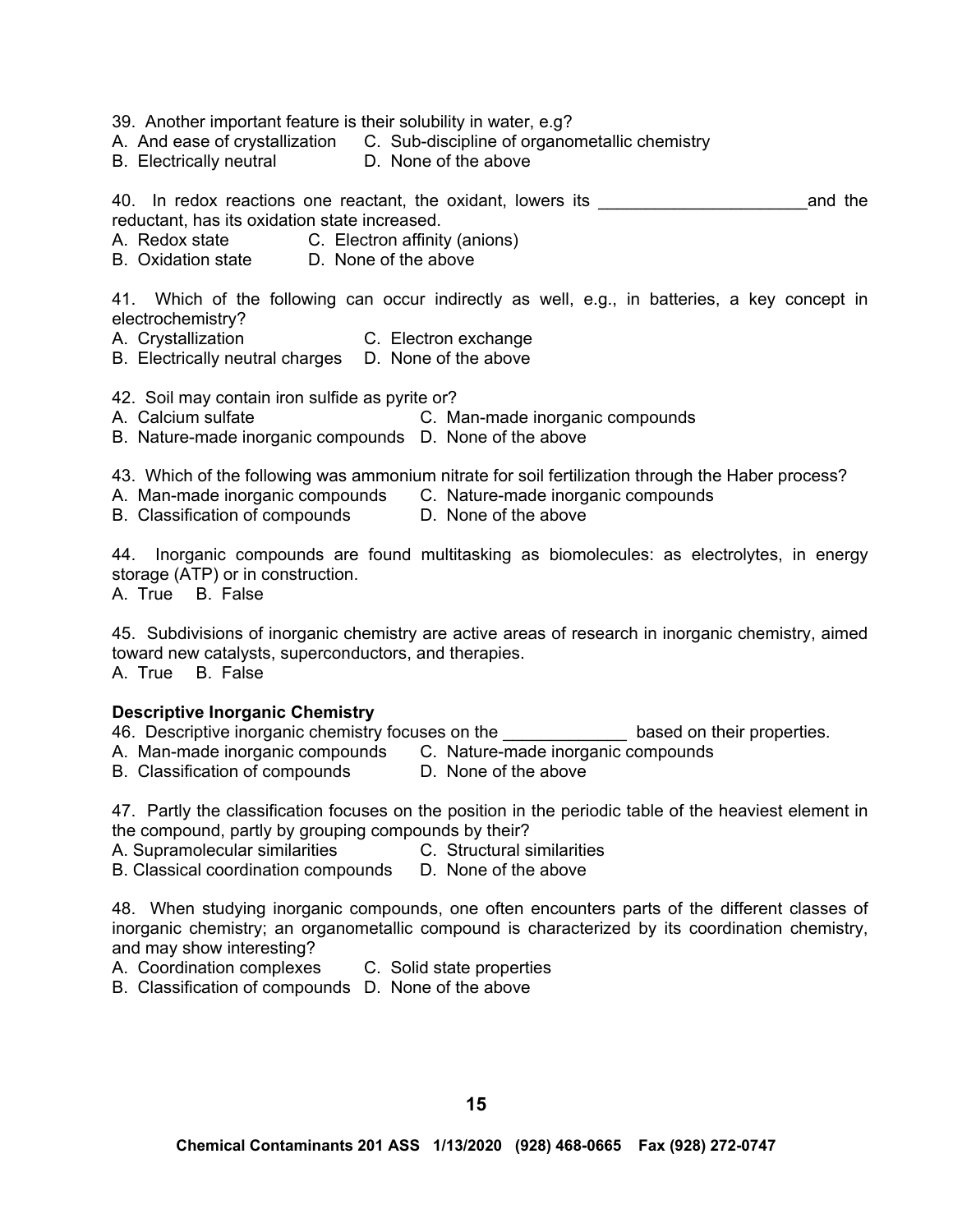39. Another important feature is their solubility in water, e.g?

A. And ease of crystallization C. Sub-discipline of organometallic chemistry

B. Electrically neutral D. None of the above

40. In redox reactions one reactant, the oxidant, lowers its \_\_\_\_\_\_\_\_\_\_\_\_\_\_\_\_\_\_\_\_\_\_and the reductant, has its oxidation state increased.

- A. Redox state **C.** Electron affinity (anions)
- B. Oxidation state D. None of the above

41. Which of the following can occur indirectly as well, e.g., in batteries, a key concept in electrochemistry?

- A. Crystallization C. Electron exchange
- B. Electrically neutral charges D. None of the above
- 42. Soil may contain iron sulfide as pyrite or?
- A. Calcium sulfate **C. Man-made inorganic compounds**
- B. Nature-made inorganic compounds D. None of the above

43. Which of the following was ammonium nitrate for soil fertilization through the Haber process?

- A. Man-made inorganic compounds C. Nature-made inorganic compounds
	-

B. Classification of compounds D. None of the above

44. Inorganic compounds are found multitasking as biomolecules: as electrolytes, in energy storage (ATP) or in construction.

A. True B. False

45. Subdivisions of inorganic chemistry are active areas of research in inorganic chemistry, aimed toward new catalysts, superconductors, and therapies. A. True B. False

#### **Descriptive Inorganic Chemistry**

- 46. Descriptive inorganic chemistry focuses on the \_\_\_\_\_\_\_\_\_\_\_\_\_ based on their properties.
- A. Man-made inorganic compounds C. Nature-made inorganic compounds<br>B. Classification of compounds D. None of the above
- B. Classification of compounds

47. Partly the classification focuses on the position in the periodic table of the heaviest element in the compound, partly by grouping compounds by their?

- A. Supramolecular similarities C. Structural similarities
	-

B. Classical coordination compounds D. None of the above

48. When studying inorganic compounds, one often encounters parts of the different classes of inorganic chemistry; an organometallic compound is characterized by its coordination chemistry, and may show interesting?

A. Coordination complexes C. Solid state properties

B. Classification of compounds D. None of the above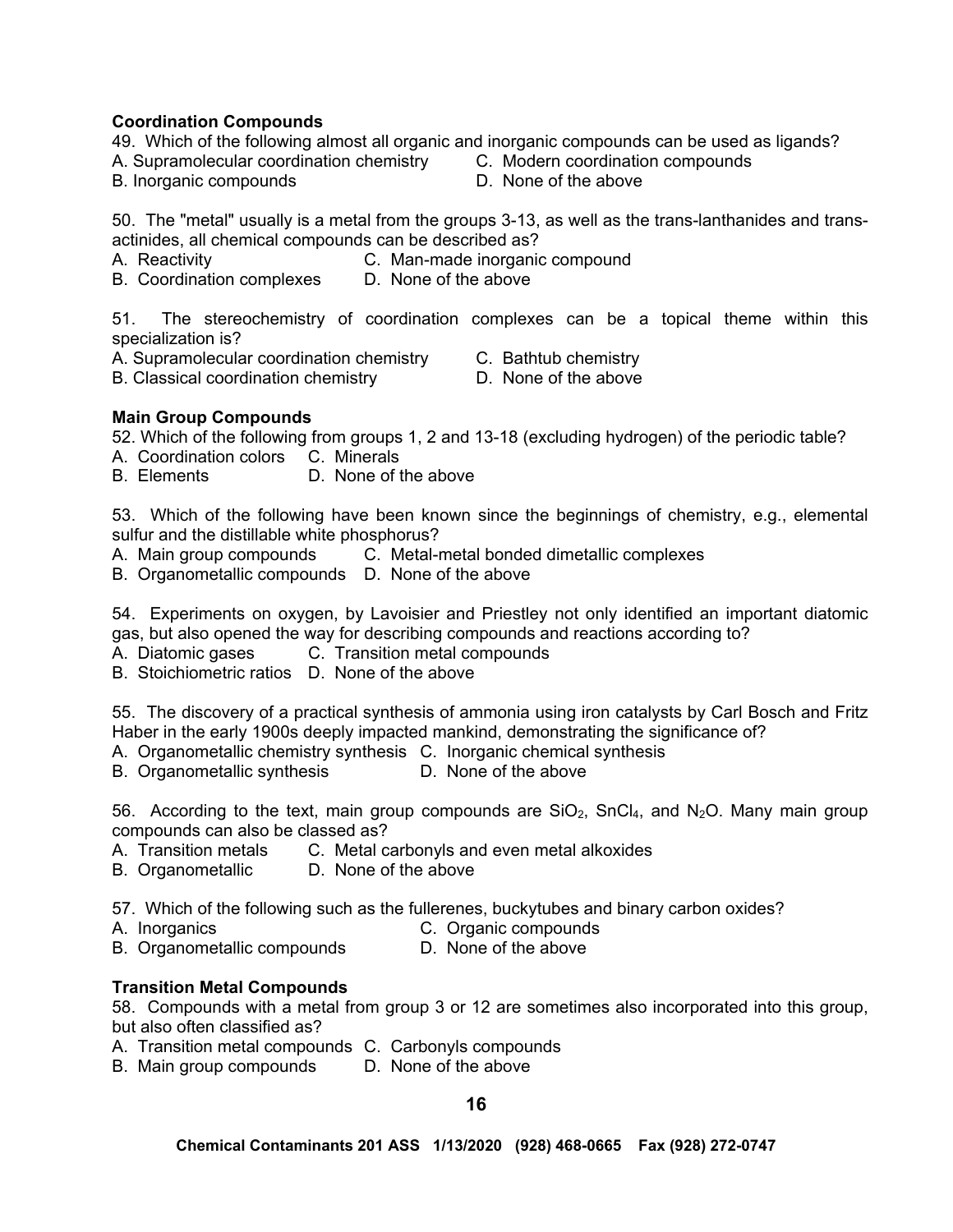# **Coordination Compounds**

49. Which of the following almost all organic and inorganic compounds can be used as ligands?

- A. Supramolecular coordination chemistry C. Modern coordination compounds
- B. Inorganic compounds D. None of the above

50. The "metal" usually is a metal from the groups 3-13, as well as the trans-lanthanides and transactinides, all chemical compounds can be described as?

- A. Reactivity C. Man-made inorganic compound
- B. Coordination complexes D. None of the above

51. The stereochemistry of coordination complexes can be a topical theme within this specialization is?

A. Supramolecular coordination chemistry C. Bathtub chemistry

- 
- B. Classical coordination chemistry **D.** None of the above
- 

# **Main Group Compounds**

52. Which of the following from groups 1, 2 and 13-18 (excluding hydrogen) of the periodic table?

- A. Coordination colors C. Minerals
- B. Elements D. None of the above

53. Which of the following have been known since the beginnings of chemistry, e.g., elemental sulfur and the distillable white phosphorus?

- A. Main group compounds C. Metal-metal bonded dimetallic complexes
- B. Organometallic compounds D. None of the above

54. Experiments on oxygen, by Lavoisier and Priestley not only identified an important diatomic gas, but also opened the way for describing compounds and reactions according to?

A. Diatomic gases C. Transition metal compounds

B. Stoichiometric ratios D. None of the above

55. The discovery of a practical synthesis of ammonia using iron catalysts by Carl Bosch and Fritz Haber in the early 1900s deeply impacted mankind, demonstrating the significance of?

- A. Organometallic chemistry synthesis C. Inorganic chemical synthesis B. Organometallic synthesis D. None of the above
- B. Organometallic synthesis

56. According to the text, main group compounds are  $SiO<sub>2</sub>$ , SnCl<sub>4</sub>, and N<sub>2</sub>O. Many main group compounds can also be classed as?

- A. Transition metals C. Metal carbonyls and even metal alkoxides
- B. Organometallic D. None of the above

57. Which of the following such as the fullerenes, buckytubes and binary carbon oxides?

- A. Inorganics C. Organic compounds
- B. Organometallic compounds D. None of the above

# **Transition Metal Compounds**

58. Compounds with a metal from group 3 or 12 are sometimes also incorporated into this group, but also often classified as?

- A. Transition metal compounds C. Carbonyls compounds
- B. Main group compounds D. None of the above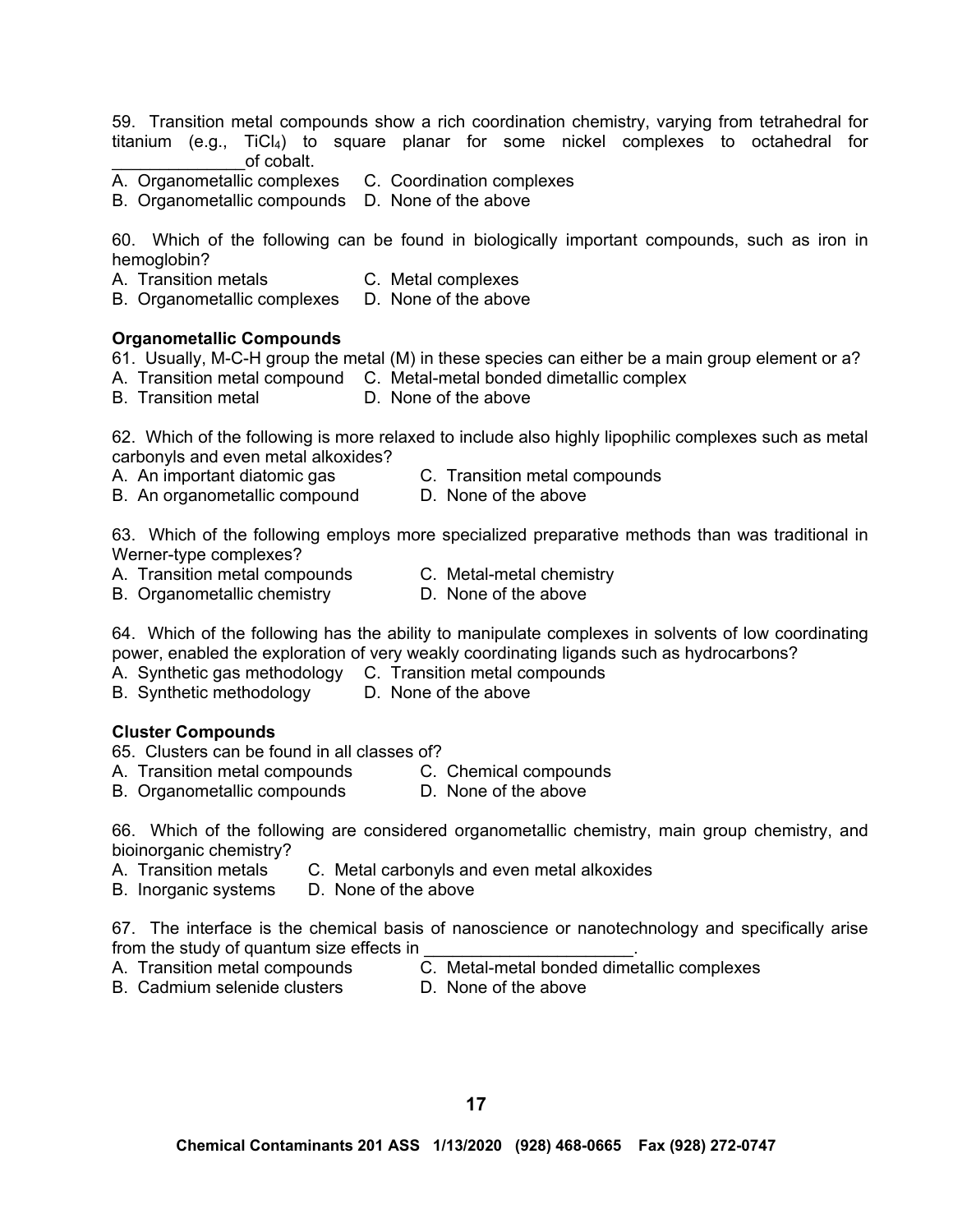59. Transition metal compounds show a rich coordination chemistry, varying from tetrahedral for titanium (e.g., TiCl4) to square planar for some nickel complexes to octahedral for \_\_\_\_\_\_\_\_\_\_\_\_\_\_of cobalt.

- A. Organometallic complexes C. Coordination complexes
- B. Organometallic compounds D. None of the above

60. Which of the following can be found in biologically important compounds, such as iron in hemoglobin?

- A. Transition metals C. Metal complexes
- B. Organometallic complexes D. None of the above

#### **Organometallic Compounds**

61. Usually, M-C-H group the metal (M) in these species can either be a main group element or a?

- A. Transition metal compound C. Metal-metal bonded dimetallic complex
- B. Transition metal D. None of the above

62. Which of the following is more relaxed to include also highly lipophilic complexes such as metal carbonyls and even metal alkoxides?

- A. An important diatomic gas C. Transition metal compounds
- B. An organometallic compound D. None of the above

63. Which of the following employs more specialized preparative methods than was traditional in Werner-type complexes?

- A. Transition metal compounds C. Metal-metal chemistry
- B. Organometallic chemistry **D. None of the above**

64. Which of the following has the ability to manipulate complexes in solvents of low coordinating power, enabled the exploration of very weakly coordinating ligands such as hydrocarbons?

- A. Synthetic gas methodology C. Transition metal compounds
- B. Synthetic methodology D. None of the above

#### **Cluster Compounds**

65. Clusters can be found in all classes of?

- A. Transition metal compounds C. Chemical compounds
- B. Organometallic compounds D. None of the above
- 

66. Which of the following are considered organometallic chemistry, main group chemistry, and bioinorganic chemistry?

- A. Transition metals C. Metal carbonyls and even metal alkoxides
- B. Inorganic systems D. None of the above

67. The interface is the chemical basis of nanoscience or nanotechnology and specifically arise from the study of quantum size effects in

- 
- B. Cadmium selenide clusters **D. None of the above**
- A. Transition metal compounds C. Metal-metal bonded dimetallic complexes
	-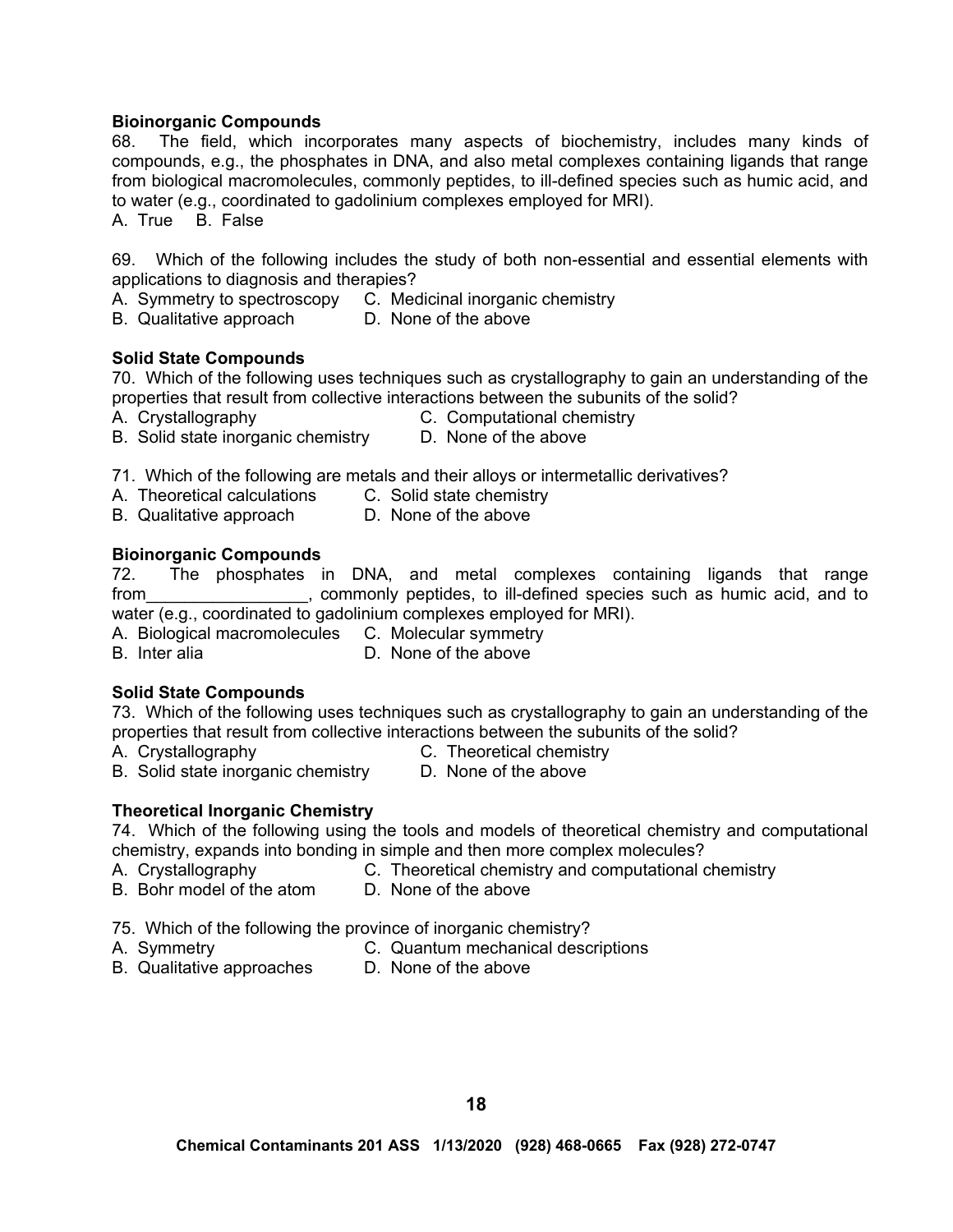## **Bioinorganic Compounds**

68. The field, which incorporates many aspects of biochemistry, includes many kinds of compounds, e.g., the phosphates in DNA, and also metal complexes containing ligands that range from biological macromolecules, commonly peptides, to ill-defined species such as humic acid, and to water (e.g., coordinated to gadolinium complexes employed for MRI).

A. True B. False

69. Which of the following includes the study of both non-essential and essential elements with applications to diagnosis and therapies?

A. Symmetry to spectroscopy C. Medicinal inorganic chemistry<br>B. Qualitative approach D. None of the above

B. Qualitative approach

#### **Solid State Compounds**

70. Which of the following uses techniques such as crystallography to gain an understanding of the properties that result from collective interactions between the subunits of the solid?

A. Crystallography C. Computational chemistry

B. Solid state inorganic chemistry D. None of the above

71. Which of the following are metals and their alloys or intermetallic derivatives?

- A. Theoretical calculations C. Solid state chemistry
- B. Qualitative approach D. None of the above

### **Bioinorganic Compounds**

72. The phosphates in DNA, and metal complexes containing ligands that range from the sum of the commonly peptides, to ill-defined species such as humic acid, and to water (e.g., coordinated to gadolinium complexes employed for MRI).

- A. Biological macromolecules C. Molecular symmetry
- B. Inter alia **D.** None of the above

#### **Solid State Compounds**

73. Which of the following uses techniques such as crystallography to gain an understanding of the properties that result from collective interactions between the subunits of the solid?

- 
- A. Crystallography C. Theoretical chemistry
- B. Solid state inorganic chemistry D. None of the above
	-

#### **Theoretical Inorganic Chemistry**

74. Which of the following using the tools and models of theoretical chemistry and computational chemistry, expands into bonding in simple and then more complex molecules?

- A. Crystallography **C.** Theoretical chemistry and computational chemistry **B.** Bohr model of the atom **D.** None of the above
- B. Bohr model of the atom

#### 75. Which of the following the province of inorganic chemistry?

- 
- A. Symmetry **C. Quantum mechanical descriptions**
- B. Qualitative approaches D. None of the above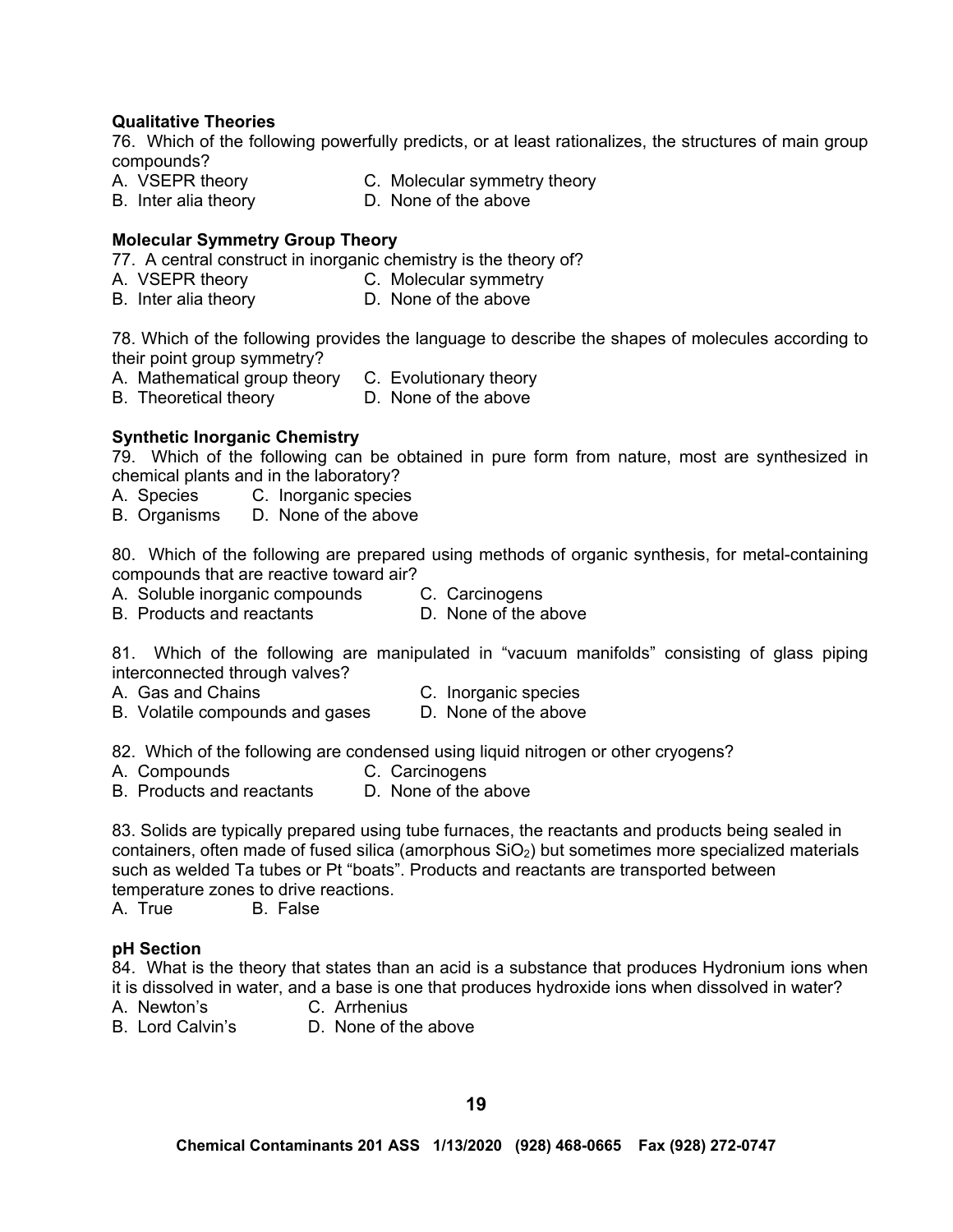# **Qualitative Theories**

76. Which of the following powerfully predicts, or at least rationalizes, the structures of main group compounds?

- A. VSEPR theory **C. Molecular symmetry theory**
- B. Inter alia theory **D.** None of the above

## **Molecular Symmetry Group Theory**

77. A central construct in inorganic chemistry is the theory of?

- A. VSEPR theory C. Molecular symmetry
- B. Inter alia theory D. None of the above

78. Which of the following provides the language to describe the shapes of molecules according to their point group symmetry?

- A. Mathematical group theory C. Evolutionary theory
- B. Theoretical theory **D.** None of the above

### **Synthetic Inorganic Chemistry**

79. Which of the following can be obtained in pure form from nature, most are synthesized in chemical plants and in the laboratory?

- A. Species C. Inorganic species
- B. Organisms D. None of the above

80. Which of the following are prepared using methods of organic synthesis, for metal-containing compounds that are reactive toward air?

- A. Soluble inorganic compounds C. Carcinogens
	-
- B. Products and reactants D. None of the above
- 

81. Which of the following are manipulated in "vacuum manifolds" consisting of glass piping interconnected through valves?

- A. Gas and Chains C. Inorganic species
	-
- B. Volatile compounds and gases D. None of the above

82. Which of the following are condensed using liquid nitrogen or other cryogens?

- A. Compounds C. Carcinogens
- B. Products and reactants D. None of the above

83. Solids are typically prepared using tube furnaces, the reactants and products being sealed in containers, often made of fused silica (amorphous  $SiO<sub>2</sub>$ ) but sometimes more specialized materials such as welded Ta tubes or Pt "boats". Products and reactants are transported between temperature zones to drive reactions.

A. True B. False

#### **pH Section**

84. What is the theory that states than an acid is a substance that produces Hydronium ions when it is dissolved in water, and a base is one that produces hydroxide ions when dissolved in water?

- A. Newton's C. Arrhenius
	-
- B. Lord Calvin's D. None of the above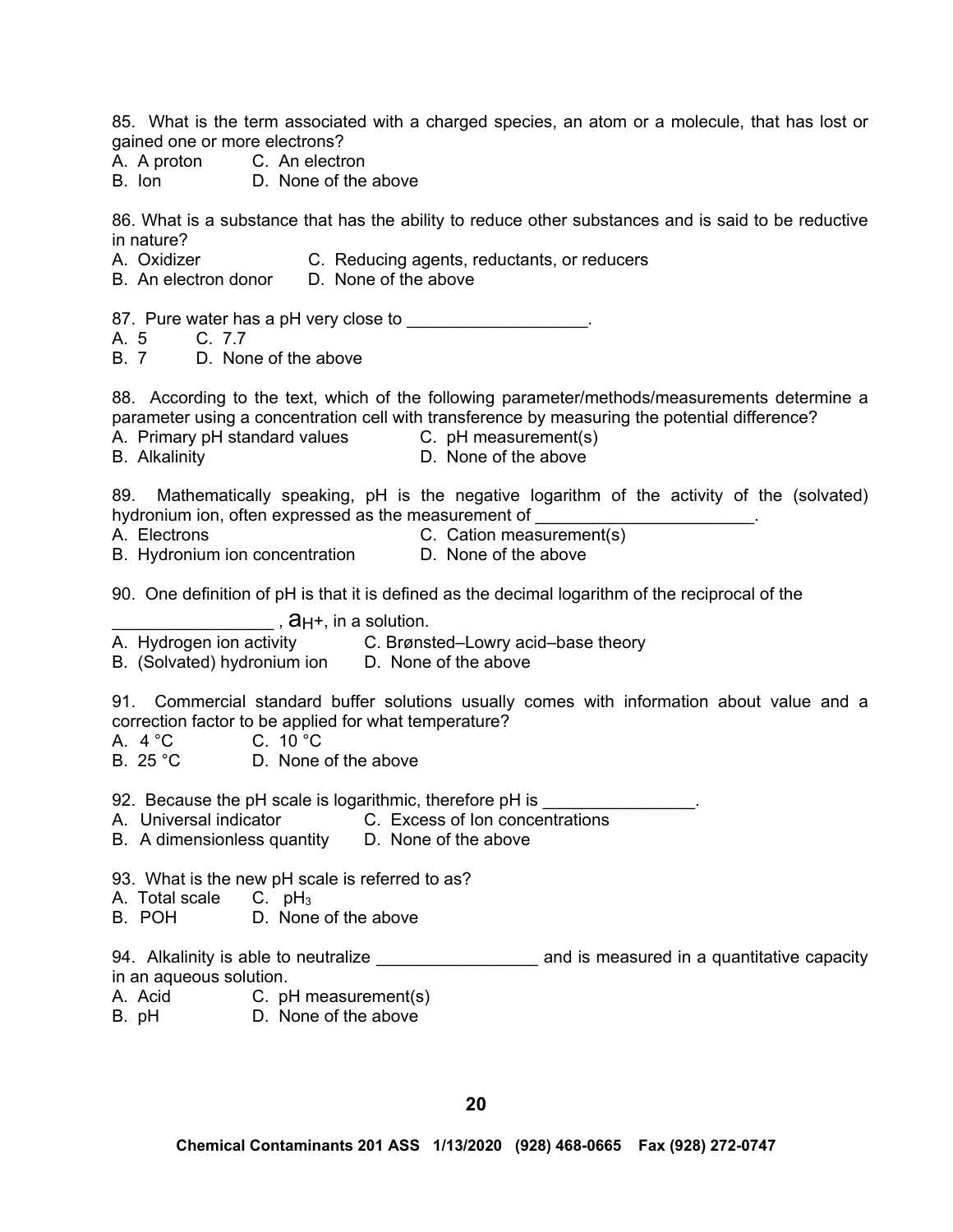85. What is the term associated with a charged species, an atom or a molecule, that has lost or gained one or more electrons?

- A. A proton C. An electron
- B. Ion D. None of the above

86. What is a substance that has the ability to reduce other substances and is said to be reductive in nature?

- A. Oxidizer **C. Reducing agents, reductants, or reducers**
- B. An electron donor D. None of the above

87. Pure water has a pH very close to \_\_\_\_\_\_\_\_\_\_\_\_\_\_\_\_\_.

- A. 5 C. 7.7
- B. 7 D. None of the above

88. According to the text, which of the following parameter/methods/measurements determine a parameter using a concentration cell with transference by measuring the potential difference?

- A. Primary pH standard values C. pH measurement(s)
	-
- 
- B. Alkalinity D. None of the above

89. Mathematically speaking, pH is the negative logarithm of the activity of the (solvated) hydronium ion, often expressed as the measurement of

- 
- A. Electrons **C. Cation measurement**(s)
- B. Hydronium ion concentration **D. None of the above**
- 
- 90. One definition of pH is that it is defined as the decimal logarithm of the reciprocal of the

- $\frac{1}{\text{A}}$ ,  $\frac{1}{\text{A}}$ ,  $\frac{1}{\text{A}}$ ,  $\frac{1}{\text{A}}$ ,  $\frac{1}{\text{A}}$ ,  $\frac{1}{\text{A}}$ ,  $\frac{1}{\text{A}}$ ,  $\frac{1}{\text{A}}$ C. Brønsted–Lowry acid–base theory
- B. (Solvated) hydronium ion D. None of the above

91. Commercial standard buffer solutions usually comes with information about value and a correction factor to be applied for what temperature?

A. 4 °C C. 10 °C

B. 25 °C D. None of the above

92. Because the pH scale is logarithmic, therefore pH is \_\_\_\_\_\_\_\_\_\_\_\_\_\_\_\_.

- A. Universal indicator C. Excess of Ion concentrations
- B. A dimensionless quantity D. None of the above
- 93. What is the new pH scale is referred to as?
- A. Total scale  $C.$  pH<sub>3</sub>
- B. POH D. None of the above

94. Alkalinity is able to neutralize **witch the summan and is measured in a quantitative capacity** in an aqueous solution.

- A. Acid C. pH measurement(s)
- B. pH D. None of the above
-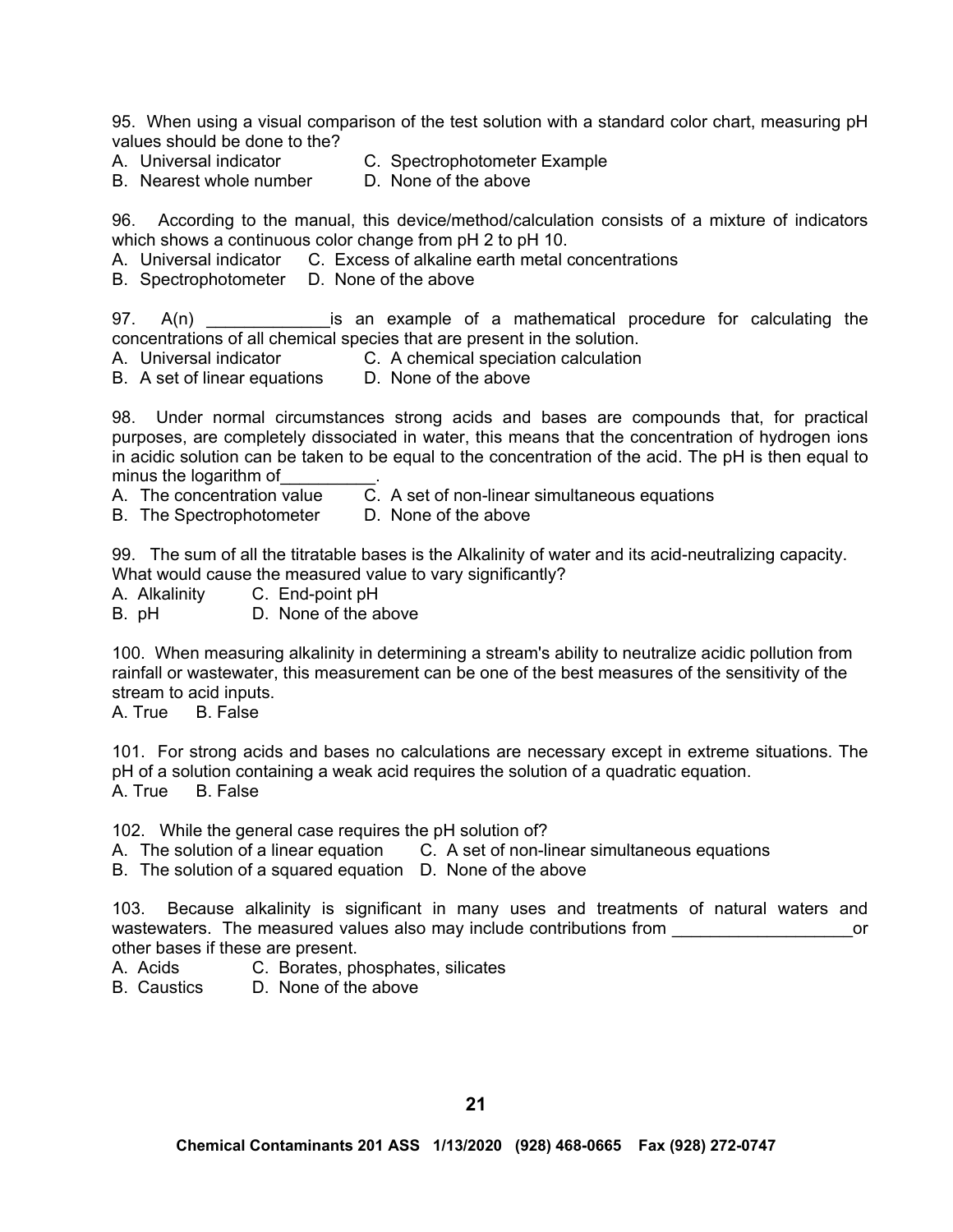95. When using a visual comparison of the test solution with a standard color chart, measuring pH values should be done to the?

- B. Nearest whole number
- A. Universal indicator C. Spectrophotometer Example<br>B. Nearest whole number D. None of the above

96. According to the manual, this device/method/calculation consists of a mixture of indicators which shows a continuous color change from pH 2 to pH 10.

A. Universal indicator C. Excess of alkaline earth metal concentrations

B. Spectrophotometer D. None of the above

97. A(n)  $\blacksquare$  is an example of a mathematical procedure for calculating the concentrations of all chemical species that are present in the solution.

A. Universal indicator C. A chemical speciation calculation

B. A set of linear equations D. None of the above

98. Under normal circumstances strong acids and bases are compounds that, for practical purposes, are completely dissociated in water, this means that the concentration of hydrogen ions in acidic solution can be taken to be equal to the concentration of the acid. The pH is then equal to minus the logarithm of

- A. The concentration value C.A set of non-linear simultaneous equations
- B. The Spectrophotometer D. None of the above

99. The sum of all the titratable bases is the Alkalinity of water and its acid-neutralizing capacity. What would cause the measured value to vary significantly?

A. Alkalinity C. End-point pH

B. pH D. None of the above

100. When measuring alkalinity in determining a stream's ability to neutralize acidic pollution from rainfall or wastewater, this measurement can be one of the best measures of the sensitivity of the stream to acid inputs.

A. True B. False

101. For strong acids and bases no calculations are necessary except in extreme situations. The pH of a solution containing a weak acid requires the solution of a quadratic equation. A. True B. False

102. While the general case requires the pH solution of?

A. The solution of a linear equation C.A set of non-linear simultaneous equations

B. The solution of a squared equation D. None of the above

103. Because alkalinity is significant in many uses and treatments of natural waters and wastewaters. The measured values also may include contributions from **The Connection Connect** or other bases if these are present.

- A. Acids C. Borates, phosphates, silicates
- B. Caustics D. None of the above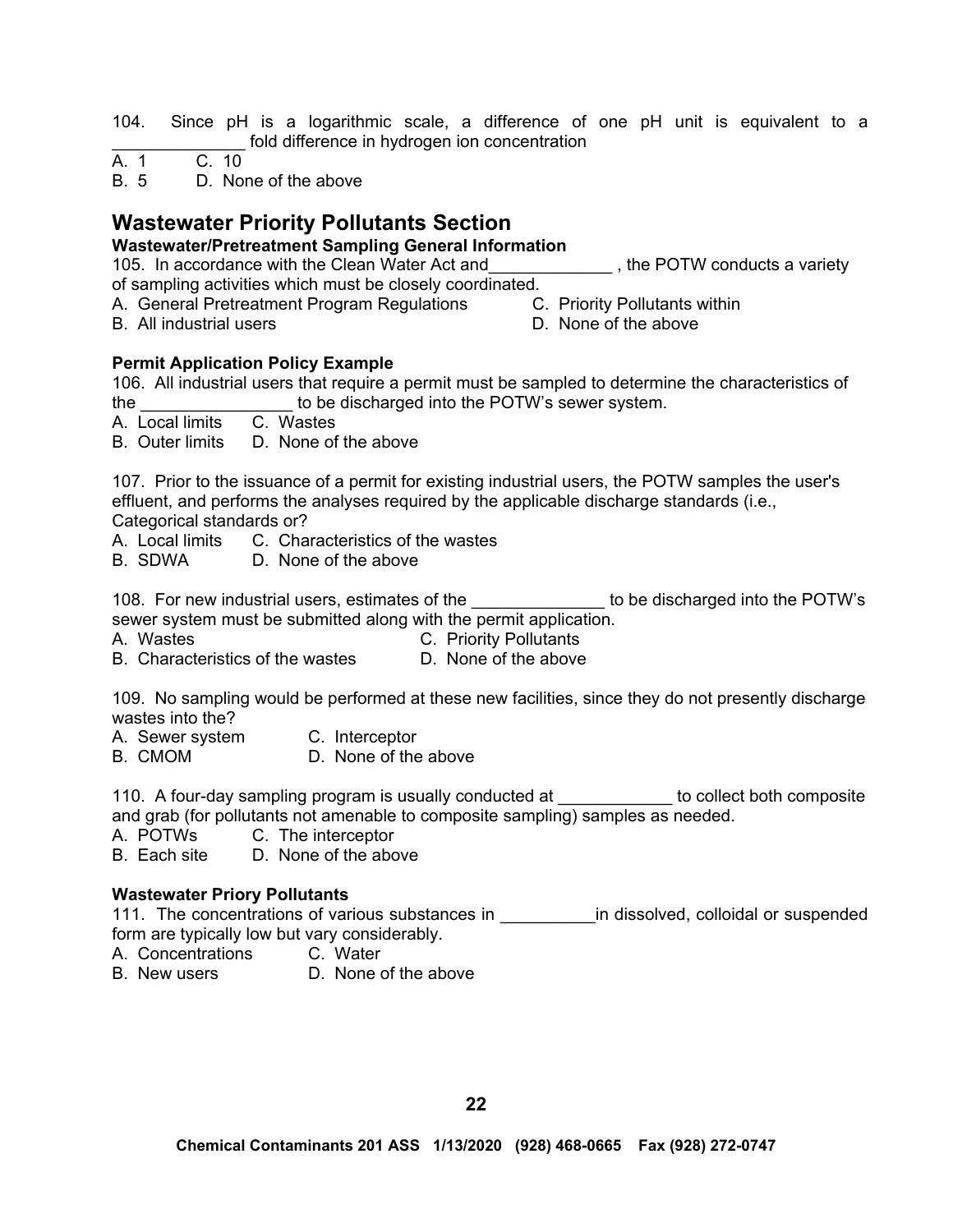104. Since pH is a logarithmic scale, a difference of one pH unit is equivalent to a fold difference in hydrogen ion concentration

 $A. 1$ 

B. 5 D. None of the above

# **Wastewater Priority Pollutants Section**

# **Wastewater/Pretreatment Sampling General Information**

105. In accordance with the Clean Water Act and The POTW conducts a variety of sampling activities which must be closely coordinated.

- A. General Pretreatment Program Regulations C. Priority Pollutants within
- B. All industrial users **D.** None of the above
- -

# **Permit Application Policy Example**

106. All industrial users that require a permit must be sampled to determine the characteristics of the the the state of the discharged into the POTW's sewer system.

A. Local limits C. Wastes

B. Outer limits D. None of the above

107. Prior to the issuance of a permit for existing industrial users, the POTW samples the user's effluent, and performs the analyses required by the applicable discharge standards (i.e., Categorical standards or?

A. Local limits C. Characteristics of the wastes

B. SDWA D. None of the above

108. For new industrial users, estimates of the \_\_\_\_\_\_\_\_\_\_\_\_\_\_ to be discharged into the POTW's sewer system must be submitted along with the permit application.

- 
- A. Wastes C. Priority Pollutants
- B. Characteristics of the wastes **D. None of the above**

109. No sampling would be performed at these new facilities, since they do not presently discharge wastes into the?

- A. Sewer system C. Interceptor
- B. CMOM D. None of the above

110. A four-day sampling program is usually conducted at \_\_\_\_\_\_\_\_\_\_\_\_ to collect both composite and grab (for pollutants not amenable to composite sampling) samples as needed.

A. POTWs C. The interceptor<br>B. Each site D. None of the abo

D. None of the above

# **Wastewater Priory Pollutants**

111. The concentrations of various substances in The dissolved, colloidal or suspended form are typically low but vary considerably.

A. Concentrations C. Water

B. New users D. None of the above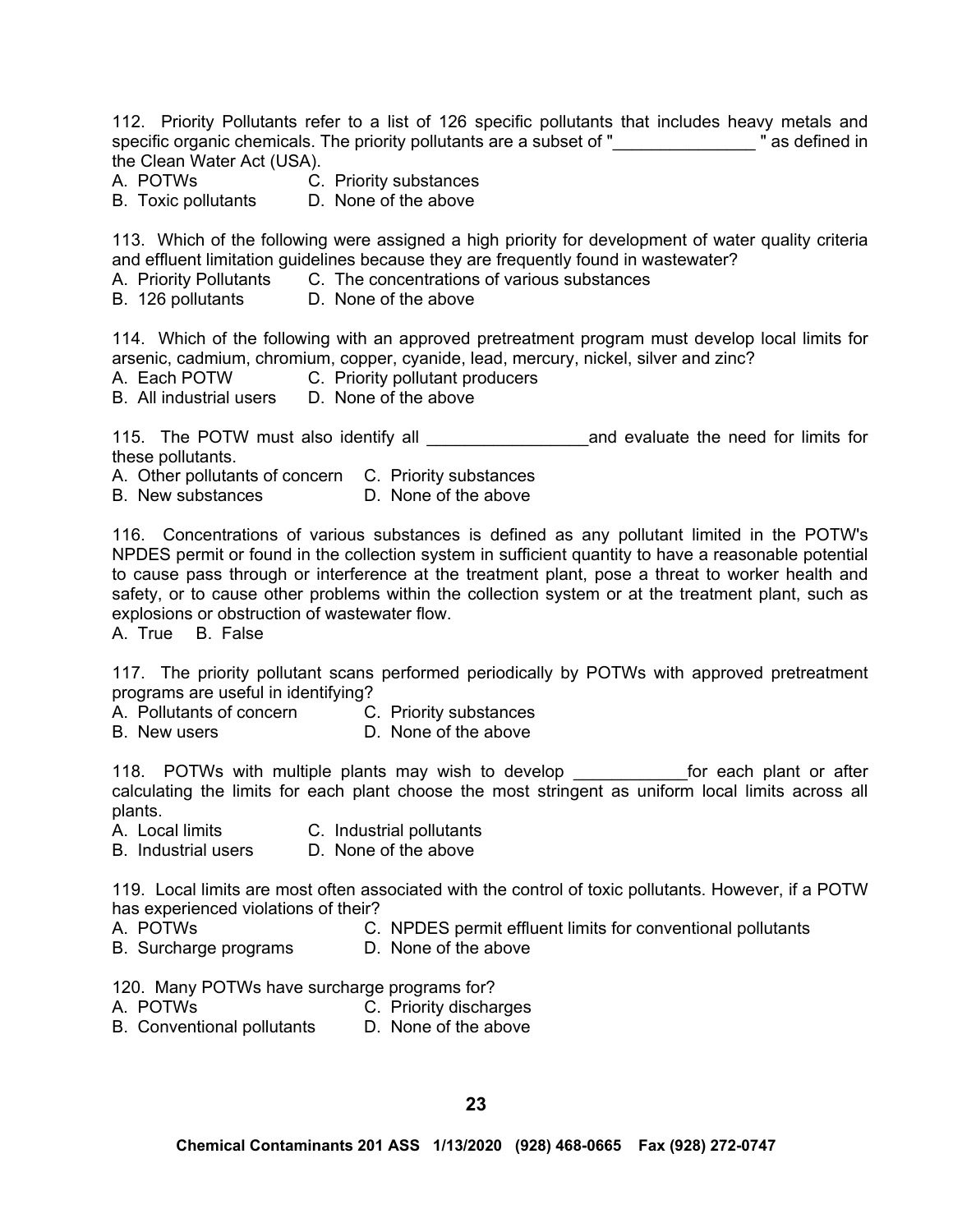112. Priority Pollutants refer to a list of 126 specific pollutants that includes heavy metals and specific organic chemicals. The priority pollutants are a subset of " **We are a subset of the subset of "** as defined in the Clean Water Act (USA).

- A. POTWs C. Priority substances<br>B. Toxic pollutants D. None of the above
- B. Toxic pollutants

113. Which of the following were assigned a high priority for development of water quality criteria and effluent limitation guidelines because they are frequently found in wastewater?

- A. Priority Pollutants C. The concentrations of various substances
- B. 126 pollutants D. None of the above

114. Which of the following with an approved pretreatment program must develop local limits for arsenic, cadmium, chromium, copper, cyanide, lead, mercury, nickel, silver and zinc?

- A. Each POTW C. Priority pollutant producers
- B. All industrial users D. None of the above

115. The POTW must also identify all **the contract and evaluate the need for limits for** these pollutants.

A. Other pollutants of concern C. Priority substances

B. New substances D. None of the above

116. Concentrations of various substances is defined as any pollutant limited in the POTW's NPDES permit or found in the collection system in sufficient quantity to have a reasonable potential to cause pass through or interference at the treatment plant, pose a threat to worker health and safety, or to cause other problems within the collection system or at the treatment plant, such as explosions or obstruction of wastewater flow.

A. True B. False

117. The priority pollutant scans performed periodically by POTWs with approved pretreatment programs are useful in identifying?

- A. Pollutants of concern C. Priority substances
- B. New users **D. None of the above**

118. POTWs with multiple plants may wish to develop \_\_\_\_\_\_\_\_\_\_\_\_\_for each plant or after calculating the limits for each plant choose the most stringent as uniform local limits across all plants.

- A. Local limits C. Industrial pollutants
- B. Industrial users D. None of the above

119. Local limits are most often associated with the control of toxic pollutants. However, if a POTW has experienced violations of their?

- A. POTWs C. NPDES permit effluent limits for conventional pollutants
- B. Surcharge programs D. None of the above

120. Many POTWs have surcharge programs for?

- A. POTWs C. Priority discharges
- B. Conventional pollutants D. None of the above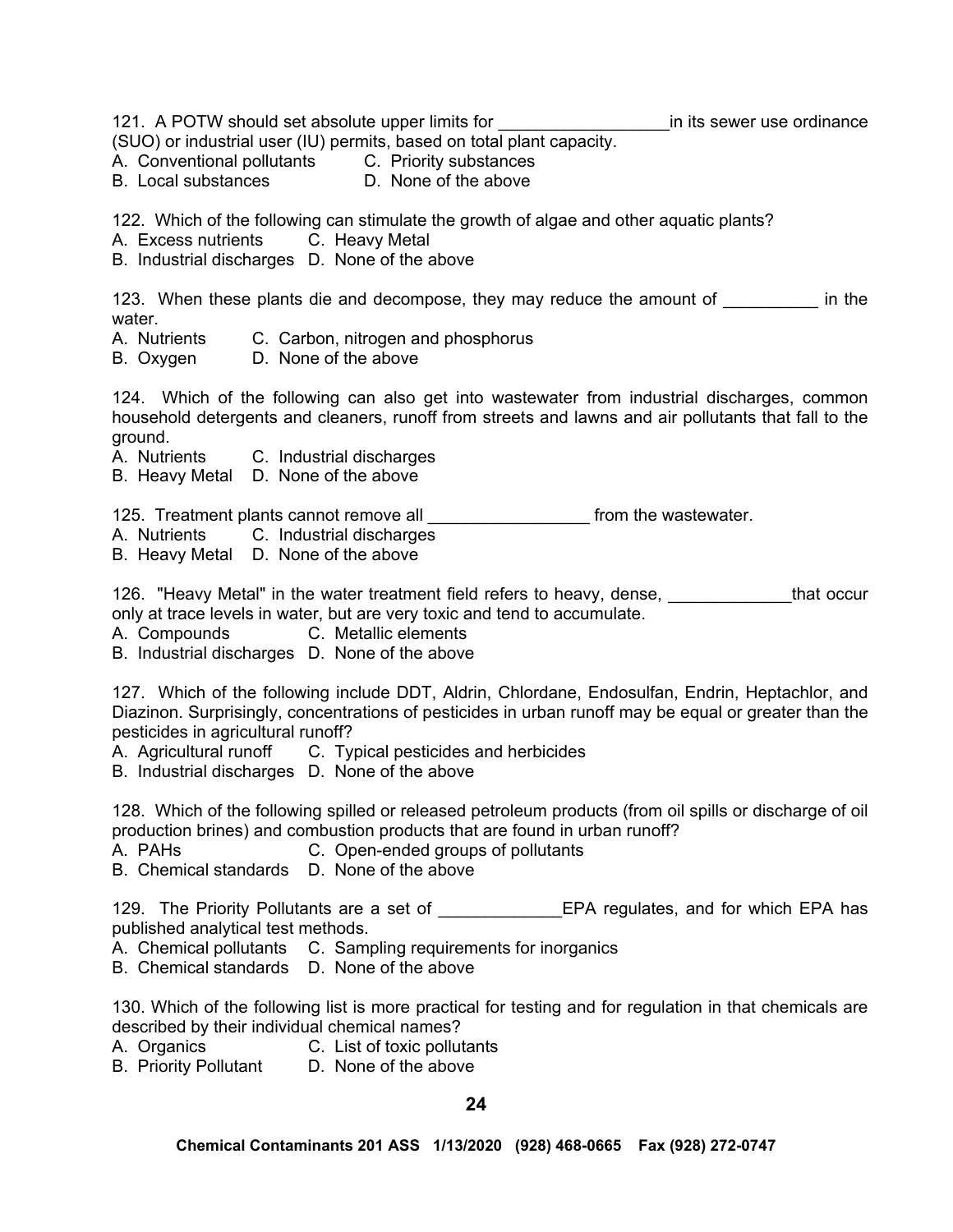121. A POTW should set absolute upper limits for **ACCOLOGY EXAM** in its sewer use ordinance (SUO) or industrial user (IU) permits, based on total plant capacity. A. Conventional pollutants C. Priority substances B. Local substances D. None of the above 122. Which of the following can stimulate the growth of algae and other aquatic plants? A. Excess nutrients C. Heavy Metal B. Industrial discharges D. None of the above 123. When these plants die and decompose, they may reduce the amount of \_\_\_\_\_\_\_\_\_ in the water.<br>A. Nutrients C. Carbon, nitrogen and phosphorus B. Oxygen D. None of the above 124. Which of the following can also get into wastewater from industrial discharges, common household detergents and cleaners, runoff from streets and lawns and air pollutants that fall to the ground. A. Nutrients C. Industrial discharges B. Heavy Metal D. None of the above 125. Treatment plants cannot remove all **with the strate the contract of the wastewater**. A. Nutrients C. Industrial discharges B. Heavy Metal D. None of the above

126. "Heavy Metal" in the water treatment field refers to heavy, dense, \_\_\_\_\_\_\_\_\_\_\_\_that occur only at trace levels in water, but are very toxic and tend to accumulate.

A. Compounds C. Metallic elements

B. Industrial discharges D. None of the above

127. Which of the following include DDT, Aldrin, Chlordane, Endosulfan, Endrin, Heptachlor, and Diazinon. Surprisingly, concentrations of pesticides in urban runoff may be equal or greater than the pesticides in agricultural runoff?

A. Agricultural runoff C. Typical pesticides and herbicides

B. Industrial discharges D. None of the above

128. Which of the following spilled or released petroleum products (from oil spills or discharge of oil production brines) and combustion products that are found in urban runoff?

A. PAHs C. Open-ended groups of pollutants

B. Chemical standards D. None of the above

129. The Priority Pollutants are a set of The Sea Let a regulates, and for which EPA has published analytical test methods.

A. Chemical pollutants C. Sampling requirements for inorganics

B. Chemical standards D. None of the above

130. Which of the following list is more practical for testing and for regulation in that chemicals are described by their individual chemical names?

A. Organics C. List of toxic pollutants

B. Priority Pollutant D. None of the above

**24**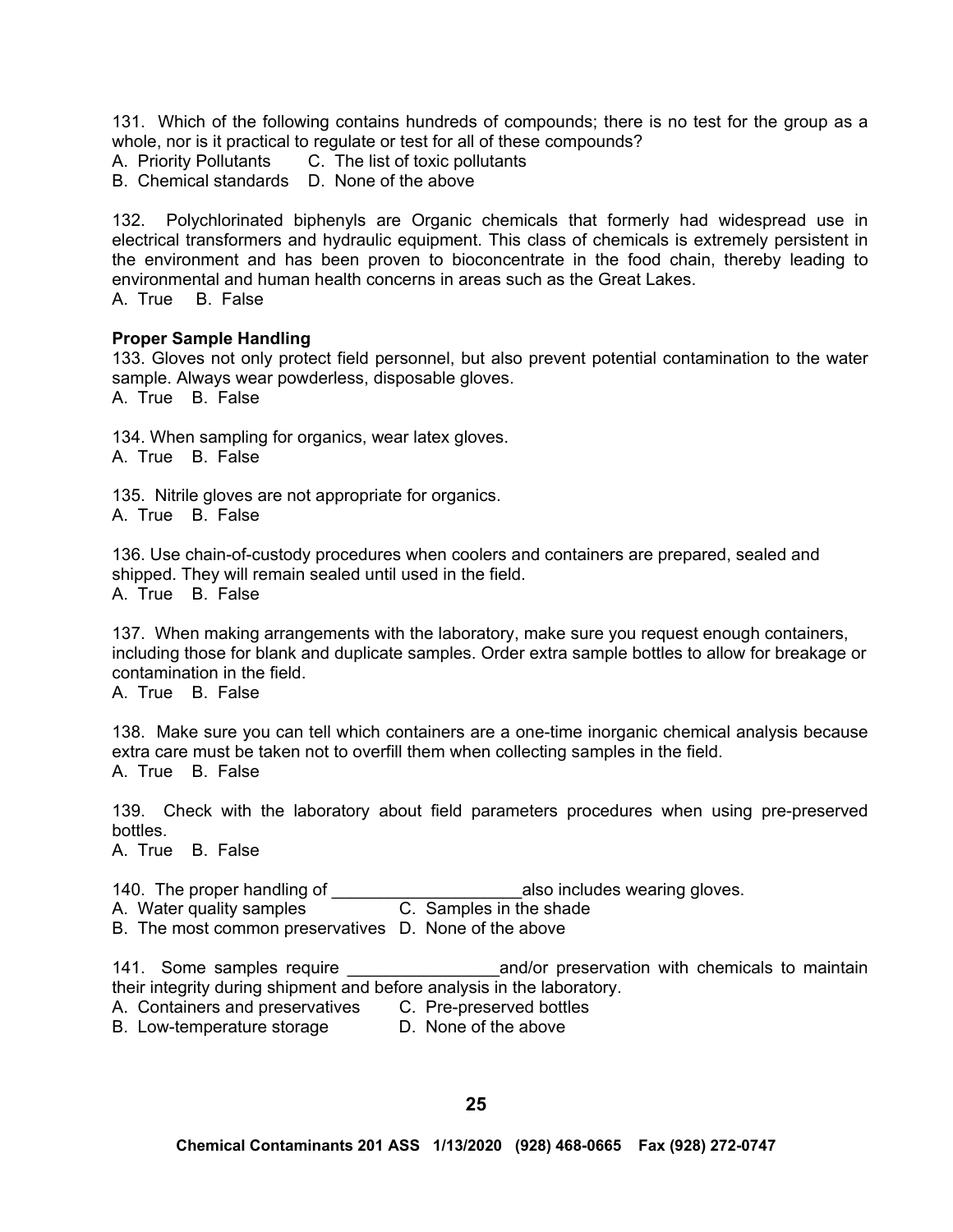131. Which of the following contains hundreds of compounds; there is no test for the group as a whole, nor is it practical to regulate or test for all of these compounds?

A. Priority Pollutants C. The list of toxic pollutants

B. Chemical standards D. None of the above

132. Polychlorinated biphenyls are Organic chemicals that formerly had widespread use in electrical transformers and hydraulic equipment. This class of chemicals is extremely persistent in the environment and has been proven to bioconcentrate in the food chain, thereby leading to environmental and human health concerns in areas such as the Great Lakes.

A. True B. False

#### **Proper Sample Handling**

133. Gloves not only protect field personnel, but also prevent potential contamination to the water sample. Always wear powderless, disposable gloves. A. True B. False

134. When sampling for organics, wear latex gloves. A. True B. False

135. Nitrile gloves are not appropriate for organics.

A. True B. False

136. Use chain-of-custody procedures when coolers and containers are prepared, sealed and shipped. They will remain sealed until used in the field. A. True B. False

137. When making arrangements with the laboratory, make sure you request enough containers, including those for blank and duplicate samples. Order extra sample bottles to allow for breakage or contamination in the field.

A. True B. False

138. Make sure you can tell which containers are a one-time inorganic chemical analysis because extra care must be taken not to overfill them when collecting samples in the field. A. True B. False

139. Check with the laboratory about field parameters procedures when using pre-preserved bottles.

A. True B. False

140. The proper handling of  $\frac{1}{10}$  also includes wearing gloves.<br>A. Water quality samples **C.** Samples in the shade

C. Samples in the shade

B. The most common preservatives D. None of the above

141. Some samples require **Exercise 141.** Some samples require and and/or preservation with chemicals to maintain their integrity during shipment and before analysis in the laboratory.

A. Containers and preservatives C. Pre-preserved bottles

B. Low-temperature storage **D.** None of the above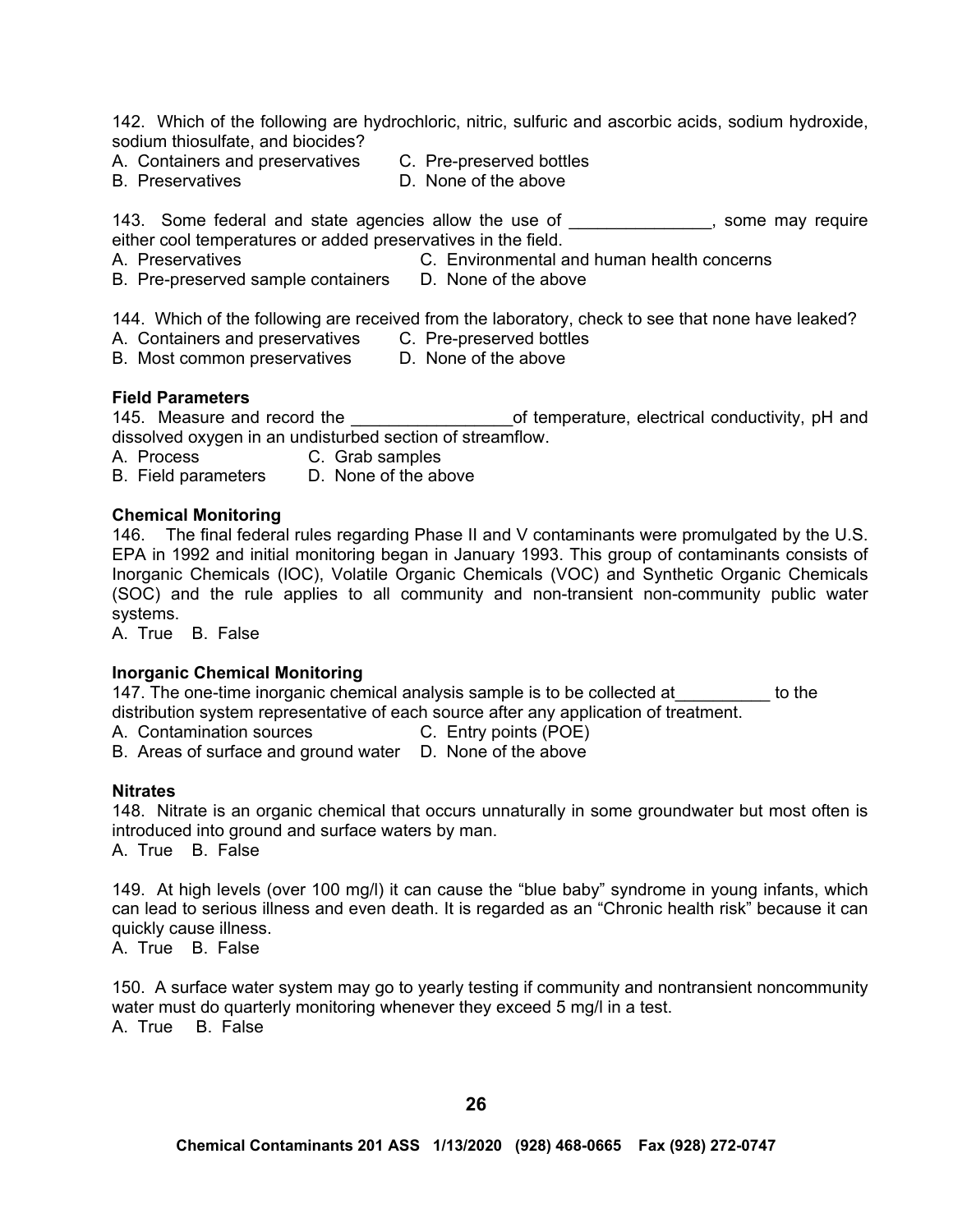142. Which of the following are hydrochloric, nitric, sulfuric and ascorbic acids, sodium hydroxide, sodium thiosulfate, and biocides?

- A. Containers and preservatives C. Pre-preserved bottles
- 
- B. Preservatives **B.** D. None of the above

143. Some federal and state agencies allow the use of \_\_\_\_\_\_\_\_\_\_\_\_\_\_, some may require either cool temperatures or added preservatives in the field.

- 
- A. Preservatives C. Environmental and human health concerns
- B. Pre-preserved sample containers D. None of the above

144. Which of the following are received from the laboratory, check to see that none have leaked?

A. Containers and preservatives C. Pre-preserved bottles

B. Most common preservatives D. None of the above

#### **Field Parameters**

145. Measure and record the \_\_\_\_\_\_\_\_\_\_\_\_\_\_\_\_\_of temperature, electrical conductivity, pH and dissolved oxygen in an undisturbed section of streamflow.

A. Process C. Grab samples<br>B. Field parameters D. None of the above

B. Field parameters

#### **Chemical Monitoring**

146. The final federal rules regarding Phase II and V contaminants were promulgated by the U.S. EPA in 1992 and initial monitoring began in January 1993. This group of contaminants consists of Inorganic Chemicals (IOC), Volatile Organic Chemicals (VOC) and Synthetic Organic Chemicals (SOC) and the rule applies to all community and non-transient non-community public water systems.

A. True B. False

#### **Inorganic Chemical Monitoring**

147. The one-time inorganic chemical analysis sample is to be collected at\_\_\_\_\_\_\_\_\_\_ to the distribution system representative of each source after any application of treatment.

A. Contamination sources C. Entry points (POE)

B. Areas of surface and ground water D. None of the above

#### **Nitrates**

148. Nitrate is an organic chemical that occurs unnaturally in some groundwater but most often is introduced into ground and surface waters by man.

A. True B. False

149. At high levels (over 100 mg/l) it can cause the "blue baby" syndrome in young infants, which can lead to serious illness and even death. It is regarded as an "Chronic health risk" because it can quickly cause illness.

A. True B. False

150. A surface water system may go to yearly testing if community and nontransient noncommunity water must do quarterly monitoring whenever they exceed 5 mg/l in a test. A. True B. False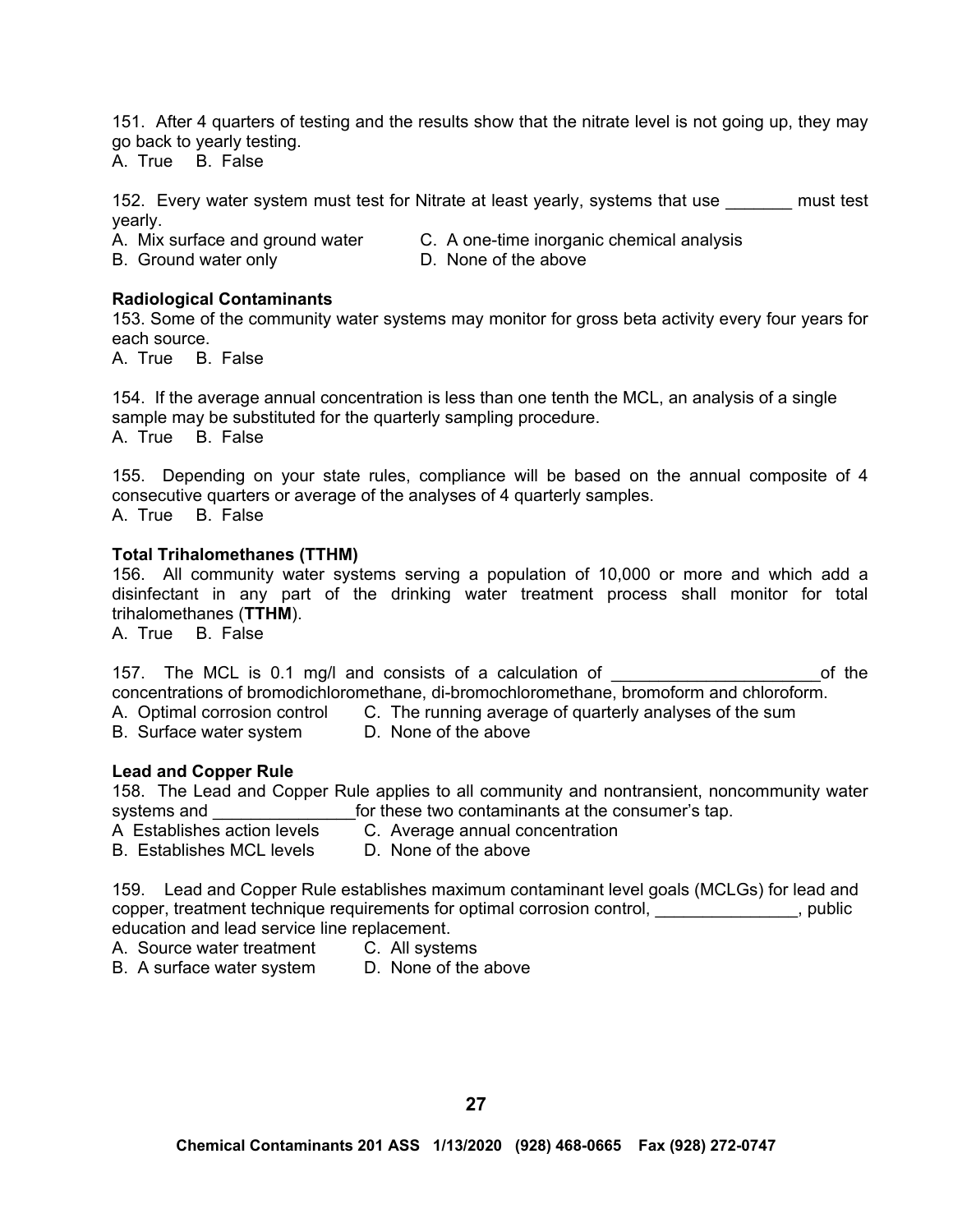151. After 4 quarters of testing and the results show that the nitrate level is not going up, they may go back to yearly testing.

A. True B. False

152. Every water system must test for Nitrate at least yearly, systems that use must test yearly.

A. Mix surface and ground water C. A one-time inorganic chemical analysis

B. Ground water only **D.** None of the above

# **Radiological Contaminants**

153. Some of the community water systems may monitor for gross beta activity every four years for each source.

A. True B. False

154. If the average annual concentration is less than one tenth the MCL, an analysis of a single sample may be substituted for the quarterly sampling procedure. A. True B. False

155. Depending on your state rules, compliance will be based on the annual composite of 4 consecutive quarters or average of the analyses of 4 quarterly samples. A. True B. False

### **Total Trihalomethanes (TTHM)**

156. All community water systems serving a population of 10,000 or more and which add a disinfectant in any part of the drinking water treatment process shall monitor for total trihalomethanes (**TTHM**).

A. True B. False

157. The MCL is 0.1 mg/l and consists of a calculation of \_\_\_\_\_\_\_\_\_\_\_\_\_\_\_\_\_\_\_\_\_\_\_\_\_\_\_of the concentrations of bromodichloromethane, di-bromochloromethane, bromoform and chloroform. A. Optimal corrosion control C. The running average of quarterly analyses of the sum

B. Surface water system D. None of the above

#### **Lead and Copper Rule**

158. The Lead and Copper Rule applies to all community and nontransient, noncommunity water systems and \_\_\_\_\_\_\_\_\_\_\_\_\_\_\_\_\_\_\_for these two contaminants at the consumer's tap. A Establishes action levels C. Average annual concentration

- 
- B. Establishes MCL levels D. None of the above

159. Lead and Copper Rule establishes maximum contaminant level goals (MCLGs) for lead and copper, treatment technique requirements for optimal corrosion control, entity and public education and lead service line replacement.

- A. Source water treatment C. All systems
- B. A surface water system D. None of the above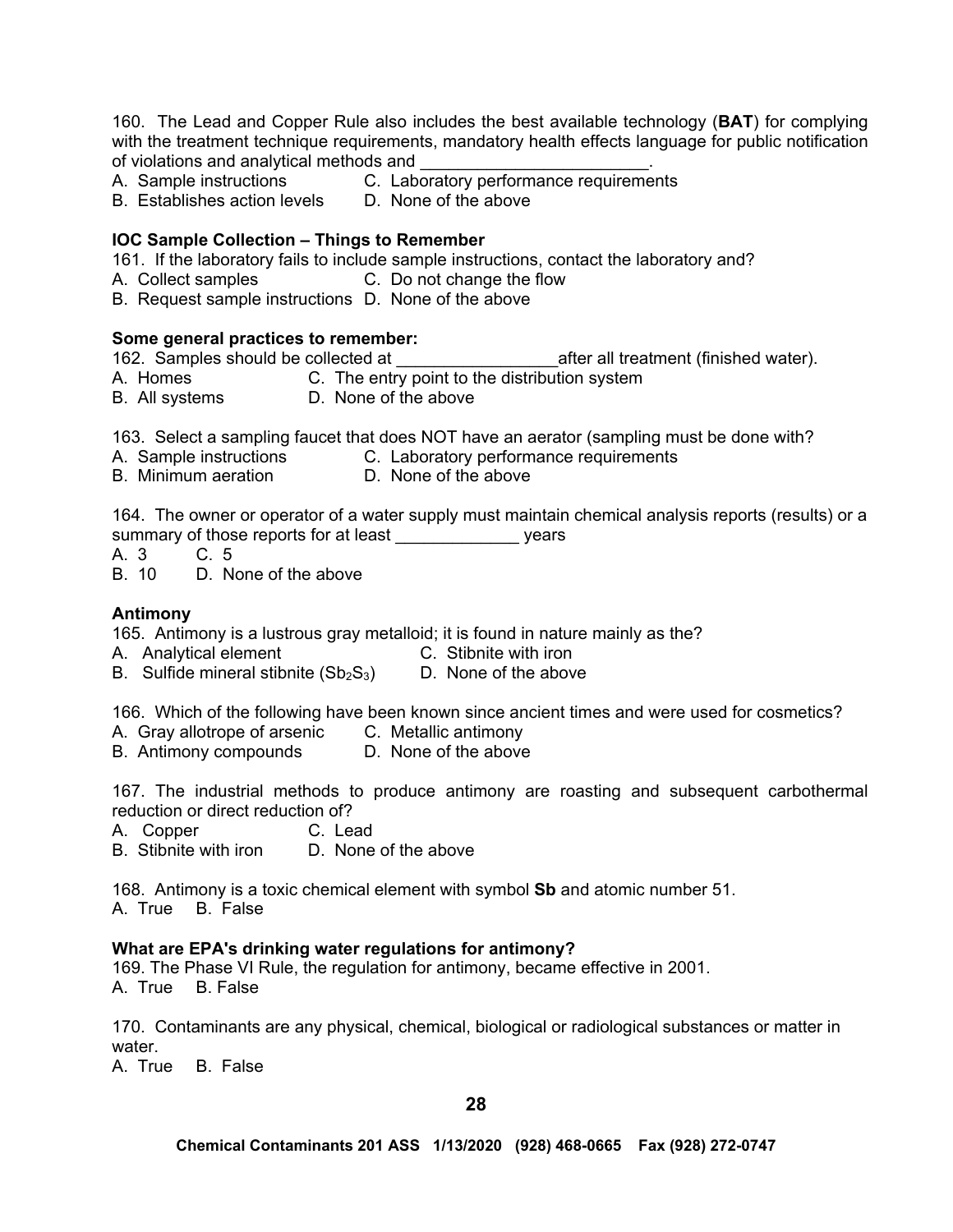160. The Lead and Copper Rule also includes the best available technology (**BAT**) for complying with the treatment technique requirements, mandatory health effects language for public notification of violations and analytical methods and

- A. Sample instructions C. Laboratory performance requirements
- B. Establishes action levels D. None of the above

# **IOC Sample Collection – Things to Remember**

161. If the laboratory fails to include sample instructions, contact the laboratory and?

- A. Collect samples C. Do not change the flow
- B. Request sample instructions D. None of the above

# **Some general practices to remember:**

162. Samples should be collected at  $\qquad \qquad$  after all treatment (finished water).

- A. Homes C. The entry point to the distribution system
- B. All systems D. None of the above

163. Select a sampling faucet that does NOT have an aerator (sampling must be done with?

- A. Sample instructions C. Laboratory performance requirements
- B. Minimum aeration **D. None of the above**

164. The owner or operator of a water supply must maintain chemical analysis reports (results) or a summary of those reports for at least example are vears

A. 3 C. 5

B. 10 D. None of the above

### **Antimony**

165. Antimony is a lustrous gray metalloid; it is found in nature mainly as the?

- A. Analytical element C. Stibnite with iron
- B. Sulfide mineral stibnite  $(Sb<sub>2</sub>S<sub>3</sub>)$  D. None of the above

166. Which of the following have been known since ancient times and were used for cosmetics?

- A. Gray allotrope of arsenic C. Metallic antimony
- B. Antimony compounds D. None of the above

167. The industrial methods to produce antimony are roasting and subsequent carbothermal reduction or direct reduction of?

- A. Copper C. Lead
- B. Stibnite with iron D. None of the above

168. Antimony is a toxic chemical element with symbol **Sb** and atomic number 51.

A. True B. False

#### **What are EPA's drinking water regulations for antimony?**

169. The Phase VI Rule, the regulation for antimony, became effective in 2001. A. True B. False

170. Contaminants are any physical, chemical, biological or radiological substances or matter in water.

A. True B. False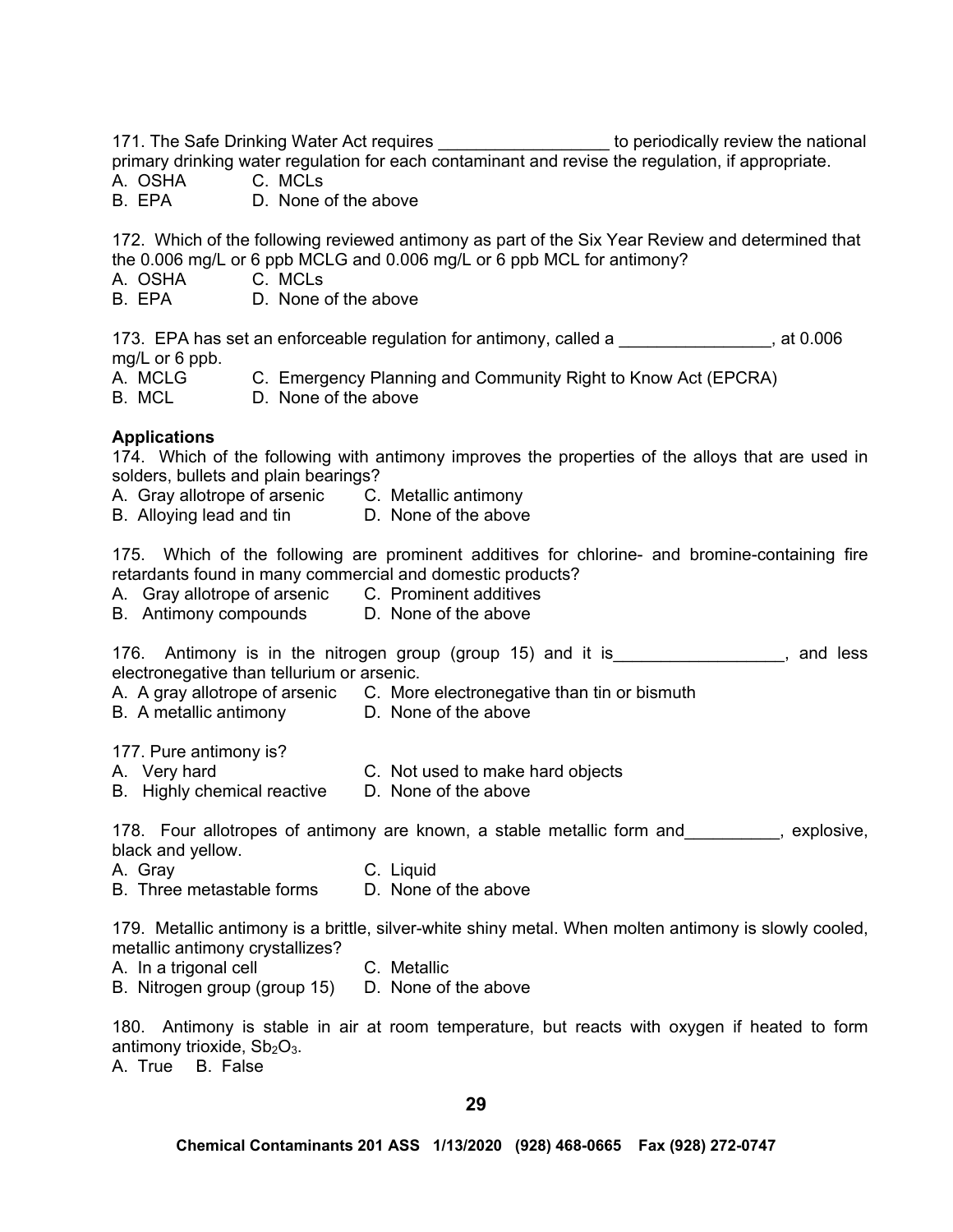171. The Safe Drinking Water Act requires the state of the periodically review the national primary drinking water regulation for each contaminant and revise the regulation, if appropriate.

A. OSHA C. MCLs

D. None of the above

172. Which of the following reviewed antimony as part of the Six Year Review and determined that the 0.006 mg/L or 6 ppb MCLG and 0.006 mg/L or 6 ppb MCL for antimony?

- A. OSHA C. MCLs
- B. EPA D. None of the above

173. EPA has set an enforceable regulation for antimony, called a **Fig. 10006**, at 0.006 mg/L or 6 ppb.

A. MCLG C. Emergency Planning and Community Right to Know Act (EPCRA)

B. MCL D. None of the above

# **Applications**

174. Which of the following with antimony improves the properties of the alloys that are used in solders, bullets and plain bearings?

- A. Gray allotrope of arsenic C. Metallic antimony
- B. Alloying lead and tin **D.** None of the above

175. Which of the following are prominent additives for chlorine- and bromine-containing fire retardants found in many commercial and domestic products?

- A. Gray allotrope of arsenic C. Prominent additives
- B. Antimony compounds D. None of the above

176. Antimony is in the nitrogen group (group 15) and it is Theorem 2016, and less electronegative than tellurium or arsenic.

- A. A gray allotrope of arsenic C. More electronegative than tin or bismuth
- B. A metallic antimony D. None of the above

177. Pure antimony is?

- A. Very hard C. Not used to make hard objects
- B. Highly chemical reactive D. None of the above

178. Four allotropes of antimony are known, a stable metallic form and explosive, black and yellow.

- A. Gray C. Liquid
- B. Three metastable forms  $\Box$  None of the above

179. Metallic antimony is a brittle, silver-white shiny metal. When molten antimony is slowly cooled, metallic antimony crystallizes?

- A. In a trigonal cell **C.** Metallic
- B. Nitrogen group (group 15) D. None of the above

180. Antimony is stable in air at room temperature, but reacts with oxygen if heated to form antimony trioxide,  $Sb<sub>2</sub>O<sub>3</sub>$ .

A. True B. False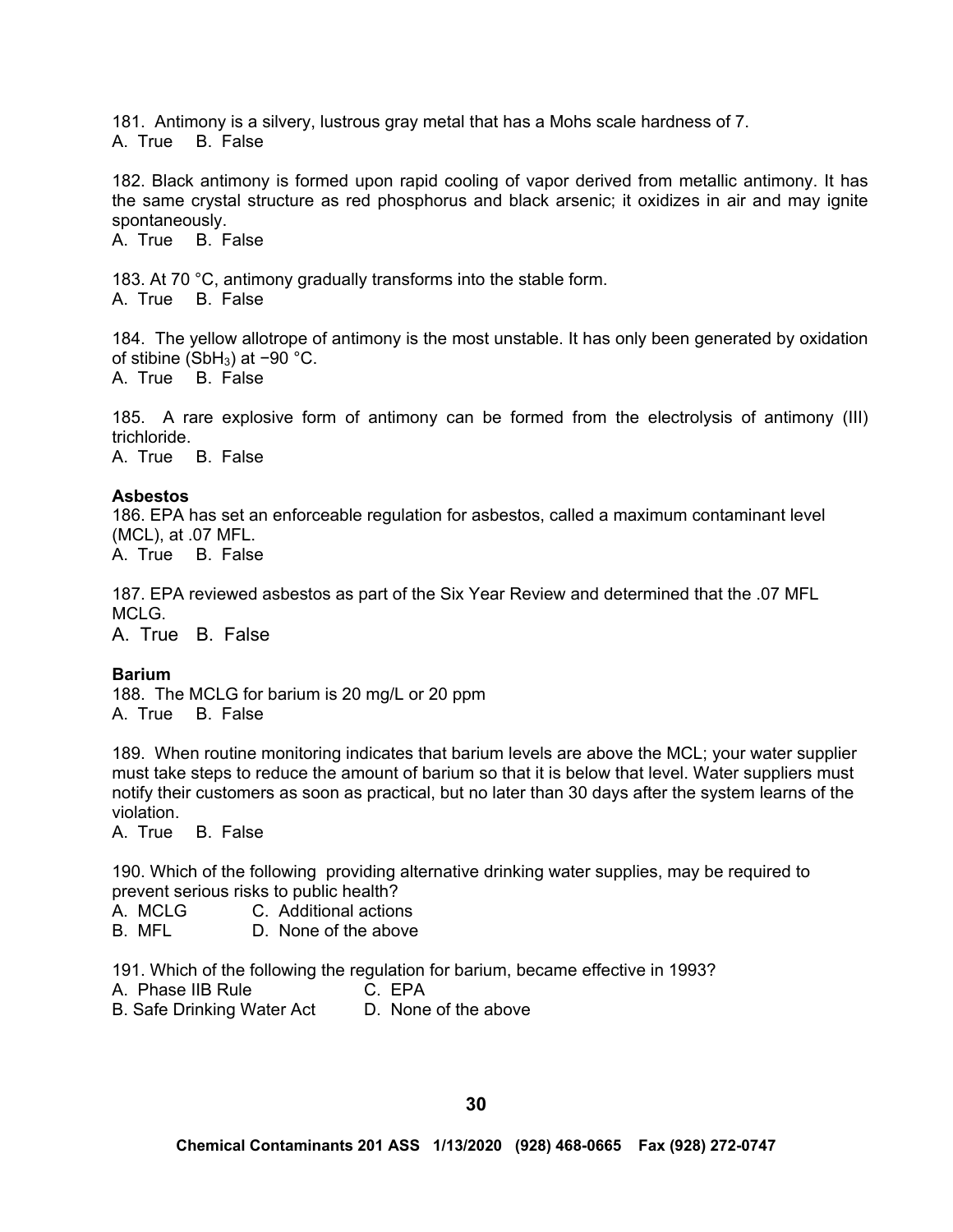181. Antimony is a silvery, lustrous gray metal that has a Mohs scale hardness of 7. A. True B. False

182. Black antimony is formed upon rapid cooling of vapor derived from metallic antimony. It has the same crystal structure as red phosphorus and black arsenic; it oxidizes in air and may ignite spontaneously.

A. True B. False

183. At 70 °C, antimony gradually transforms into the stable form. A. True B. False

184. The yellow allotrope of antimony is the most unstable. It has only been generated by oxidation of stibine (SbH3) at −90 °C. A. True B. False

185. A rare explosive form of antimony can be formed from the electrolysis of antimony (III) trichloride.

A. True B. False

### **Asbestos**

186. EPA has set an enforceable regulation for asbestos, called a maximum contaminant level (MCL), at .07 MFL.

A. True B. False

187. EPA reviewed asbestos as part of the Six Year Review and determined that the .07 MFL MCLG.

A. True B. False

# **Barium**

188. The MCLG for barium is 20 mg/L or 20 ppm A. True B. False

189. When routine monitoring indicates that barium levels are above the MCL; your water supplier must take steps to reduce the amount of barium so that it is below that level. Water suppliers must notify their customers as soon as practical, but no later than 30 days after the system learns of the violation.

A. True B. False

190. Which of the following providing alternative drinking water supplies, may be required to prevent serious risks to public health?

- A. MCLG C. Additional actions<br>B. MFL D. None of the above
- D. None of the above

191. Which of the following the regulation for barium, became effective in 1993?

- A. Phase IIB Rule C. EPA
- B. Safe Drinking Water Act D. None of the above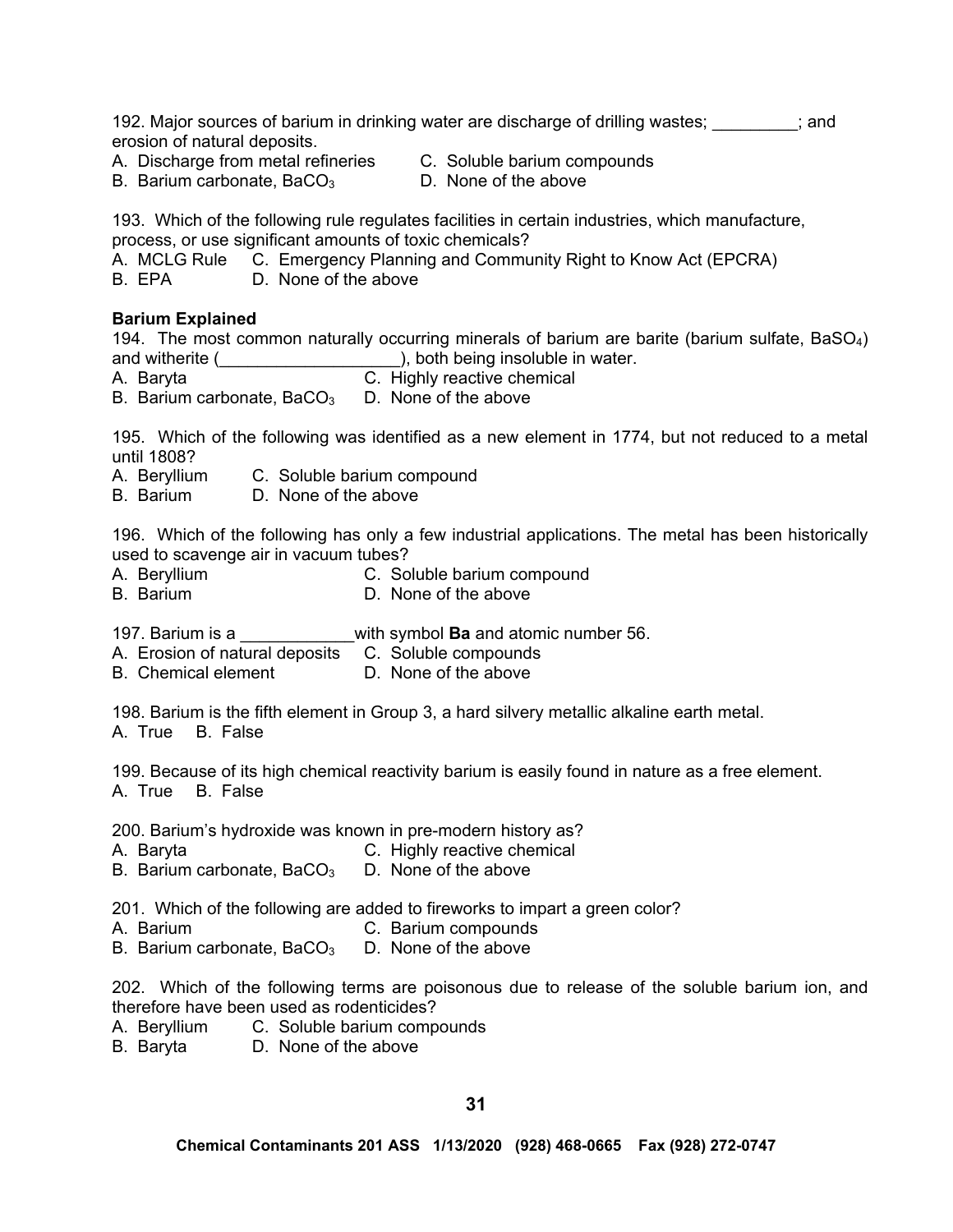192. Major sources of barium in drinking water are discharge of drilling wastes; \_\_\_\_\_\_\_\_; and erosion of natural deposits.

A. Discharge from metal refineries C. Soluble barium compounds

B. Barium carbonate,  $BaCO<sub>3</sub>$  D. None of the above

193. Which of the following rule regulates facilities in certain industries, which manufacture, process, or use significant amounts of toxic chemicals?

A. MCLG Rule C. Emergency Planning and Community Right to Know Act (EPCRA)

B. EPA D. None of the above

### **Barium Explained**

194. The most common naturally occurring minerals of barium are barite (barium sulfate, BaSO<sub>4</sub>) and witherite (
and witherite (  $\qquad \qquad$ ), both being insoluble in water.

- A. Baryta **C.** Highly reactive chemical
- B. Barium carbonate,  $BaCO<sub>3</sub>$  D. None of the above

195. Which of the following was identified as a new element in 1774, but not reduced to a metal until 1808?

- A. Beryllium C. Soluble barium compound
- B. Barium D. None of the above

196. Which of the following has only a few industrial applications. The metal has been historically used to scavenge air in vacuum tubes?

- A. Beryllium C. Soluble barium compound
- B. Barium D. None of the above

197. Barium is a \_\_\_\_\_\_\_\_\_\_\_\_with symbol **Ba** and atomic number 56.

A. Erosion of natural deposits C. Soluble compounds

B. Chemical element D. None of the above

198. Barium is the fifth element in Group 3, a hard silvery metallic alkaline earth metal. A. True B. False

199. Because of its high chemical reactivity barium is easily found in nature as a free element. A. True B. False

200. Barium's hydroxide was known in pre-modern history as?

- A. Baryta C. Highly reactive chemical
- B. Barium carbonate,  $BaCO<sub>3</sub>$  D. None of the above

201. Which of the following are added to fireworks to impart a green color?

- A. Barium C. Barium compounds
- B. Barium carbonate,  $BaCO<sub>3</sub>$  D. None of the above

202. Which of the following terms are poisonous due to release of the soluble barium ion, and therefore have been used as rodenticides?

- A. Beryllium C. Soluble barium compounds
- B. Baryta D. None of the above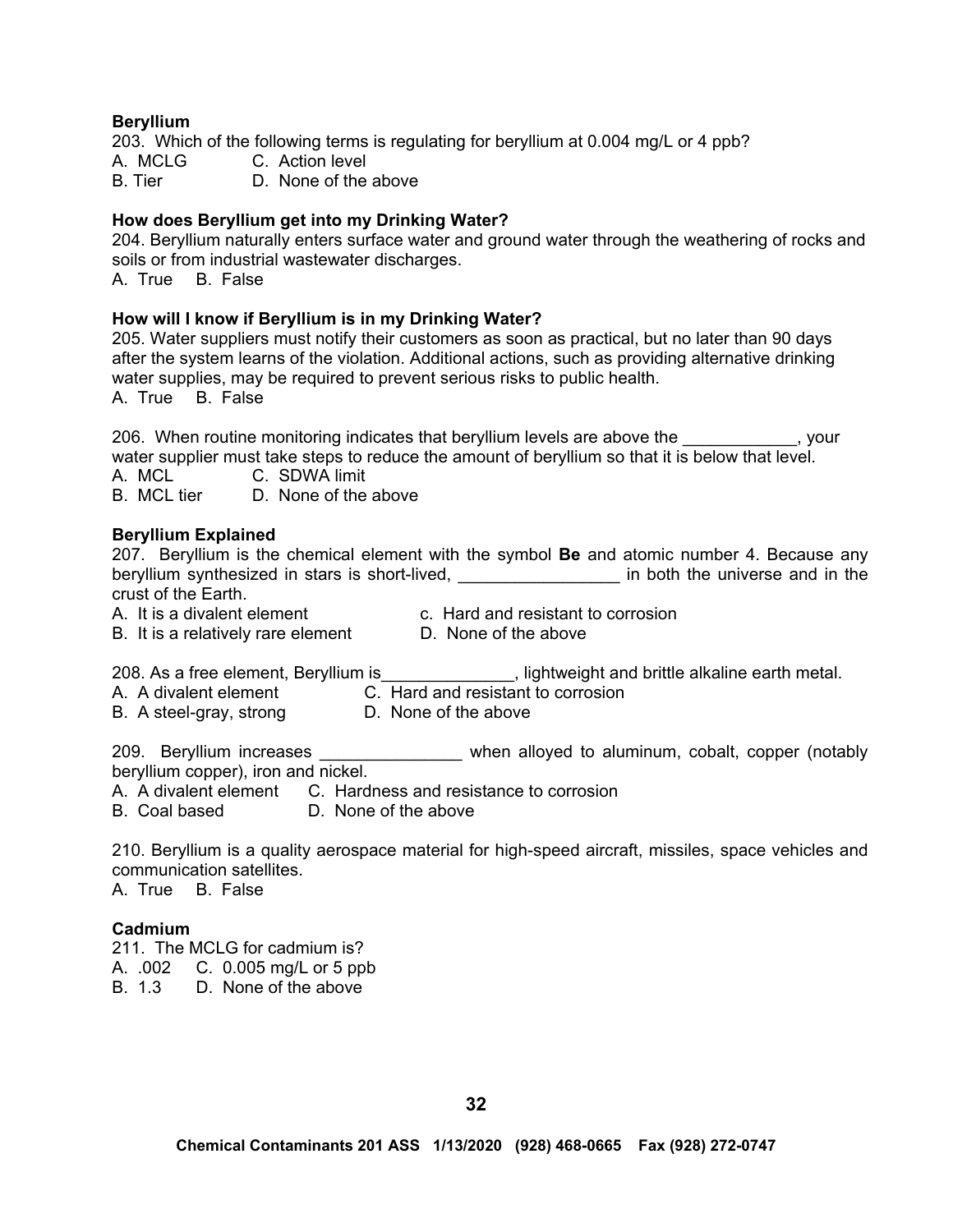#### **Beryllium**

203. Which of the following terms is regulating for beryllium at 0.004 mg/L or 4 ppb? A. MCLG C. Action level B. Tier **D.** None of the above

#### **How does Beryllium get into my Drinking Water?**

204. Beryllium naturally enters surface water and ground water through the weathering of rocks and soils or from industrial wastewater discharges.

A. True B. False

#### **How will I know if Beryllium is in my Drinking Water?**

205. Water suppliers must notify their customers as soon as practical, but no later than 90 days after the system learns of the violation. Additional actions, such as providing alternative drinking water supplies, may be required to prevent serious risks to public health. A. True B. False

206. When routine monitoring indicates that beryllium levels are above the \_\_\_\_\_\_\_\_\_\_\_\_, your water supplier must take steps to reduce the amount of beryllium so that it is below that level.

A. MCL C. SDWA limit

B. MCL tier D. None of the above

#### **Beryllium Explained**

|                                                                                                                       |                                    | 207. Beryllium is the chemical element with the symbol <b>Be</b> and atomic number 4. Because any |
|-----------------------------------------------------------------------------------------------------------------------|------------------------------------|---------------------------------------------------------------------------------------------------|
| beryllium synthesized in stars is short-lived,                                                                        |                                    | in both the universe and in the                                                                   |
| crust of the Earth.                                                                                                   |                                    |                                                                                                   |
| A. It is a divalent element                                                                                           | c. Hard and resistant to corrosion |                                                                                                   |
| B. It is a relatively rare element                                                                                    | D. None of the above               |                                                                                                   |
| 208. As a free element, Beryllium is example in the superior studies of lightweight and brittle alkaline earth metal. |                                    |                                                                                                   |
| A. A divalent element                                                                                                 | C. Hard and resistant to corrosion |                                                                                                   |
| R A etgal-aray etrona                                                                                                 | D. None of the above               |                                                                                                   |

B. A steel-gray, strong D. None of the above

209. Beryllium increases \_\_\_\_\_\_\_\_\_\_\_\_\_\_\_\_ when alloyed to aluminum, cobalt, copper (notably beryllium copper), iron and nickel.

A. A divalent element C. Hardness and resistance to corrosion

B. Coal based D. None of the above

210. Beryllium is a quality aerospace material for high-speed aircraft, missiles, space vehicles and communication satellites. A. True B. False

#### **Cadmium**

211. The MCLG for cadmium is?

A. .002 C. 0.005 mg/L or 5 ppb

B. 1.3 D. None of the above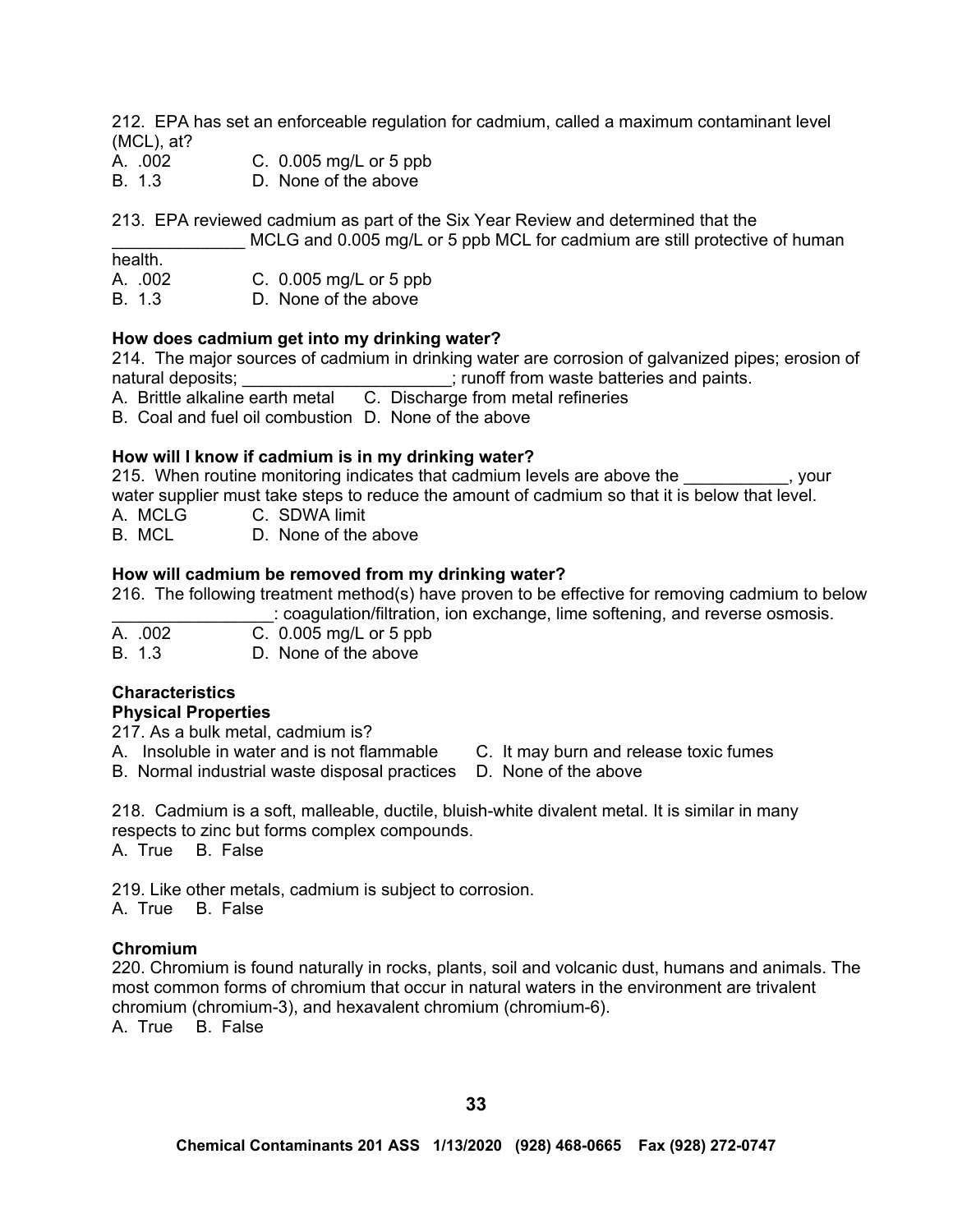212. EPA has set an enforceable regulation for cadmium, called a maximum contaminant level (MCL), at?

- A. .002 C. 0.005 mg/L or 5 ppb
- B. 1.3 D. None of the above

213. EPA reviewed cadmium as part of the Six Year Review and determined that the

MCLG and 0.005 mg/L or 5 ppb MCL for cadmium are still protective of human

health.

- A. .002 C. 0.005 mg/L or 5 ppb
- B. 1.3 D. None of the above

### **How does cadmium get into my drinking water?**

214. The major sources of cadmium in drinking water are corrosion of galvanized pipes; erosion of natural deposits; entitled as a set of the set of the state is and paints.

A. Brittle alkaline earth metal C. Discharge from metal refineries

B. Coal and fuel oil combustion D. None of the above

# **How will I know if cadmium is in my drinking water?**

215. When routine monitoring indicates that cadmium levels are above the  $\sim$ , your water supplier must take steps to reduce the amount of cadmium so that it is below that level.

A. MCLG C. SDWA limit

B. MCL D. None of the above

### **How will cadmium be removed from my drinking water?**

216. The following treatment method(s) have proven to be effective for removing cadmium to below

\_\_\_\_\_\_\_\_\_\_\_\_\_\_\_\_\_: coagulation/filtration, ion exchange, lime softening, and reverse osmosis.

| A. .002 | C. $0.005$ mg/L or 5 ppb |
|---------|--------------------------|
| B. 1.3  | D. None of the above     |

# **Characteristics**

# **Physical Properties**

217. As a bulk metal, cadmium is?

- A. Insoluble in water and is not flammable C. It may burn and release toxic fumes
- B. Normal industrial waste disposal practices D. None of the above
- -

218. Cadmium is a soft, malleable, ductile, bluish-white divalent metal. It is similar in many respects to zinc but forms complex compounds. A. True B. False

219. Like other metals, cadmium is subject to corrosion.

A. True B. False

#### **Chromium**

220. Chromium is found naturally in rocks, plants, soil and volcanic dust, humans and animals. The most common forms of chromium that occur in natural waters in the environment are trivalent chromium (chromium-3), and hexavalent chromium (chromium-6). A. True B. False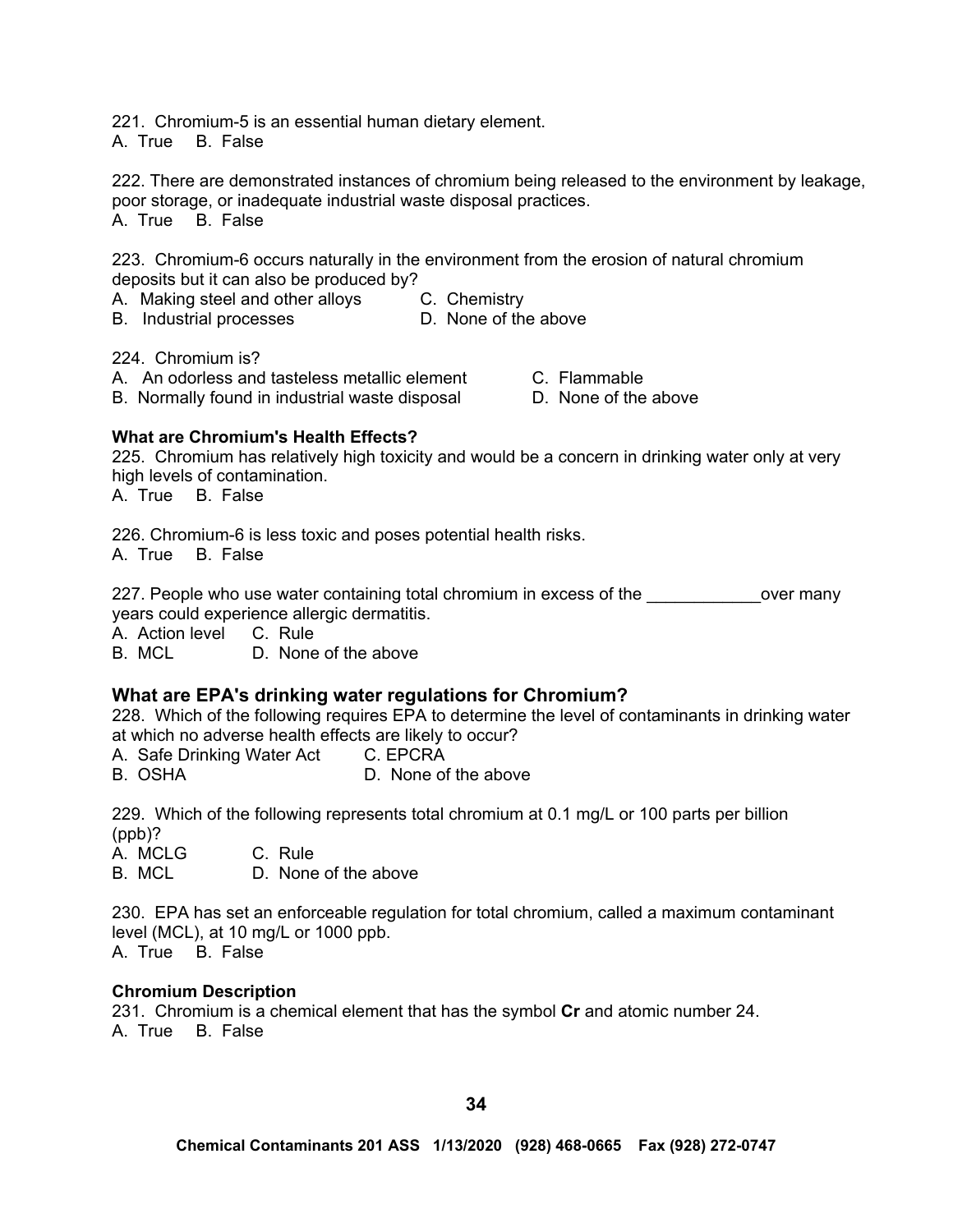221. Chromium-5 is an essential human dietary element.

A. True B. False

222. There are demonstrated instances of chromium being released to the environment by leakage, poor storage, or inadequate industrial waste disposal practices. A. True B. False

223. Chromium-6 occurs naturally in the environment from the erosion of natural chromium deposits but it can also be produced by?

A. Making steel and other alloys C. Chemistry<br>B. Industrial processes B. None of the above

B. Industrial processes

224. Chromium is?

- A. An odorless and tasteless metallic element C. Flammable
- B. Normally found in industrial waste disposal D. None of the above

**What are Chromium's Health Effects?**

225. Chromium has relatively high toxicity and would be a concern in drinking water only at very high levels of contamination.

A. True B. False

226. Chromium-6 is less toxic and poses potential health risks. A. True B. False

227. People who use water containing total chromium in excess of the <u>second over many</u> years could experience allergic dermatitis.

A. Action level C. Rule

B. MCL D. None of the above

# **What are EPA's drinking water regulations for Chromium?**

228. Which of the following requires EPA to determine the level of contaminants in drinking water at which no adverse health effects are likely to occur?

A. Safe Drinking Water Act C. EPCRA

B. OSHA D. None of the above

229. Which of the following represents total chromium at 0.1 mg/L or 100 parts per billion (ppb)?

A. MCLG C. Rule B. MCL D. None of the above

230. EPA has set an enforceable regulation for total chromium, called a maximum contaminant level (MCL), at 10 mg/L or 1000 ppb.

A. True B. False

# **Chromium Description**

231. Chromium is a chemical element that has the symbol **Cr** and atomic number 24. A. True B. False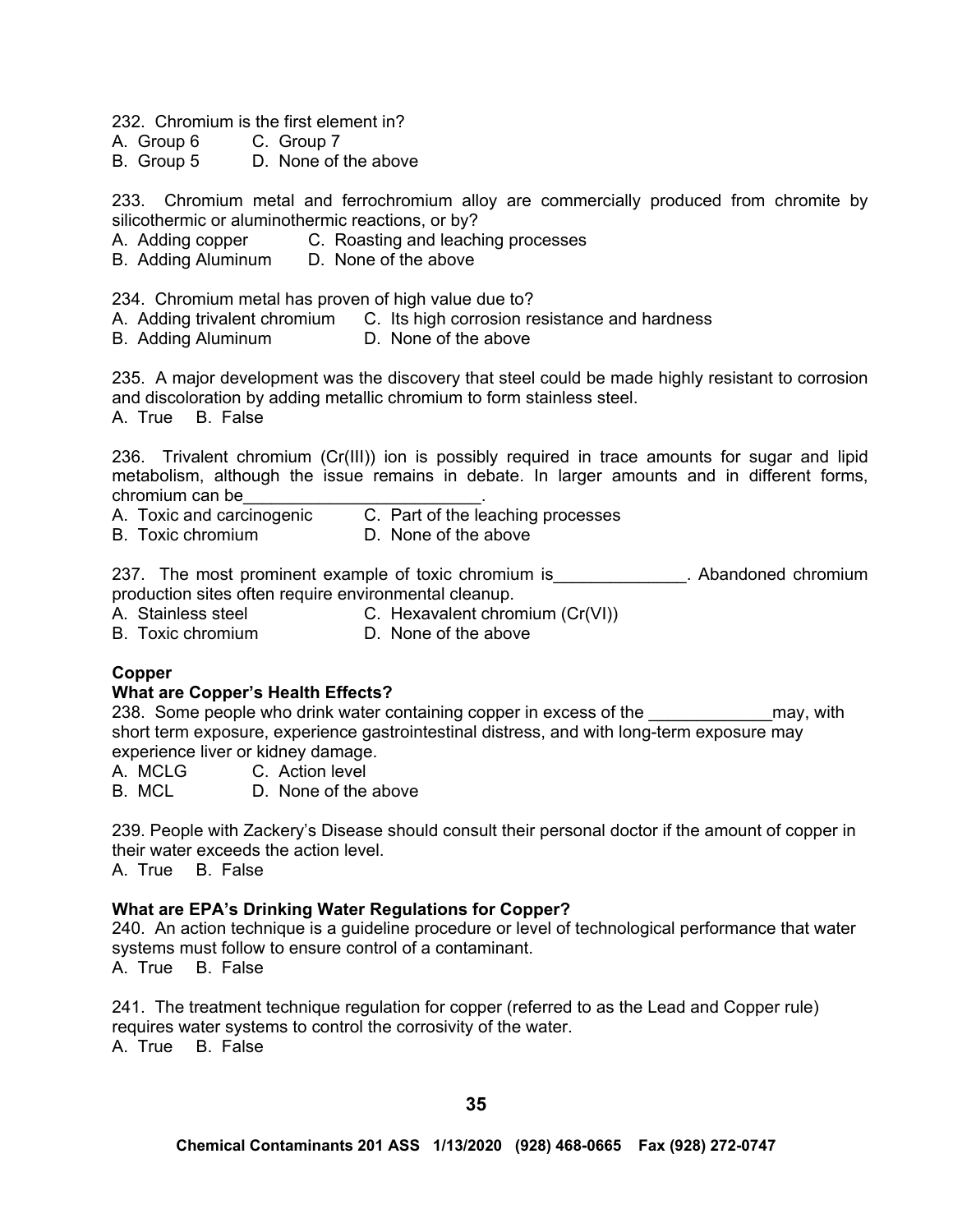232. Chromium is the first element in?

A. Group 6 C. Group 7

B. Group 5 D. None of the above

233. Chromium metal and ferrochromium alloy are commercially produced from chromite by silicothermic or aluminothermic reactions, or by?

- A. Adding copper C. Roasting and leaching processes
- B. Adding Aluminum D. None of the above

234. Chromium metal has proven of high value due to?

- A. Adding trivalent chromium C. Its high corrosion resistance and hardness
- B. Adding Aluminum D. None of the above

235. A major development was the discovery that steel could be made highly resistant to corrosion and discoloration by adding metallic chromium to form stainless steel.

A. True B. False

236. Trivalent chromium (Cr(III)) ion is possibly required in trace amounts for sugar and lipid metabolism, although the issue remains in debate. In larger amounts and in different forms, chromium can be

- A. Toxic and carcinogenic C. Part of the leaching processes
- B. Toxic chromium D. None of the above

237. The most prominent example of toxic chromium is\_\_\_\_\_\_\_\_\_\_\_\_\_\_. Abandoned chromium production sites often require environmental cleanup.

A. Stainless steel **C.** Hexavalent chromium (Cr(VI))

B. Toxic chromium D. None of the above

#### **Copper**

#### **What are Copper's Health Effects?**

238. Some people who drink water containing copper in excess of the **Example 238** may, with short term exposure, experience gastrointestinal distress, and with long-term exposure may experience liver or kidney damage.

A. MCLG C. Action level

B. MCL D. None of the above

239. People with Zackery's Disease should consult their personal doctor if the amount of copper in their water exceeds the action level.

A. True B. False

#### **What are EPA's Drinking Water Regulations for Copper?**

240. An action technique is a guideline procedure or level of technological performance that water systems must follow to ensure control of a contaminant. A. True B. False

241. The treatment technique regulation for copper (referred to as the Lead and Copper rule) requires water systems to control the corrosivity of the water. A. True B. False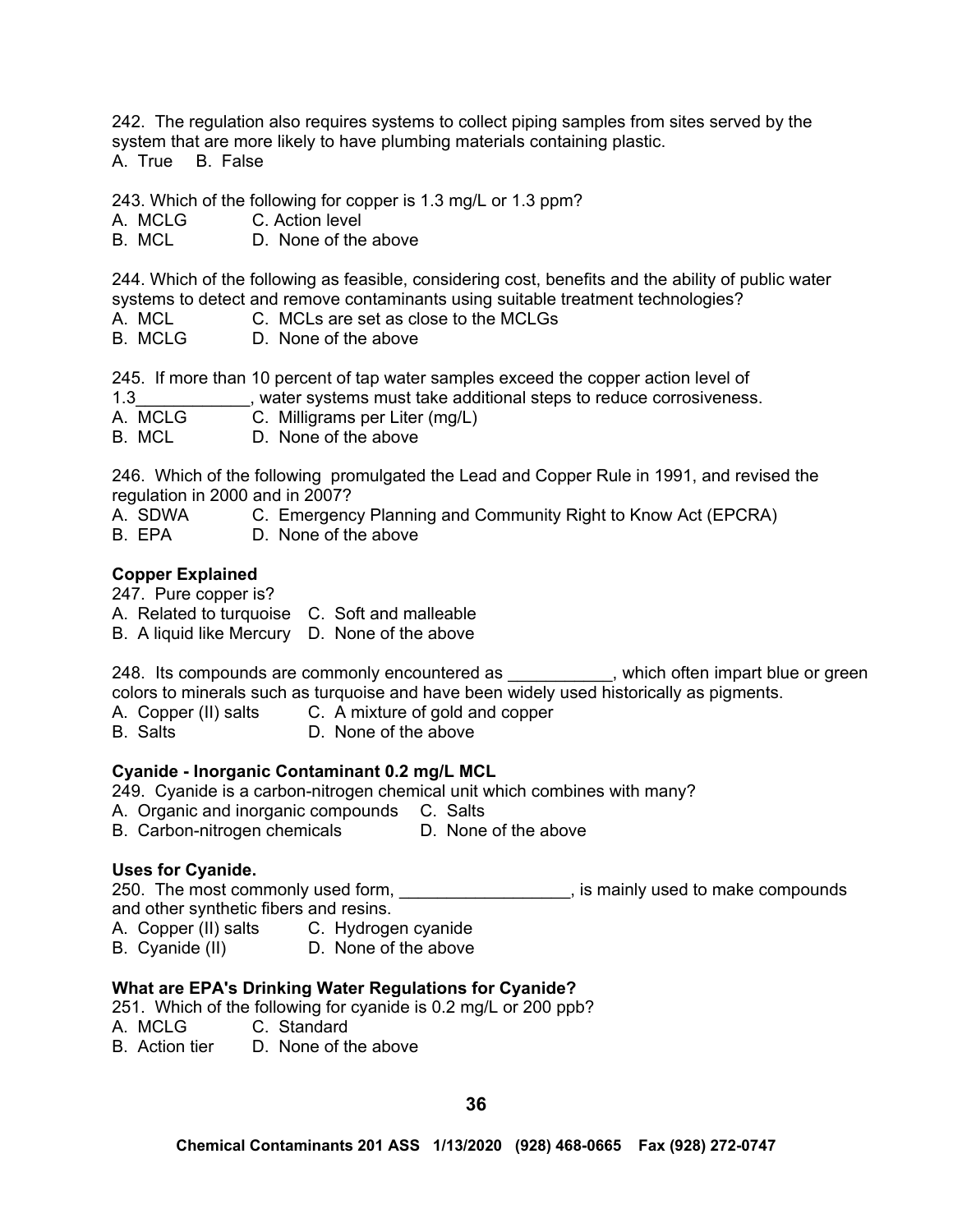242. The regulation also requires systems to collect piping samples from sites served by the system that are more likely to have plumbing materials containing plastic. A. True B. False

243. Which of the following for copper is 1.3 mg/L or 1.3 ppm?

A. MCLG C. Action level

B. MCL D. None of the above

244. Which of the following as feasible, considering cost, benefits and the ability of public water systems to detect and remove contaminants using suitable treatment technologies?

- A. MCL C. MCLs are set as close to the MCLGs
- B. MCLG D. None of the above

245. If more than 10 percent of tap water samples exceed the copper action level of

1.3\_\_\_\_\_\_\_\_\_\_\_\_, water systems must take additional steps to reduce corrosiveness.

A. MCLG C. Milligrams per Liter (mg/L)

B. MCL D. None of the above

246. Which of the following promulgated the Lead and Copper Rule in 1991, and revised the regulation in 2000 and in 2007?

- A. SDWA C. Emergency Planning and Community Right to Know Act (EPCRA)
- B. EPA D. None of the above

# **Copper Explained**

247. Pure copper is?

- A. Related to turquoise C. Soft and malleable
- B. A liquid like Mercury D. None of the above

248. Its compounds are commonly encountered as \_\_\_\_\_\_\_\_\_, which often impart blue or green colors to minerals such as turquoise and have been widely used historically as pigments.

A. Copper (II) salts C. A mixture of gold and copper

B. Salts D. None of the above

# **Cyanide - Inorganic Contaminant 0.2 mg/L MCL**

- 249. Cyanide is a carbon-nitrogen chemical unit which combines with many?
- A. Organic and inorganic compounds C. Salts
- B. Carbon-nitrogen chemicals D. None of the above

# **Uses for Cyanide.**

250. The most commonly used form, the match of the state of the make compounds is mainly used to make compounds and other synthetic fibers and resins.

- A. Copper (II) salts C. Hydrogen cyanide
- B. Cyanide (II) D. None of the above

# **What are EPA's Drinking Water Regulations for Cyanide?**

251. Which of the following for cyanide is 0.2 mg/L or 200 ppb?

- A. MCLG C. Standard
- B. Action tier D. None of the above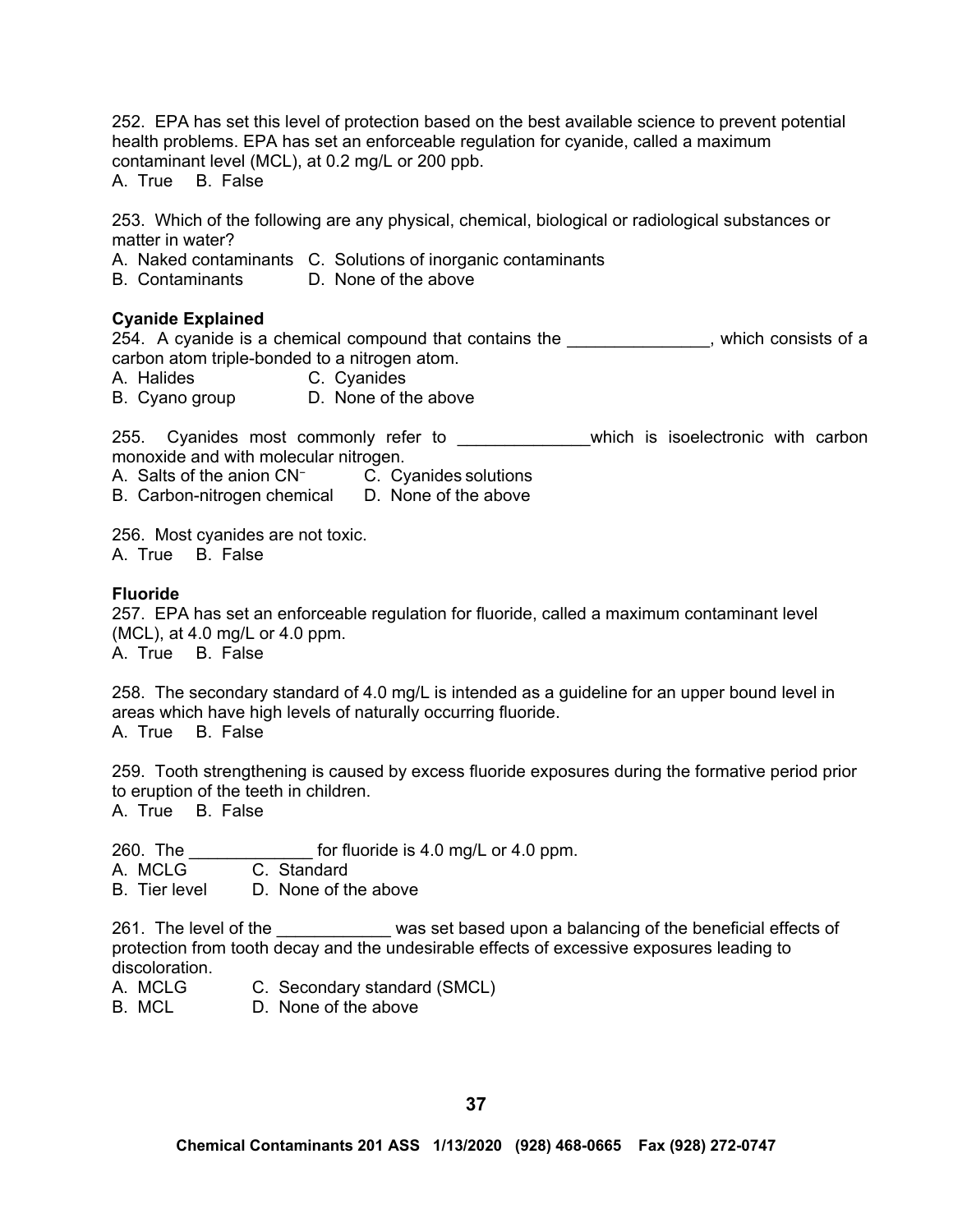252. EPA has set this level of protection based on the best available science to prevent potential health problems. EPA has set an enforceable regulation for cyanide, called a maximum contaminant level (MCL), at 0.2 mg/L or 200 ppb.

A. True B. False

253. Which of the following are any physical, chemical, biological or radiological substances or matter in water?

A. Naked contaminants C. Solutions of inorganic contaminants

B. Contaminants D. None of the above

# **Cyanide Explained**

254. A cyanide is a chemical compound that contains the the the state of a state of a carbon atom triple-bonded to a nitrogen atom.

A. Halides C. Cyanides

B. Cyano group D. None of the above

255. Cyanides most commonly refer to \_\_\_\_\_\_\_\_\_\_\_\_\_\_which is isoelectronic with carbon monoxide and with molecular nitrogen.

A. Salts of the anion CN<sup>−</sup> C. Cyanides solutions

B. Carbon-nitrogen chemical D. None of the above

256. Most cyanides are not toxic.

A. True B. False

### **Fluoride**

257. EPA has set an enforceable regulation for fluoride, called a maximum contaminant level (MCL), at 4.0 mg/L or 4.0 ppm. A. True B. False

258. The secondary standard of 4.0 mg/L is intended as a guideline for an upper bound level in areas which have high levels of naturally occurring fluoride. A. True B. False

259. Tooth strengthening is caused by excess fluoride exposures during the formative period prior to eruption of the teeth in children.

A. True B. False

260. The  $\frac{1}{260}$  for fluoride is 4.0 mg/L or 4.0 ppm.<br>A. MCLG  $\frac{1}{260}$  C. Standard

A. MCLG

B. Tier level D. None of the above

261. The level of the \_\_\_\_\_\_\_\_\_\_\_\_ was set based upon a balancing of the beneficial effects of protection from tooth decay and the undesirable effects of excessive exposures leading to discoloration.

- A. MCLG C. Secondary standard (SMCL)
- B. MCL D. None of the above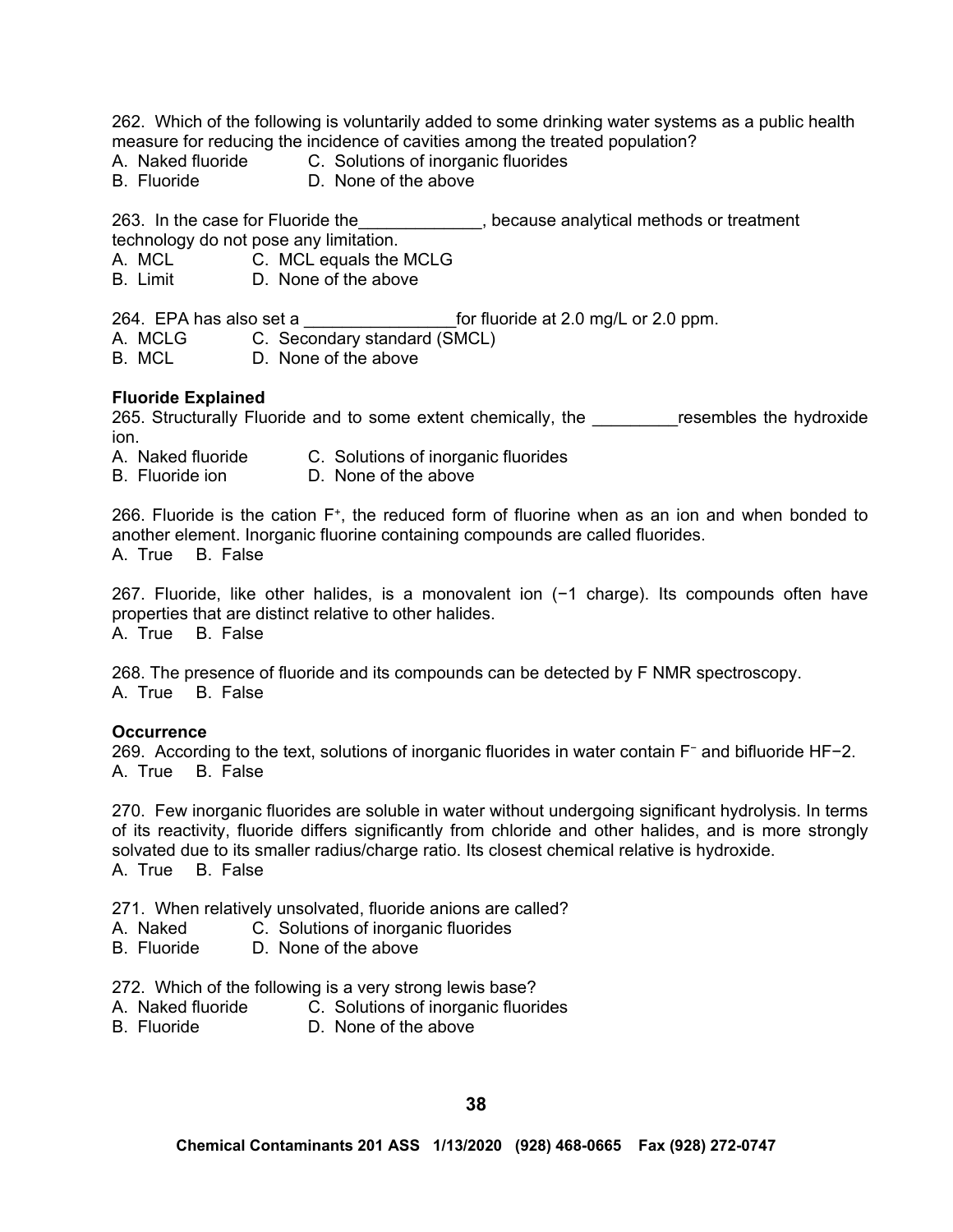262. Which of the following is voluntarily added to some drinking water systems as a public health measure for reducing the incidence of cavities among the treated population?

- A. Naked fluoride C. Solutions of inorganic fluorides<br>B. Fluoride D. None of the above
- D. None of the above

263. In the case for Fluoride the\_\_\_\_\_\_\_\_\_\_\_\_\_, because analytical methods or treatment technology do not pose any limitation.

A. MCL C. MCL equals the MCLG

B. Limit D. None of the above

264. EPA has also set a z and the fluoride at 2.0 mg/L or 2.0 ppm.

A. MCLG C. Secondary standard (SMCL)

B. MCL D. None of the above

### **Fluoride Explained**

265. Structurally Fluoride and to some extent chemically, the **come assembles the hydroxide** ion.

- A. Naked fluoride C. Solutions of inorganic fluorides
- B. Fluoride ion D. None of the above

266. Fluoride is the cation  $F^+$ , the reduced form of fluorine when as an ion and when bonded to another element. Inorganic fluorine containing compounds are called fluorides. A. True B. False

267. Fluoride, like other halides, is a monovalent ion (−1 charge). Its compounds often have properties that are distinct relative to other halides. A. True B. False

268. The presence of fluoride and its compounds can be detected by F NMR spectroscopy. A. True B. False

#### **Occurrence**

269. According to the text, solutions of inorganic fluorides in water contain F<sup>−</sup> and bifluoride HF−2. A. True B. False

270. Few inorganic fluorides are soluble in water without undergoing significant hydrolysis. In terms of its reactivity, fluoride differs significantly from chloride and other halides, and is more strongly solvated due to its smaller radius/charge ratio. Its closest chemical relative is hydroxide. A. True B. False

271. When relatively unsolvated, fluoride anions are called?

- A. Naked C. Solutions of inorganic fluorides
- B. Fluoride D. None of the above

272. Which of the following is a very strong lewis base?

- A. Naked fluoride C. Solutions of inorganic fluorides<br>B. Fluoride D. None of the above
- D. None of the above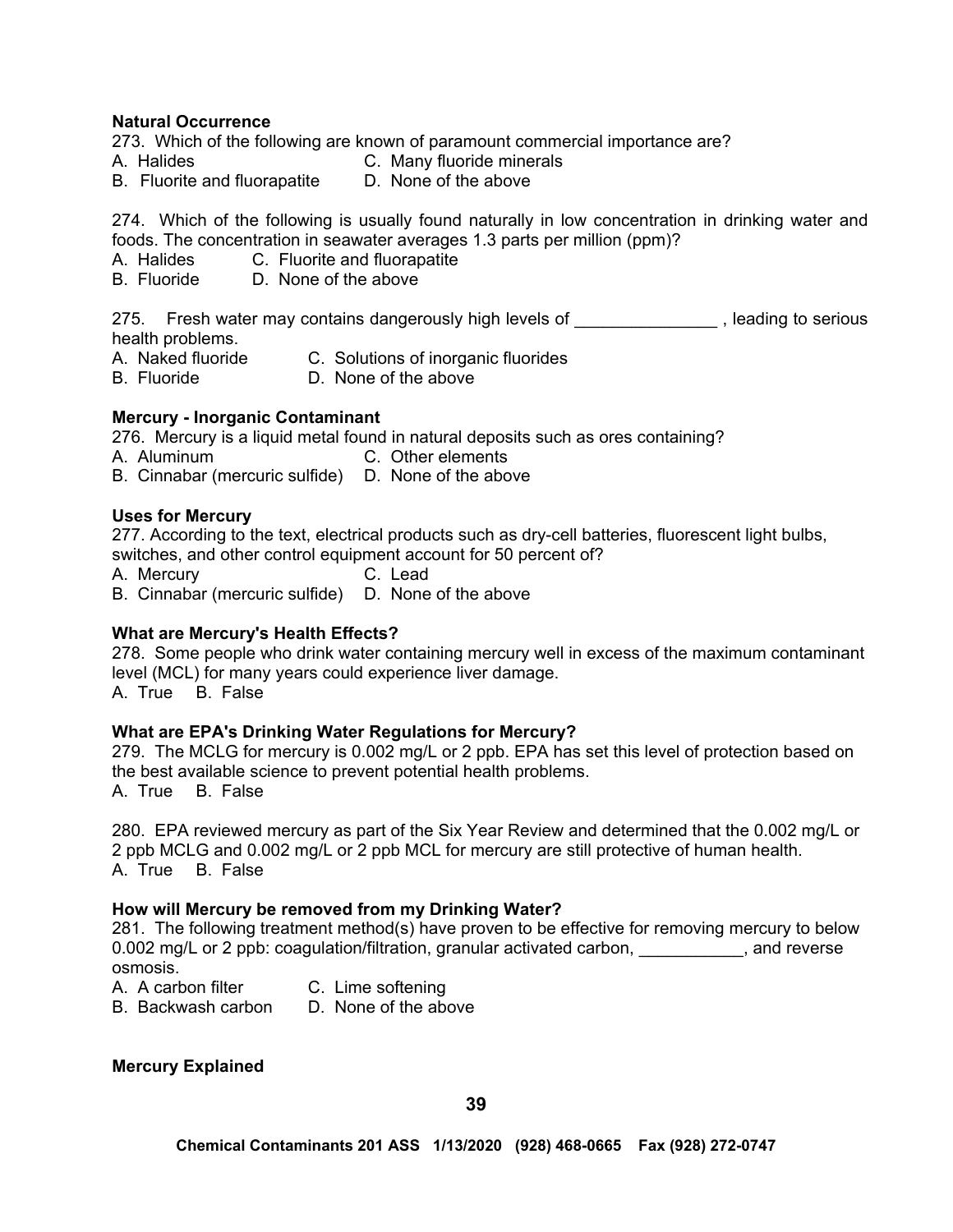#### **Natural Occurrence**

273. Which of the following are known of paramount commercial importance are?

- A. Halides **C. Many fluoride minerals**
- B. Fluorite and fluorapatite D. None of the above

274. Which of the following is usually found naturally in low concentration in drinking water and foods. The concentration in seawater averages 1.3 parts per million (ppm)?

- A. Halides C. Fluorite and fluorapatite
- B. Fluoride D. None of the above

275. Fresh water may contains dangerously high levels of \_\_\_\_\_\_\_\_\_\_\_\_\_\_\_\_\_, leading to serious health problems.

- A. Naked fluoride C. Solutions of inorganic fluorides
- B. Fluoride D. None of the above

# **Mercury - Inorganic Contaminant**

276. Mercury is a liquid metal found in natural deposits such as ores containing?

A. Aluminum C. Other elements

B. Cinnabar (mercuric sulfide) D. None of the above

### **Uses for Mercury**

277. According to the text, electrical products such as dry-cell batteries, fluorescent light bulbs, switches, and other control equipment account for 50 percent of?

A. Mercury C. Lead

B. Cinnabar (mercuric sulfide) D. None of the above

# **What are Mercury's Health Effects?**

278. Some people who drink water containing mercury well in excess of the maximum contaminant level (MCL) for many years could experience liver damage. A. True B. False

# **What are EPA's Drinking Water Regulations for Mercury?**

279. The MCLG for mercury is 0.002 mg/L or 2 ppb. EPA has set this level of protection based on the best available science to prevent potential health problems. A. True B. False

280. EPA reviewed mercury as part of the Six Year Review and determined that the 0.002 mg/L or 2 ppb MCLG and 0.002 mg/L or 2 ppb MCL for mercury are still protective of human health. A. True B. False

# **How will Mercury be removed from my Drinking Water?**

281. The following treatment method(s) have proven to be effective for removing mercury to below 0.002 mg/L or 2 ppb: coagulation/filtration, granular activated carbon, we make your pand reverse osmosis.

| A. A carbon filter | C. Lime softening                                |
|--------------------|--------------------------------------------------|
| .                  | $\sim$ $\sim$ $\sim$ $\sim$ $\sim$ $\sim$ $\sim$ |

B. Backwash carbon D. None of the above

# **Mercury Explained**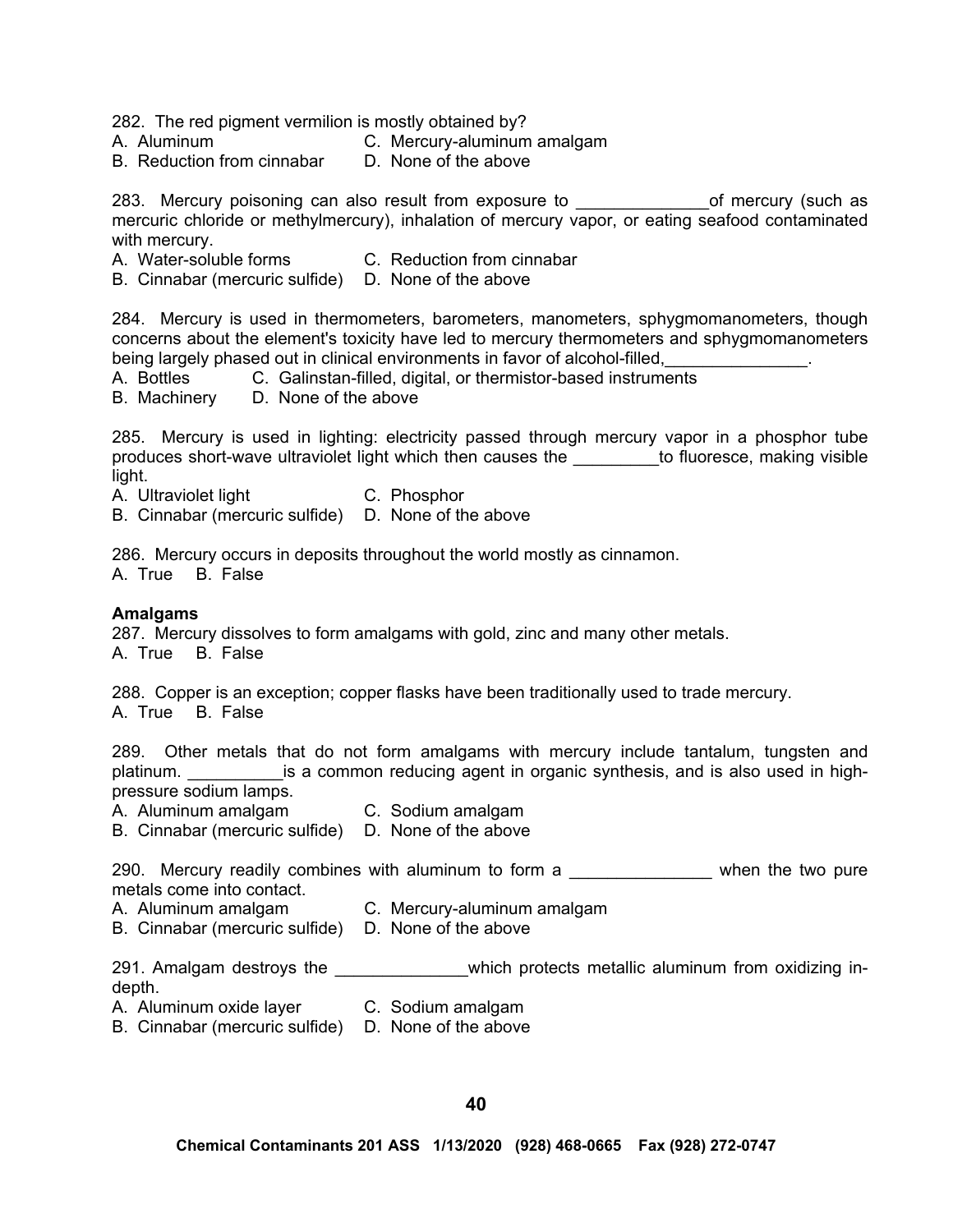282. The red pigment vermilion is mostly obtained by?

- A. Aluminum C. Mercury-aluminum amalgam
- B. Reduction from cinnabar D. None of the above

283. Mercury poisoning can also result from exposure to \_\_\_\_\_\_\_\_\_\_\_\_\_\_\_\_of mercury (such as mercuric chloride or methylmercury), inhalation of mercury vapor, or eating seafood contaminated with mercury.

- A. Water-soluble forms C. Reduction from cinnabar
- B. Cinnabar (mercuric sulfide) D. None of the above

284. Mercury is used in thermometers, barometers, manometers, sphygmomanometers, though concerns about the element's toxicity have led to mercury thermometers and sphygmomanometers being largely phased out in clinical environments in favor of alcohol-filled,

A. Bottles C. Galinstan-filled, digital, or thermistor-based instruments

B. Machinery D. None of the above

285. Mercury is used in lighting: electricity passed through mercury vapor in a phosphor tube produces short-wave ultraviolet light which then causes the \_\_\_\_\_\_\_\_\_to fluoresce, making visible light.

A. Ultraviolet light C. Phosphor

B. Cinnabar (mercuric sulfide) D. None of the above

286. Mercury occurs in deposits throughout the world mostly as cinnamon.

A. True B. False

### **Amalgams**

287. Mercury dissolves to form amalgams with gold, zinc and many other metals.

A. True B. False

288. Copper is an exception; copper flasks have been traditionally used to trade mercury. A. True B. False

289. Other metals that do not form amalgams with mercury include tantalum, tungsten and platinum. \_\_\_\_\_\_\_\_\_\_\_\_\_is a common reducing agent in organic synthesis, and is also used in highpressure sodium lamps.

- A. Aluminum amalgam C. Sodium amalgam
- B. Cinnabar (mercuric sulfide) D. None of the above

290. Mercury readily combines with aluminum to form a \_\_\_\_\_\_\_\_\_\_\_\_\_\_\_\_ when the two pure metals come into contact.

- A. Aluminum amalgam C. Mercury-aluminum amalgam
- B. Cinnabar (mercuric sulfide) D. None of the above

291. Amalgam destroys the extending which protects metallic aluminum from oxidizing indepth.

A. Aluminum oxide layer C. Sodium amalgam

B. Cinnabar (mercuric sulfide) D. None of the above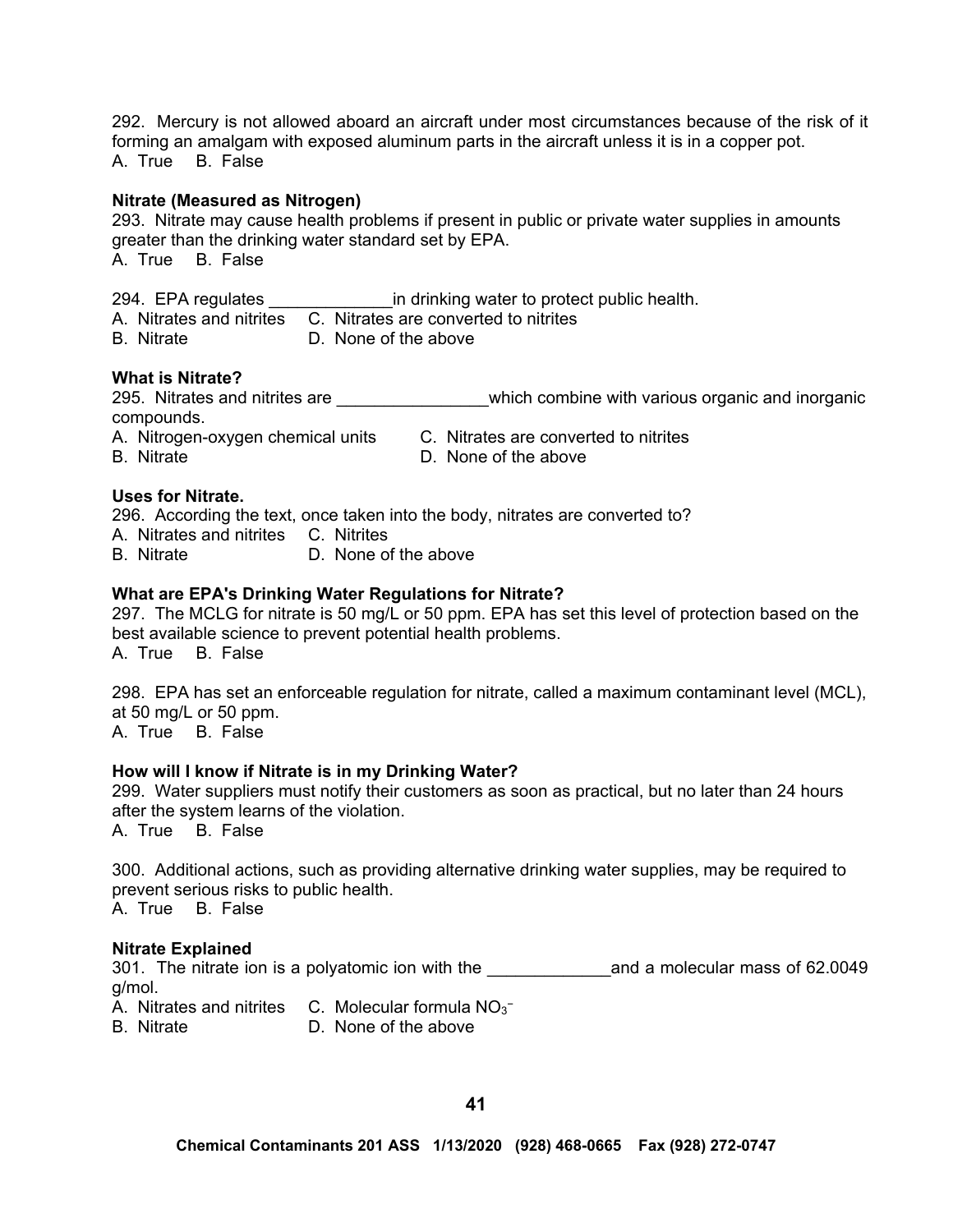292. Mercury is not allowed aboard an aircraft under most circumstances because of the risk of it forming an amalgam with exposed aluminum parts in the aircraft unless it is in a copper pot. A. True B. False

#### **Nitrate (Measured as Nitrogen)**

293. Nitrate may cause health problems if present in public or private water supplies in amounts greater than the drinking water standard set by EPA.

A. True B. False

294. EPA regulates \_\_\_\_\_\_\_\_\_\_\_\_\_\_\_\_\_\_\_ in drinking water to protect public health.

|  |  | A. Nitrates and nitrites C. Nitrates are converted to nitrites |
|--|--|----------------------------------------------------------------|
|--|--|----------------------------------------------------------------|

B. Nitrate D. None of the above

# **What is Nitrate?**

295. Nitrates and nitrites are \_\_\_\_\_\_\_\_\_\_\_\_\_\_\_\_\_\_\_which combine with various organic and inorganic compounds.

A. Nitrogen-oxygen chemical units C. Nitrates are converted to nitrites

- 
- B. Nitrate **D.** None of the above

### **Uses for Nitrate.**

296. According the text, once taken into the body, nitrates are converted to?

- A. Nitrates and nitrites C. Nitrites
- B. Nitrate D. None of the above

### **What are EPA's Drinking Water Regulations for Nitrate?**

297. The MCLG for nitrate is 50 mg/L or 50 ppm. EPA has set this level of protection based on the best available science to prevent potential health problems.

A. True B. False

298. EPA has set an enforceable regulation for nitrate, called a maximum contaminant level (MCL), at 50 mg/L or 50 ppm.

A. True B. False

#### **How will I know if Nitrate is in my Drinking Water?**

299. Water suppliers must notify their customers as soon as practical, but no later than 24 hours after the system learns of the violation.

A. True B. False

300. Additional actions, such as providing alternative drinking water supplies, may be required to prevent serious risks to public health.

A. True B. False

#### **Nitrate Explained**

301. The nitrate ion is a polyatomic ion with the **Example 2011** and a molecular mass of 62.0049 g/mol.

A. Nitrates and nitrites  $\,$  C. Molecular formula NO<sub>3</sub><sup>-</sup>

B. Nitrate D. None of the above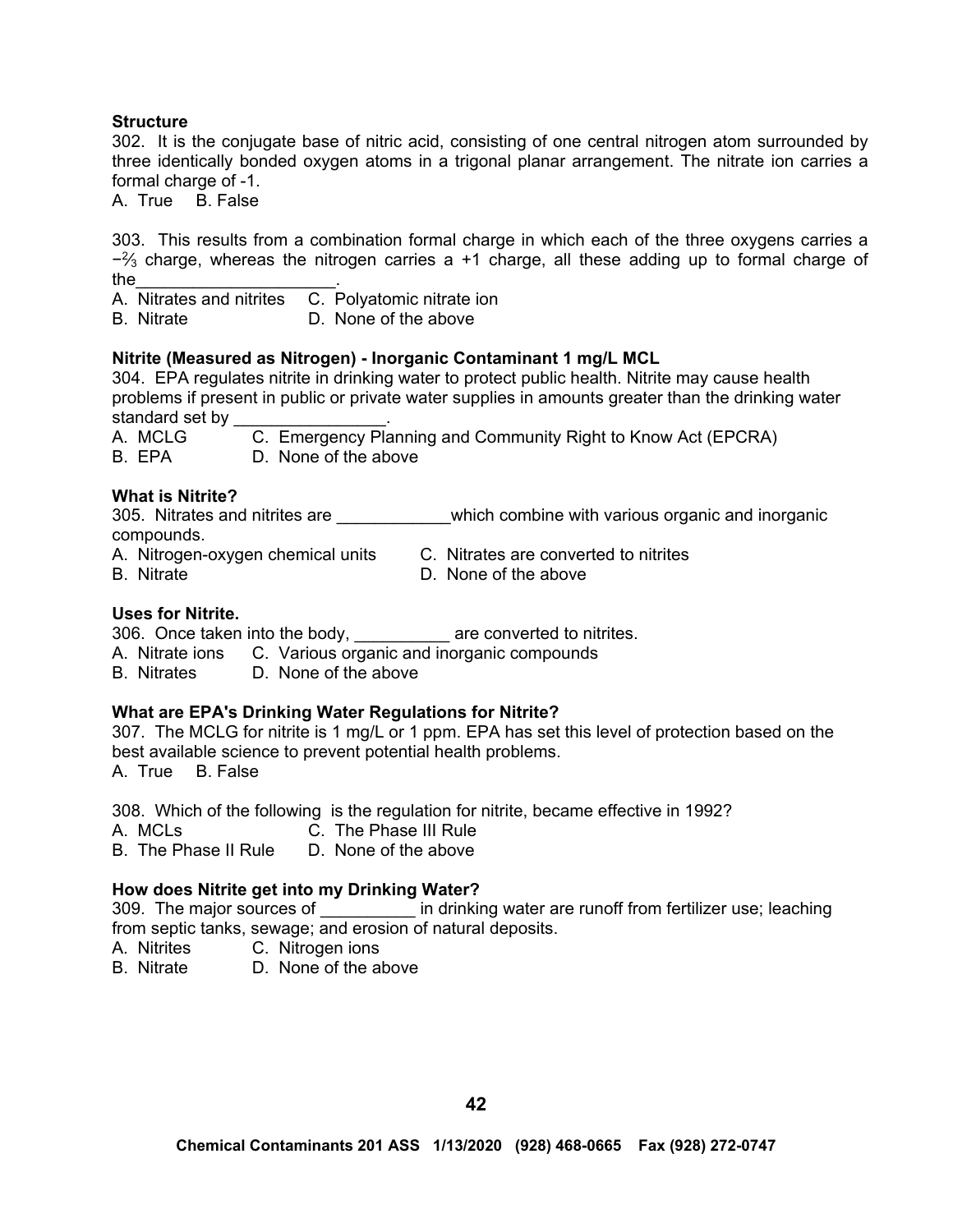#### **Structure**

302. It is the conjugate base of nitric acid, consisting of one central nitrogen atom surrounded by three identically bonded oxygen atoms in a trigonal planar arrangement. The nitrate ion carries a formal charge of -1.

A. True B. False

303. This results from a combination formal charge in which each of the three oxygens carries a  $-2/3$  charge, whereas the nitrogen carries a +1 charge, all these adding up to formal charge of the  $\blacksquare$ 

A. Nitrates and nitrites C. Polyatomic nitrate ion

B. Nitrate D. None of the above

### **Nitrite (Measured as Nitrogen) - Inorganic Contaminant 1 mg/L MCL**

304. EPA regulates nitrite in drinking water to protect public health. Nitrite may cause health problems if present in public or private water supplies in amounts greater than the drinking water standard set by

| A. MCLG | C. Emergency Planning and Community Right to Know Act (EPCRA) |
|---------|---------------------------------------------------------------|
| B. EPA  | D. None of the above                                          |

### **What is Nitrite?**

305. Nitrates and nitrites are \_\_\_\_\_\_\_\_\_\_\_\_which combine with various organic and inorganic compounds.

A. Nitrogen-oxygen chemical units C. Nitrates are converted to nitrites

B. Nitrate D. None of the above

#### **Uses for Nitrite.**

306. Once taken into the body, are converted to nitrites.

A. Nitrate ions C. Various organic and inorganic compounds

B. Nitrates D. None of the above

#### **What are EPA's Drinking Water Regulations for Nitrite?**

307. The MCLG for nitrite is 1 mg/L or 1 ppm. EPA has set this level of protection based on the best available science to prevent potential health problems. A. True B. False

308. Which of the following is the regulation for nitrite, became effective in 1992?

- 
- A. MCLs C. The Phase III Rule
- B. The Phase II Rule D. None of the above

# **How does Nitrite get into my Drinking Water?**

309. The major sources of **Example 2018** in drinking water are runoff from fertilizer use; leaching from septic tanks, sewage; and erosion of natural deposits.

- A. Nitrites C. Nitrogen ions
- B. Nitrate D. None of the above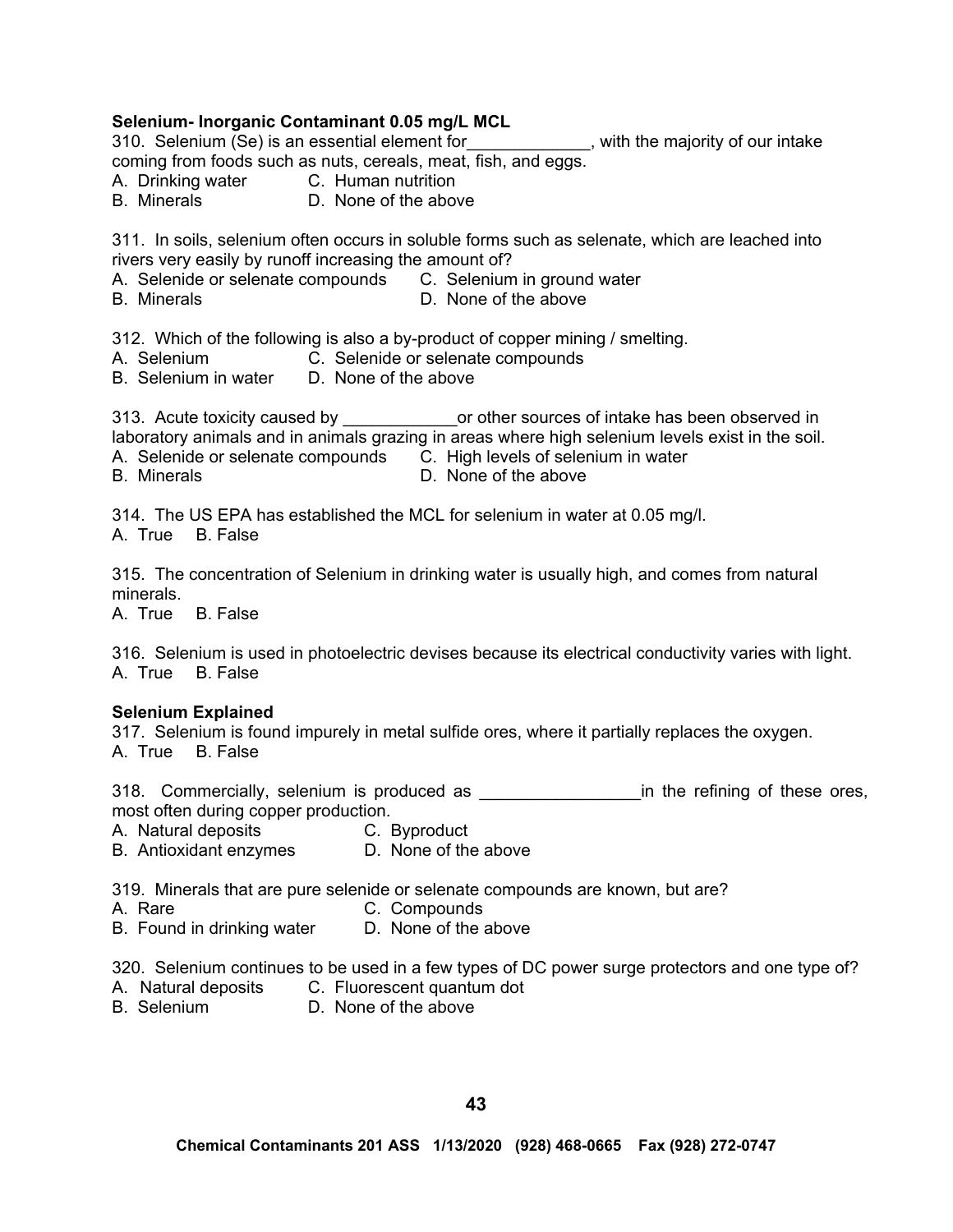## **Selenium- Inorganic Contaminant 0.05 mg/L MCL**

310. Selenium (Se) is an essential element for \_\_\_\_\_\_\_\_\_\_\_\_\_, with the majority of our intake coming from foods such as nuts, cereals, meat, fish, and eggs.

- A. Drinking water C. Human nutrition
- B. Minerals **D. None of the above**

311. In soils, selenium often occurs in soluble forms such as selenate, which are leached into rivers very easily by runoff increasing the amount of?

- A. Selenide or selenate compounds C. Selenium in ground water
- B. Minerals **D.** None of the above

312. Which of the following is also a by-product of copper mining / smelting.

- A. Selenium C. Selenide or selenate compounds
- B. Selenium in water D. None of the above

313. Acute toxicity caused by \_\_\_\_\_\_\_\_\_\_\_\_\_\_\_\_or other sources of intake has been observed in laboratory animals and in animals grazing in areas where high selenium levels exist in the soil. A. Selenide or selenate compounds C. High levels of selenium in water

B. Minerals **D.** None of the above

314. The US EPA has established the MCL for selenium in water at 0.05 mg/l.

A. True B. False

315. The concentration of Selenium in drinking water is usually high, and comes from natural minerals.

A. True B. False

316. Selenium is used in photoelectric devises because its electrical conductivity varies with light. A. True B. False

#### **Selenium Explained**

317. Selenium is found impurely in metal sulfide ores, where it partially replaces the oxygen. A. True B. False

318. Commercially, selenium is produced as \_\_\_\_\_\_\_\_\_\_\_\_\_\_\_\_\_\_\_\_\_\_in the refining of these ores, most often during copper production.

A. Natural deposits **C. Byproduct** 

B. Antioxidant enzymes D. None of the above

319. Minerals that are pure selenide or selenate compounds are known, but are?

- A. Rare C. Compounds
- B. Found in drinking water D. None of the above

320. Selenium continues to be used in a few types of DC power surge protectors and one type of?

- A. Natural deposits C. Fluorescent quantum dot
- B. Selenium D. None of the above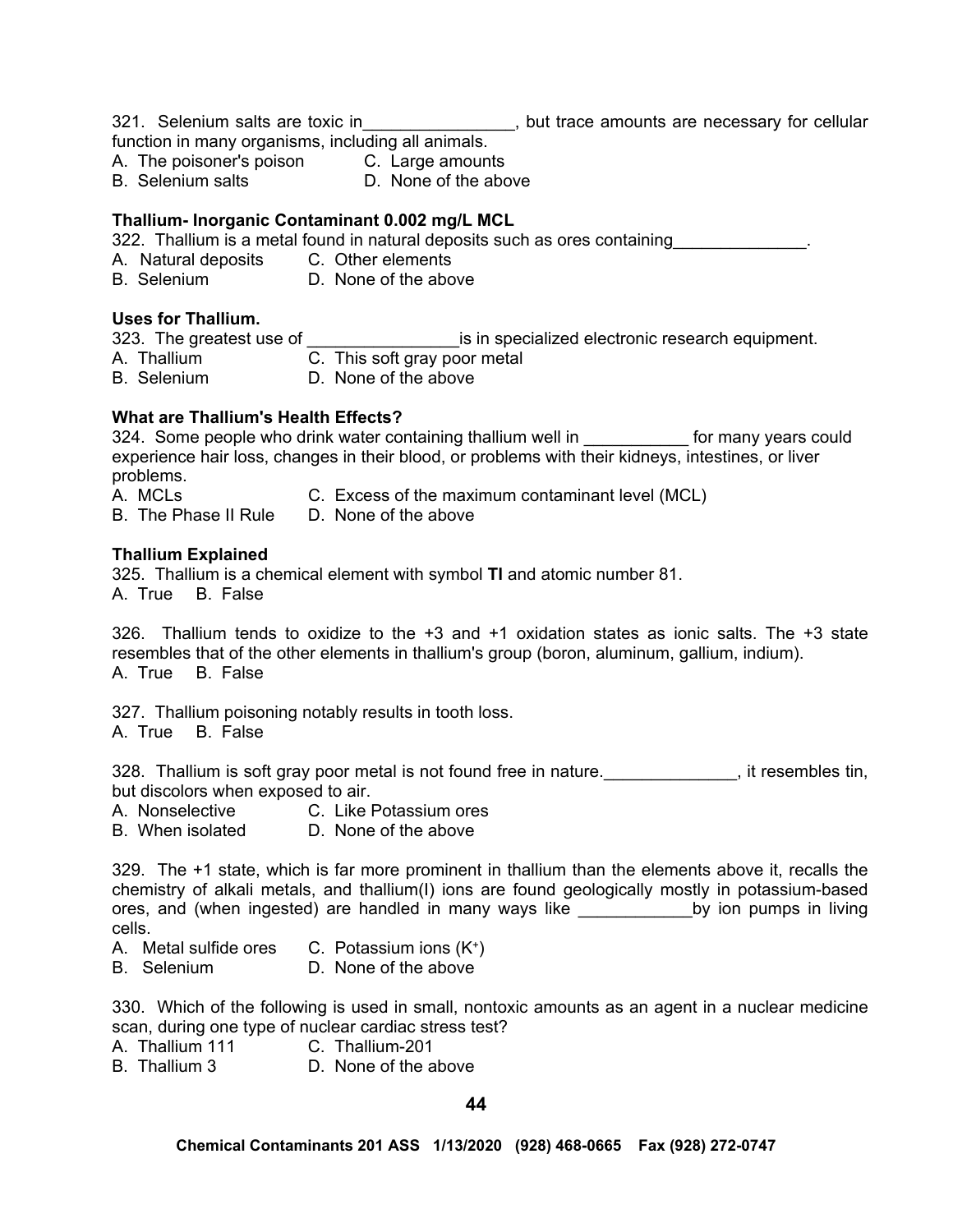321. Selenium salts are toxic in\_\_\_\_\_\_\_\_\_\_\_\_\_\_\_, but trace amounts are necessary for cellular

function in many organisms, including all animals.

A. The poisoner's poison C. Large amounts<br>B. Selenium salts B. None of the abc

D. None of the above

# **Thallium- Inorganic Contaminant 0.002 mg/L MCL**

322. Thallium is a metal found in natural deposits such as ores containing

- A. Natural deposits C. Other elements
- B. Selenium D. None of the above

# **Uses for Thallium.**

333. The greatest use of \_\_\_\_\_\_\_\_\_\_\_\_\_\_\_\_\_\_\_\_\_\_\_is in specialized electronic research equipment.

- A. Thallium C. This soft gray poor metal
- B. Selenium D. None of the above

# **What are Thallium's Health Effects?**

324. Some people who drink water containing thallium well in example for many years could experience hair loss, changes in their blood, or problems with their kidneys, intestines, or liver problems.

A. MCLs C. Excess of the maximum contaminant level (MCL)

B. The Phase II Rule D. None of the above

# **Thallium Explained**

325. Thallium is a chemical element with symbol **Tl** and atomic number 81. A. True B. False

326. Thallium tends to oxidize to the +3 and +1 oxidation states as ionic salts. The +3 state resembles that of the other elements in thallium's group (boron, aluminum, gallium, indium). A. True B. False

327. Thallium poisoning notably results in tooth loss.

A. True B. False

328. Thallium is soft gray poor metal is not found free in nature. The sembles tin, but discolors when exposed to air.

A. Nonselective C. Like Potassium ores

B. When isolated D. None of the above

329. The +1 state, which is far more prominent in thallium than the elements above it, recalls the chemistry of alkali metals, and thallium(I) ions are found geologically mostly in potassium-based ores, and (when ingested) are handled in many ways like \_\_\_\_\_\_\_\_\_\_\_\_by ion pumps in living cells.

- A. Metal sulfide ores  $C.$  Potassium ions  $(K^+)$
- B. Selenium D. None of the above

330. Which of the following is used in small, nontoxic amounts as an agent in a nuclear medicine scan, during one type of nuclear cardiac stress test?

- A. Thallium 111 C. Thallium-201
- B. Thallium 3 D. None of the above

**44**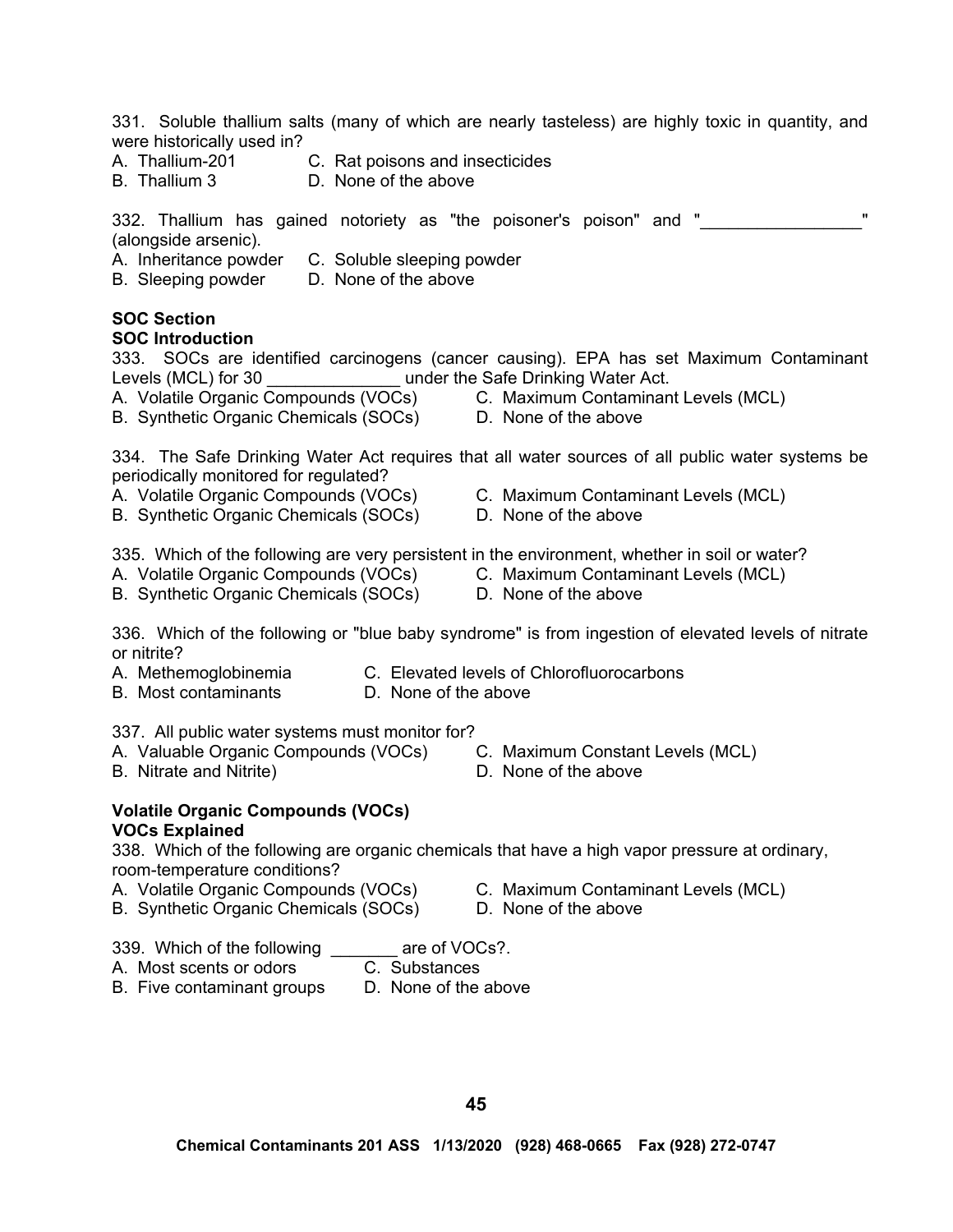331. Soluble thallium salts (many of which are nearly tasteless) are highly toxic in quantity, and were historically used in?

- A. Thallium-201 C. Rat poisons and insecticides
- B. Thallium 3 D. None of the above

332. Thallium has gained notoriety as "the poisoner's poison" and " (alongside arsenic).

- A. Inheritance powder C. Soluble sleeping powder
- B. Sleeping powder D. None of the above

# **SOC Section**

#### **SOC Introduction**

333. SOCs are identified carcinogens (cancer causing). EPA has set Maximum Contaminant Levels (MCL) for 30 **Levels** (MCL) for 30 **Levels** under the Safe Drinking Water Act.

- 
- B. Synthetic Organic Chemicals (SOCs) D. None of the above
- A. Volatile Organic Compounds (VOCs) C. Maximum Contaminant Levels (MCL)
	-

334. The Safe Drinking Water Act requires that all water sources of all public water systems be periodically monitored for regulated?

- 
- B. Synthetic Organic Chemicals (SOCs) D. None of the above
- A. Volatile Organic Compounds (VOCs) C. Maximum Contaminant Levels (MCL)
	-

335. Which of the following are very persistent in the environment, whether in soil or water?

- A. Volatile Organic Compounds (VOCs) C. Maximum Contaminant Levels (MCL)
- B. Synthetic Organic Chemicals (SOCs) D. None of the above
- -

336. Which of the following or "blue baby syndrome" is from ingestion of elevated levels of nitrate or nitrite?

- A. Methemoglobinemia C. Elevated levels of Chlorofluorocarbons
- B. Most contaminants D. None of the above

337. All public water systems must monitor for?

- A. Valuable Organic Compounds (VOCs) C. Maximum Constant Levels (MCL)<br>B. Nitrate and Nitrite) C. None of the above
- B. Nitrate and Nitrite)
- 
- 
- 
- **Volatile Organic Compounds (VOCs) VOCs Explained**

338. Which of the following are organic chemicals that have a high vapor pressure at ordinary, room-temperature conditions?

- A. Volatile Organic Compounds (VOCs) C. Maximum Contaminant Levels (MCL)
	-
- B. Synthetic Organic Chemicals (SOCs) D. None of the above
- 339. Which of the following are of VOCs?.
- A. Most scents or odors C. Substances
- B. Five contaminant groups D. None of the above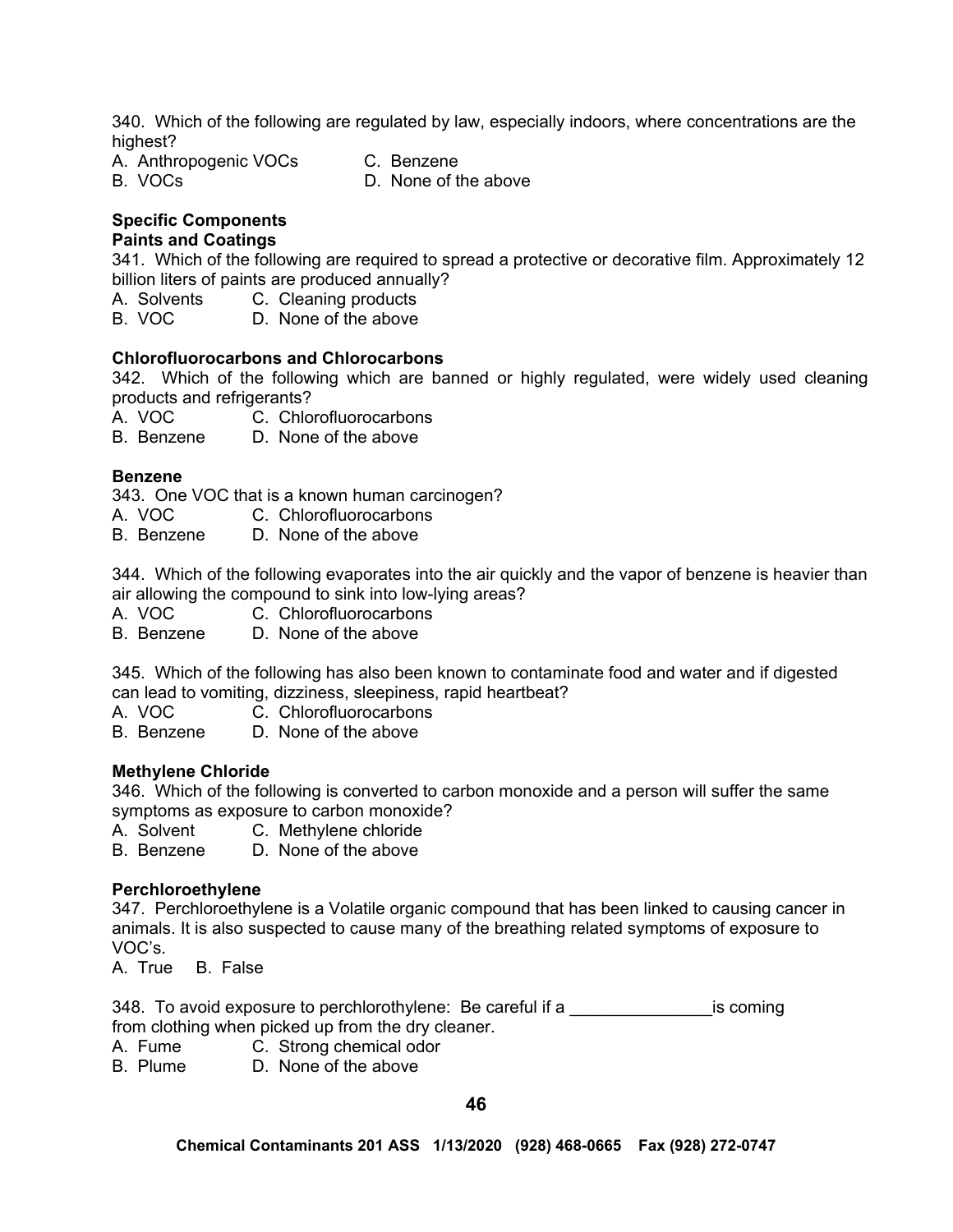340. Which of the following are regulated by law, especially indoors, where concentrations are the highest?

A. Anthropogenic VOCs C. Benzene

B. VOCs D. None of the above

# **Specific Components**

# **Paints and Coatings**

341. Which of the following are required to spread a protective or decorative film. Approximately 12 billion liters of paints are produced annually?

A. Solvents C. Cleaning products<br>B. VOC D. None of the above

D. None of the above

# **Chlorofluorocarbons and Chlorocarbons**

342. Which of the following which are banned or highly regulated, were widely used cleaning products and refrigerants?

A. VOC C. Chlorofluorocarbons

B. Benzene D. None of the above

# **Benzene**

343. One VOC that is a known human carcinogen?

- A. VOC C. Chlorofluorocarbons
- B. Benzene D. None of the above

344. Which of the following evaporates into the air quickly and the vapor of benzene is heavier than air allowing the compound to sink into low-lying areas?

- A. VOC C. Chlorofluorocarbons
- B. Benzene D. None of the above

345. Which of the following has also been known to contaminate food and water and if digested can lead to vomiting, dizziness, sleepiness, rapid heartbeat?

- A. VOC C. Chlorofluorocarbons
- B. Benzene D. None of the above

# **Methylene Chloride**

346. Which of the following is converted to carbon monoxide and a person will suffer the same symptoms as exposure to carbon monoxide?

A. Solvent C. Methylene chloride

B. Benzene D. None of the above

# **Perchloroethylene**

347. Perchloroethylene is a Volatile organic compound that has been linked to causing cancer in animals. It is also suspected to cause many of the breathing related symptoms of exposure to VOC's.

A. True B. False

348. To avoid exposure to perchlorothylene: Be careful if a \_\_\_\_\_\_\_\_\_\_\_\_\_\_\_\_\_\_\_\_is coming from clothing when picked up from the dry cleaner.

- A. Fume C. Strong chemical odor
- B. Plume D. None of the above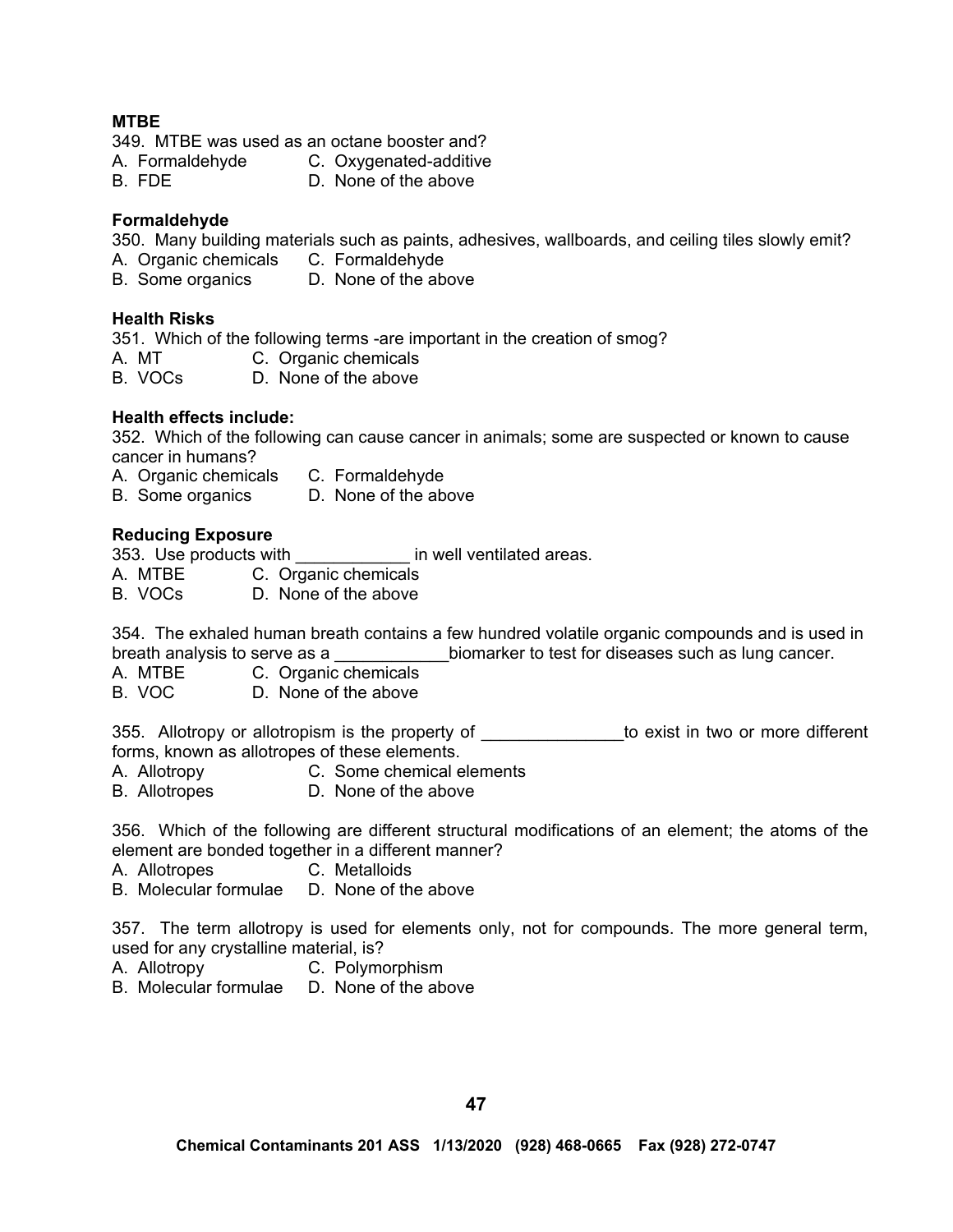# **MTBE**

349. MTBE was used as an octane booster and?

- A. Formaldehyde C. Oxygenated-additive
- B. FDE D. None of the above

# **Formaldehyde**

350. Many building materials such as paints, adhesives, wallboards, and ceiling tiles slowly emit?

- A. Organic chemicals C. Formaldehyde
- B. Some organics D. None of the above

# **Health Risks**

351. Which of the following terms -are important in the creation of smog?

- A. MT C. Organic chemicals
- B. VOCs D. None of the above

# **Health effects include:**

352. Which of the following can cause cancer in animals; some are suspected or known to cause cancer in humans?

- A. Organic chemicals C. Formaldehyde
- B. Some organics D. None of the above

# **Reducing Exposure**

353. Use products with **the in well ventilated areas.** 

A. MTBE C. Organic chemicals

B. VOCs D. None of the above

354. The exhaled human breath contains a few hundred volatile organic compounds and is used in breath analysis to serve as a  $\blacksquare$  biomarker to test for diseases such as lung cancer.

- A. MTBE C. Organic chemicals
- B. VOC D. None of the above

355. Allotropy or allotropism is the property of Theorem is to exist in two or more different forms, known as allotropes of these elements.

- A. Allotropy C. Some chemical elements
- B. Allotropes D. None of the above

356. Which of the following are different structural modifications of an element; the atoms of the element are bonded together in a different manner?

A. Allotropes C. Metalloids

B. Molecular formulae D. None of the above

357. The term allotropy is used for elements only, not for compounds. The more general term, used for any crystalline material, is?

- A. Allotropy C. Polymorphism
- B. Molecular formulae D. None of the above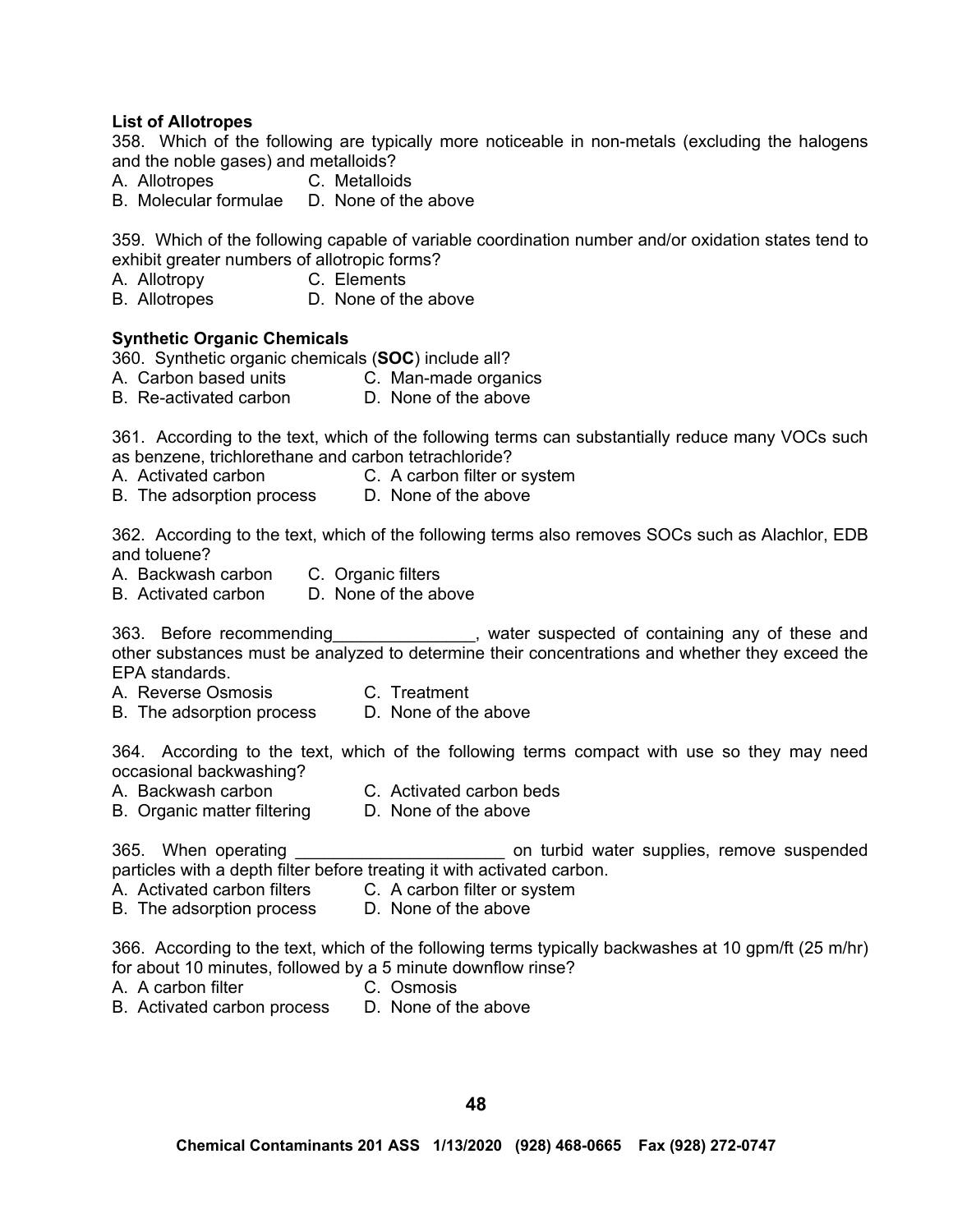#### **List of Allotropes**

358. Which of the following are typically more noticeable in non-metals (excluding the halogens and the noble gases) and metalloids?

A. Allotropes C. Metalloids

B. Molecular formulae D. None of the above

359. Which of the following capable of variable coordination number and/or oxidation states tend to exhibit greater numbers of allotropic forms?

A. Allotropy C. Elements

B. Allotropes D. None of the above

#### **Synthetic Organic Chemicals**

360. Synthetic organic chemicals (**SOC**) include all?

A. Carbon based units C. Man-made organics

B. Re-activated carbon D. None of the above

361. According to the text, which of the following terms can substantially reduce many VOCs such as benzene, trichlorethane and carbon tetrachloride?

- A. Activated carbon C. A carbon filter or system
- B. The adsorption process D. None of the above

362. According to the text, which of the following terms also removes SOCs such as Alachlor, EDB and toluene?

A. Backwash carbon C. Organic filters

B. Activated carbon D. None of the above

363. Before recommending example and state suspected of containing any of these and other substances must be analyzed to determine their concentrations and whether they exceed the EPA standards.

- A. Reverse Osmosis C. Treatment
- B. The adsorption process D. None of the above

364. According to the text, which of the following terms compact with use so they may need occasional backwashing?

- A. Backwash carbon C. Activated carbon beds
- B. Organic matter filtering D. None of the above

365. When operating and the same on turbid water supplies, remove suspended particles with a depth filter before treating it with activated carbon.

- A. Activated carbon filters C. A carbon filter or system
- B. The adsorption process D. None of the above

366. According to the text, which of the following terms typically backwashes at 10 gpm/ft (25 m/hr) for about 10 minutes, followed by a 5 minute downflow rinse?

- A. A carbon filter C. Osmosis
- B. Activated carbon process D. None of the above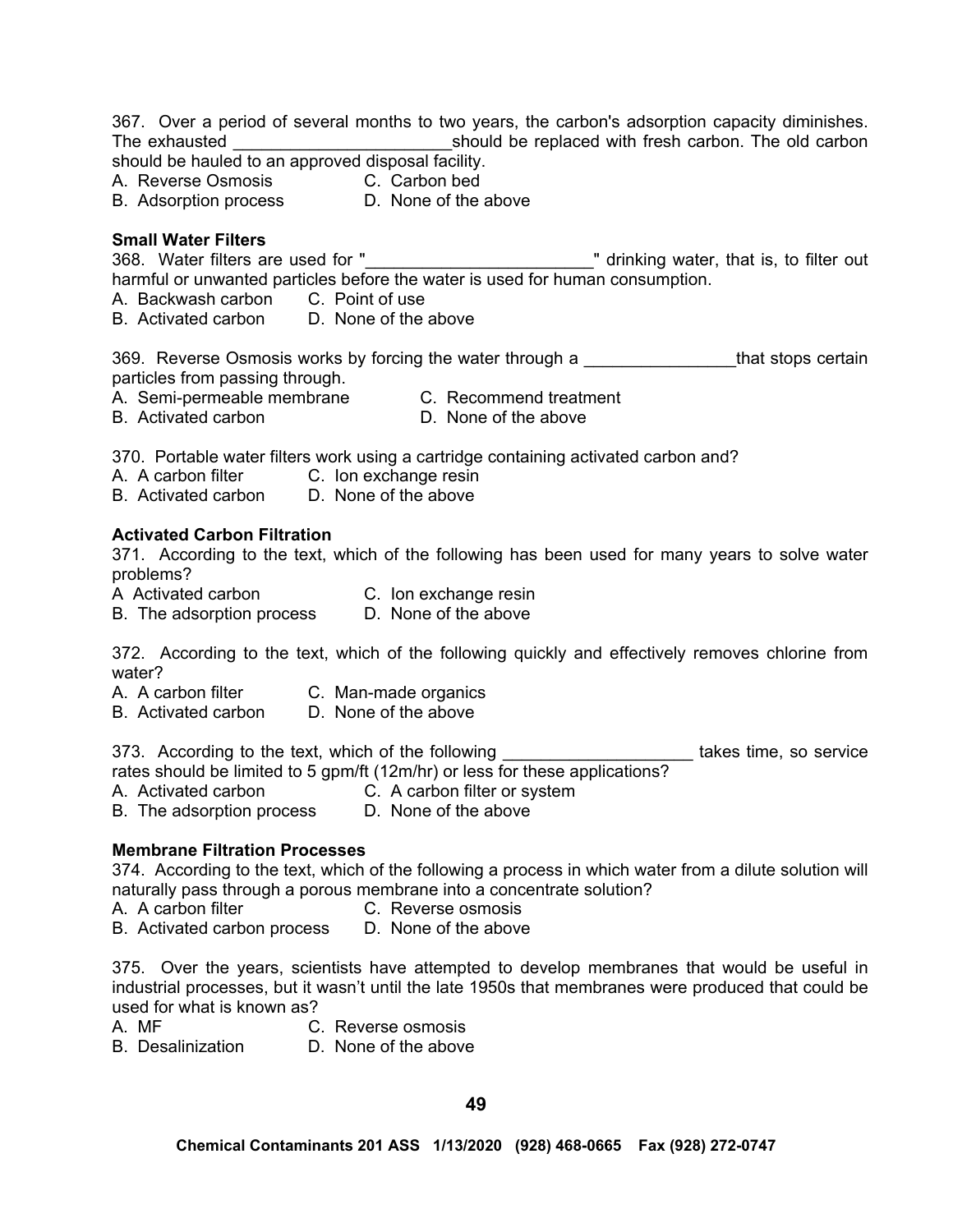367. Over a period of several months to two years, the carbon's adsorption capacity diminishes. The exhausted The exhausted **Example 20** should be replaced with fresh carbon. The old carbon should be hauled to an approved disposal facility.

A. Reverse Osmosis C. Carbon bed

B. Adsorption process D. None of the above

# **Small Water Filters**

368. Water filters are used for " The same state of the state of the state of the state of the state of the state of the state of the state of the state of the state of the state of the state of the state of the state of t harmful or unwanted particles before the water is used for human consumption.

A. Backwash carbon C. Point of use

B. Activated carbon D. None of the above

369. Reverse Osmosis works by forcing the water through a **Example 2018** that stops certain particles from passing through.

A. Semi-permeable membrane C. Recommend treatment

B. Activated carbon D. None of the above

370. Portable water filters work using a cartridge containing activated carbon and?

A. A carbon filter C. Ion exchange resin

B. Activated carbon D. None of the above

# **Activated Carbon Filtration**

371. According to the text, which of the following has been used for many years to solve water problems?

- A Activated carbon C. Ion exchange resin
- B. The adsorption process D. None of the above

372. According to the text, which of the following quickly and effectively removes chlorine from water?

- A. A carbon filter C. Man-made organics
- B. Activated carbon D. None of the above

373. According to the text, which of the following **witch and the set of the service** rates should be limited to 5 gpm/ft (12m/hr) or less for these applications?

A. Activated carbon C. A carbon filter or system

B. The adsorption process D. None of the above

# **Membrane Filtration Processes**

374. According to the text, which of the following a process in which water from a dilute solution will naturally pass through a porous membrane into a concentrate solution?

- A. A carbon filter **C. Reverse osmosis**
- B. Activated carbon process D. None of the above

375. Over the years, scientists have attempted to develop membranes that would be useful in industrial processes, but it wasn't until the late 1950s that membranes were produced that could be used for what is known as?<br>A MF C

C. Reverse osmosis

B. Desalinization D. None of the above

**49**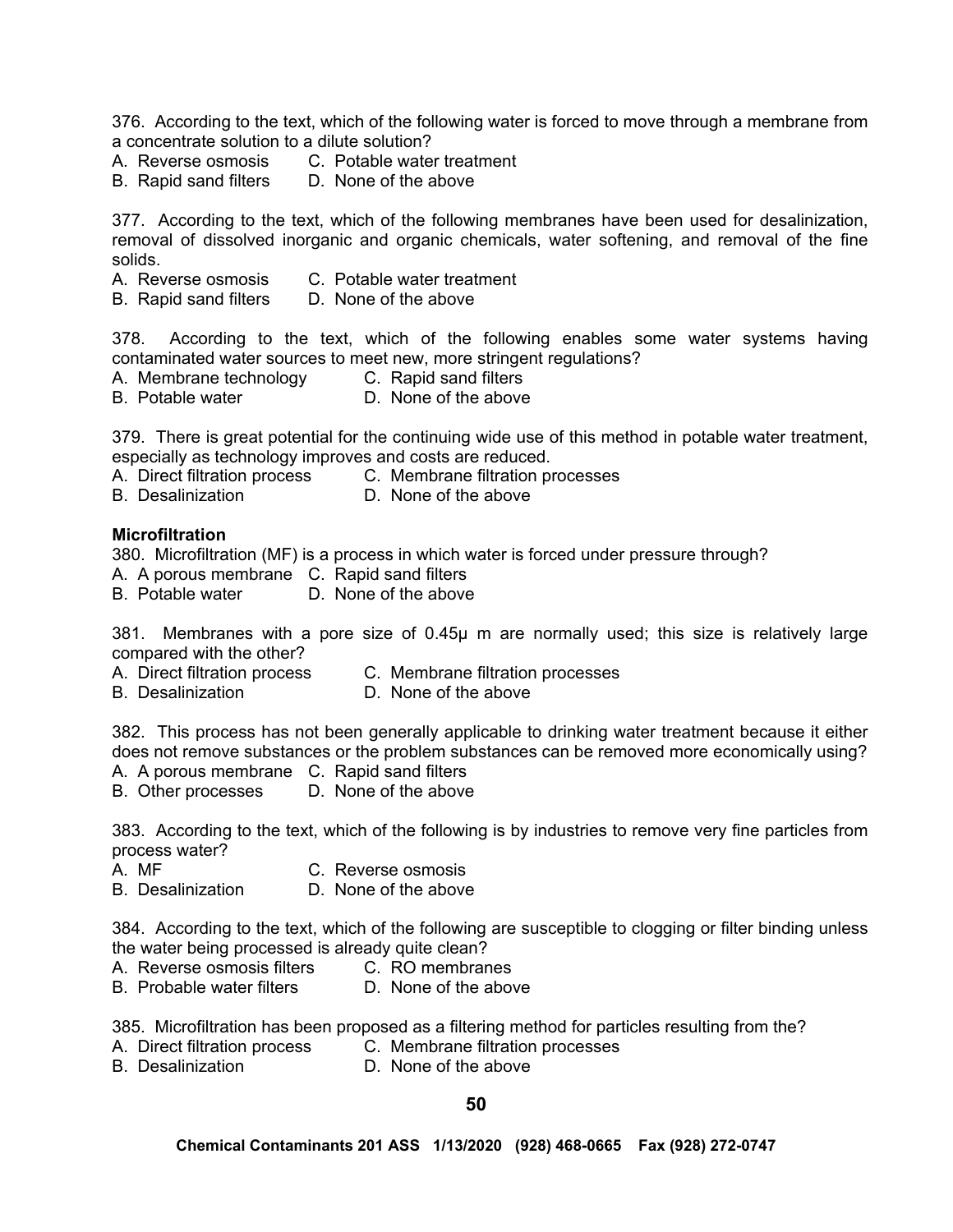376. According to the text, which of the following water is forced to move through a membrane from a concentrate solution to a dilute solution?

- A. Reverse osmosis C. Potable water treatment
- B. Rapid sand filters D. None of the above

377. According to the text, which of the following membranes have been used for desalinization, removal of dissolved inorganic and organic chemicals, water softening, and removal of the fine solids.

- A. Reverse osmosis C. Potable water treatment
- B. Rapid sand filters D. None of the above

378. According to the text, which of the following enables some water systems having contaminated water sources to meet new, more stringent regulations?

- A. Membrane technology C. Rapid sand filters
- B. Potable water D. None of the above

379. There is great potential for the continuing wide use of this method in potable water treatment, especially as technology improves and costs are reduced.

- A. Direct filtration process C. Membrane filtration processes
- B. Desalinization D. None of the above

#### **Microfiltration**

380. Microfiltration (MF) is a process in which water is forced under pressure through?

- A. A porous membrane C. Rapid sand filters
- B. Potable water D. None of the above

381. Membranes with a pore size of 0.45µ m are normally used; this size is relatively large compared with the other?

- A. Direct filtration process C. Membrane filtration processes
- B. Desalinization **D. None of the above**

382. This process has not been generally applicable to drinking water treatment because it either does not remove substances or the problem substances can be removed more economically using?

- A. A porous membrane C. Rapid sand filters
- B. Other processes D. None of the above

383. According to the text, which of the following is by industries to remove very fine particles from process water?

- A. MF C. Reverse osmosis
- B. Desalinization D. None of the above

384. According to the text, which of the following are susceptible to clogging or filter binding unless the water being processed is already quite clean?

- A. Reverse osmosis filters C. RO membranes
- B. Probable water filters D. None of the above

385. Microfiltration has been proposed as a filtering method for particles resulting from the?

- A. Direct filtration process C. Membrane filtration processes
- B. Desalinization D. None of the above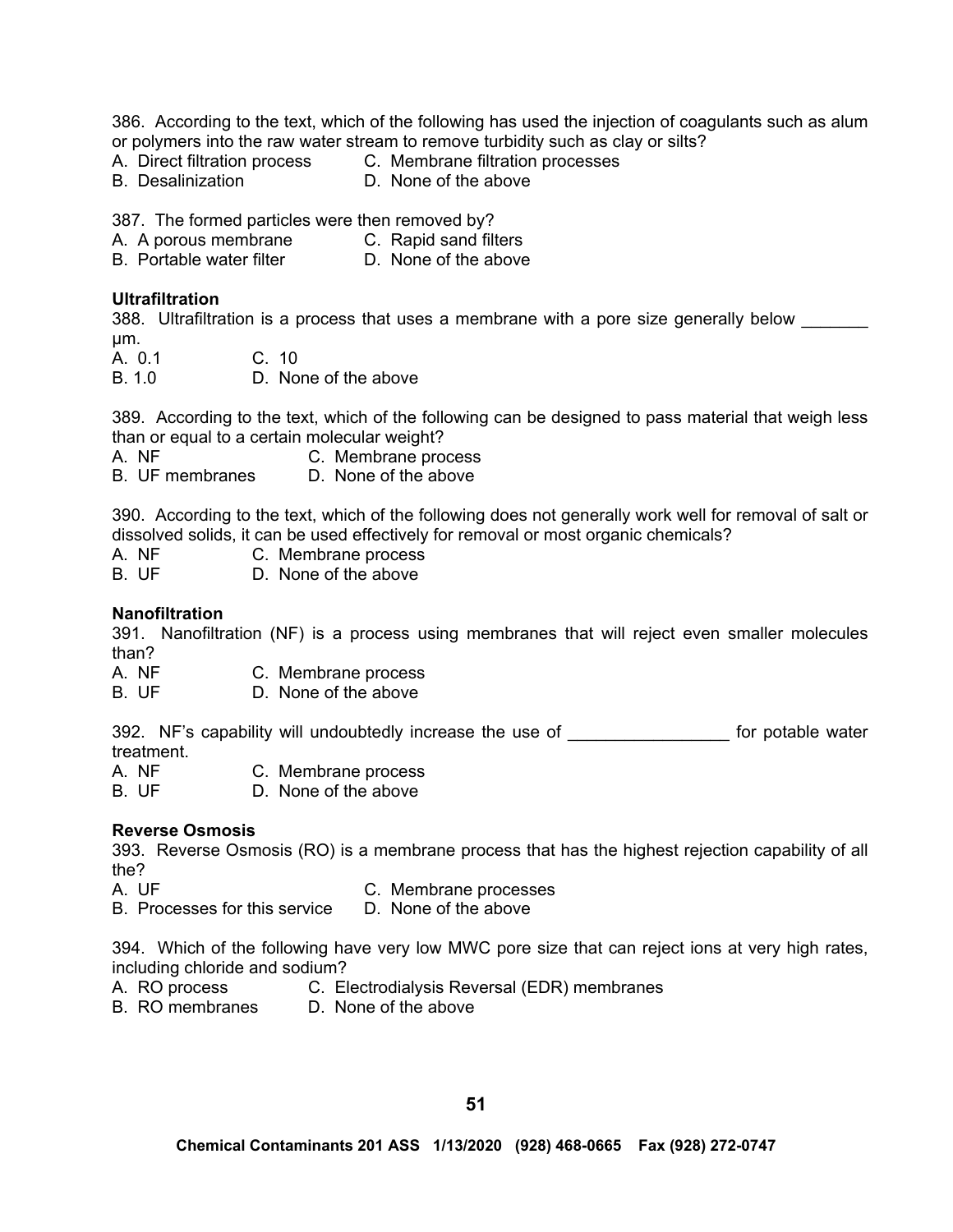386. According to the text, which of the following has used the injection of coagulants such as alum or polymers into the raw water stream to remove turbidity such as clay or silts?

- A. Direct filtration process C. Membrane filtration processes
- B. Desalinization D. None of the above

387. The formed particles were then removed by?

- A. A porous membrane C. Rapid sand filters
- B. Portable water filter D. None of the above

## **Ultrafiltration**

388. Ultrafiltration is a process that uses a membrane with a pore size generally below µm.

A. 0.1 C. 10

B. 1.0 D. None of the above

389. According to the text, which of the following can be designed to pass material that weigh less than or equal to a certain molecular weight?

A. NF C. Membrane process

B. UF membranes D. None of the above

390. According to the text, which of the following does not generally work well for removal of salt or dissolved solids, it can be used effectively for removal or most organic chemicals?

A. NF C. Membrane process

B. UF D. None of the above

### **Nanofiltration**

391. Nanofiltration (NF) is a process using membranes that will reject even smaller molecules than?

A. NF C. Membrane process

B. UF D. None of the above

392. NF's capability will undoubtedly increase the use of Theorem Controller water treatment.<br>A. NF

- C. Membrane process
- B. UF D. None of the above

#### **Reverse Osmosis**

393. Reverse Osmosis (RO) is a membrane process that has the highest rejection capability of all the?

- 
- A. UF C. Membrane processes
- B. Processes for this service D. None of the above

394. Which of the following have very low MWC pore size that can reject ions at very high rates, including chloride and sodium?

- A. RO process **C. Electrodialysis Reversal (EDR)** membranes
- B. RO membranes D. None of the above